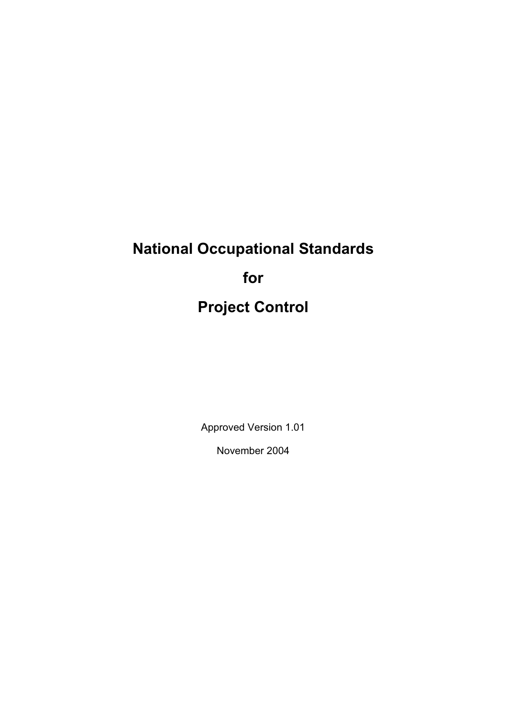# **National Occupational Standards for Project Control**

Approved Version 1.01

November 2004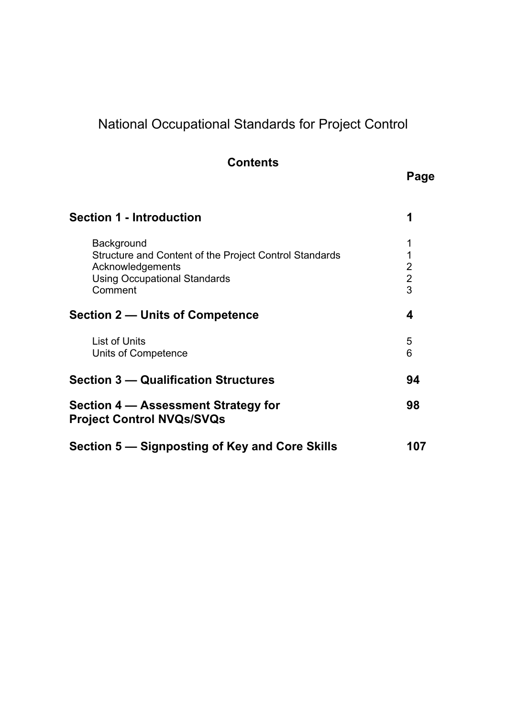## National Occupational Standards for Project Control

### **Contents**

### **Page**

| <b>Section 1 - Introduction</b>                                                                                                            | 1                                  |
|--------------------------------------------------------------------------------------------------------------------------------------------|------------------------------------|
| Background<br>Structure and Content of the Project Control Standards<br>Acknowledgements<br><b>Using Occupational Standards</b><br>Comment | 1<br>1<br>2<br>$\overline{2}$<br>3 |
| <b>Section 2 – Units of Competence</b>                                                                                                     | 4                                  |
| <b>List of Units</b><br>Units of Competence                                                                                                | 5<br>6                             |
| <b>Section 3 – Qualification Structures</b>                                                                                                | 94                                 |
| Section 4 – Assessment Strategy for<br><b>Project Control NVQs/SVQs</b>                                                                    | 98                                 |
| Section 5 – Signposting of Key and Core Skills                                                                                             |                                    |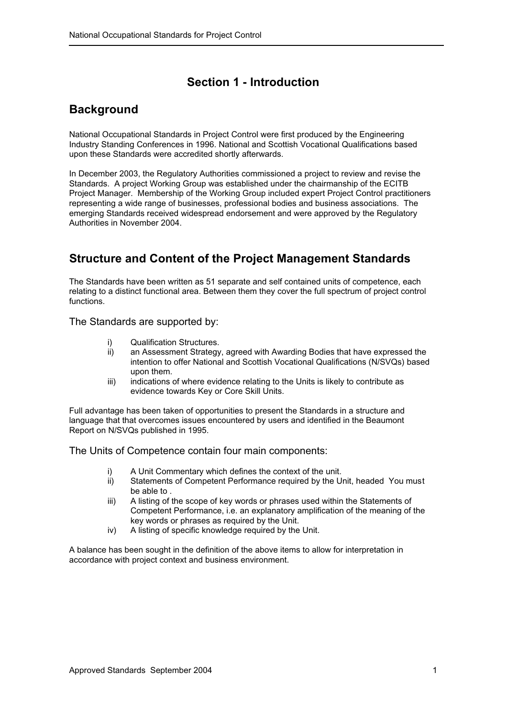### **Section 1 - Introduction**

### <span id="page-2-0"></span>**Background**

National Occupational Standards in Project Control were first produced by the Engineering Industry Standing Conferences in 1996. National and Scottish Vocational Qualifications based upon these Standards were accredited shortly afterwards.

In December 2003, the Regulatory Authorities commissioned a project to review and revise the Standards. A project Working Group was established under the chairmanship of the ECITB Project Manager. Membership of the Working Group included expert Project Control practitioners representing a wide range of businesses, professional bodies and business associations. The emerging Standards received widespread endorsement and were approved by the Regulatory Authorities in November 2004.

### **Structure and Content of the Project Management Standards**

The Standards have been written as 51 separate and self contained units of competence, each relating to a distinct functional area. Between them they cover the full spectrum of project control functions.

The Standards are supported by:

- i) Qualification Structures.
- ii) an Assessment Strategy, agreed with Awarding Bodies that have expressed the intention to offer National and Scottish Vocational Qualifications (N/SVQs) based upon them.
- iii) indications of where evidence relating to the Units is likely to contribute as evidence towards Key or Core Skill Units.

Full advantage has been taken of opportunities to present the Standards in a structure and language that that overcomes issues encountered by users and identified in the Beaumont Report on N/SVQs published in 1995.

The Units of Competence contain four main components:

- i) A Unit Commentary which defines the context of the unit.<br>ii) Statements of Competent Performance required by the U
- Statements of Competent Performance required by the Unit, headed You must be able to .
- iii) A listing of the scope of key words or phrases used within the Statements of Competent Performance, i.e. an explanatory amplification of the meaning of the key words or phrases as required by the Unit.
- iv) A listing of specific knowledge required by the Unit.

A balance has been sought in the definition of the above items to allow for interpretation in accordance with project context and business environment.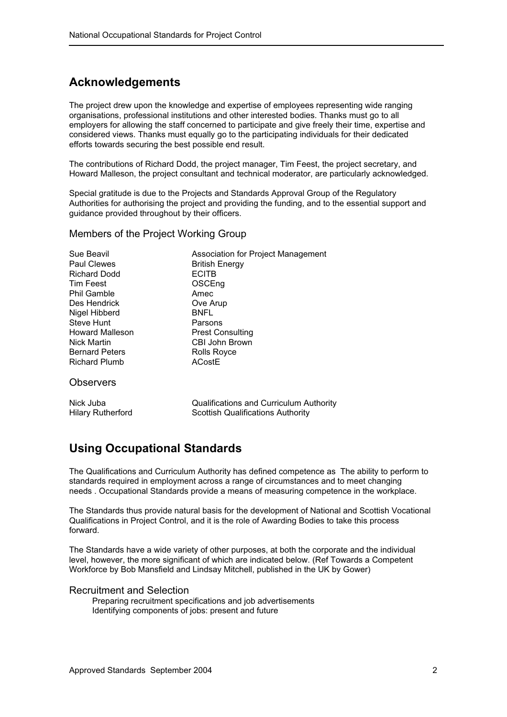### <span id="page-3-0"></span>**Acknowledgements**

The project drew upon the knowledge and expertise of employees representing wide ranging organisations, professional institutions and other interested bodies. Thanks must go to all employers for allowing the staff concerned to participate and give freely their time, expertise and considered views. Thanks must equally go to the participating individuals for their dedicated efforts towards securing the best possible end result.

The contributions of Richard Dodd, the project manager, Tim Feest, the project secretary, and Howard Malleson, the project consultant and technical moderator, are particularly acknowledged.

Special gratitude is due to the Projects and Standards Approval Group of the Regulatory Authorities for authorising the project and providing the funding, and to the essential support and guidance provided throughout by their officers.

#### Members of the Project Working Group

| Sue Beavil<br><b>Paul Clewes</b><br><b>Richard Dodd</b><br>Tim Feest<br><b>Phil Gamble</b><br>Des Hendrick<br>Nigel Hibberd<br><b>Steve Hunt</b><br><b>Howard Malleson</b><br><b>Nick Martin</b><br><b>Bernard Peters</b><br>Richard Plumb | Association for Project Management<br><b>British Energy</b><br><b>ECITB</b><br>OSCEng<br>Amec<br>Ove Arup<br><b>BNFL</b><br>Parsons<br><b>Prest Consulting</b><br>CBI John Brown<br>Rolls Royce<br><b>ACostE</b> |
|--------------------------------------------------------------------------------------------------------------------------------------------------------------------------------------------------------------------------------------------|------------------------------------------------------------------------------------------------------------------------------------------------------------------------------------------------------------------|
| <b>Observers</b>                                                                                                                                                                                                                           |                                                                                                                                                                                                                  |
| .                                                                                                                                                                                                                                          | $\sim$ $\sim$ $\sim$ $\sim$ $\sim$ $\sim$ $\sim$                                                                                                                                                                 |

Nick Juba Qualifications and Curriculum Authority Hilary Rutherford Scottish Qualifications Authority

### **Using Occupational Standards**

The Qualifications and Curriculum Authority has defined competence as The ability to perform to standards required in employment across a range of circumstances and to meet changing needs . Occupational Standards provide a means of measuring competence in the workplace.

The Standards thus provide natural basis for the development of National and Scottish Vocational Qualifications in Project Control, and it is the role of Awarding Bodies to take this process forward.

The Standards have a wide variety of other purposes, at both the corporate and the individual level, however, the more significant of which are indicated below. (Ref Towards a Competent Workforce by Bob Mansfield and Lindsay Mitchell, published in the UK by Gower)

#### Recruitment and Selection

Preparing recruitment specifications and job advertisements Identifying components of jobs: present and future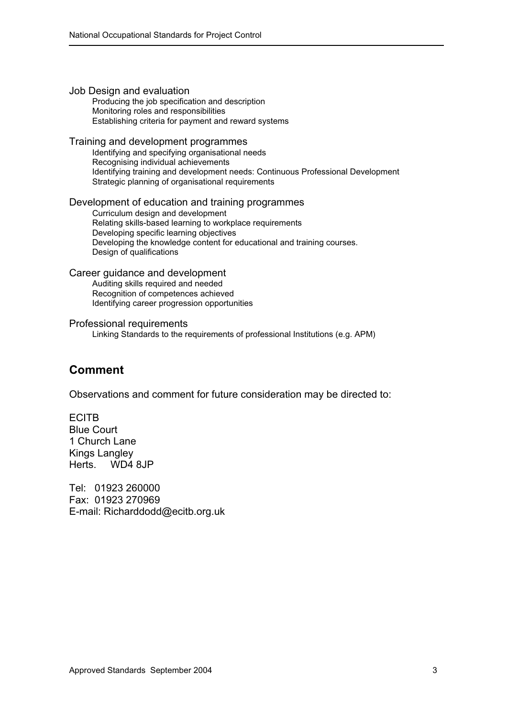<span id="page-4-0"></span>

| Job Design and evaluation<br>Producing the job specification and description<br>Monitoring roles and responsibilities<br>Establishing criteria for payment and reward systems                                                                                                                      |
|----------------------------------------------------------------------------------------------------------------------------------------------------------------------------------------------------------------------------------------------------------------------------------------------------|
| Training and development programmes<br>Identifying and specifying organisational needs<br>Recognising individual achievements<br>Identifying training and development needs: Continuous Professional Development<br>Strategic planning of organisational requirements                              |
| Development of education and training programmes<br>Curriculum design and development<br>Relating skills-based learning to workplace requirements<br>Developing specific learning objectives<br>Developing the knowledge content for educational and training courses.<br>Design of qualifications |
| Career guidance and development<br>Auditing skills required and needed<br>Recognition of competences achieved<br>Identifying career progression opportunities                                                                                                                                      |
| Professional requirements<br>Linking Standards to the requirements of professional Institutions (e.g. APM)                                                                                                                                                                                         |

### **Comment**

Observations and comment for future consideration may be directed to:

ECITB Blue Court 1 Church Lane Kings Langley Herts. WD4 8JP

Tel: 01923 260000 Fax: 01923 270969 E-mail: Richarddodd@ecitb.org.uk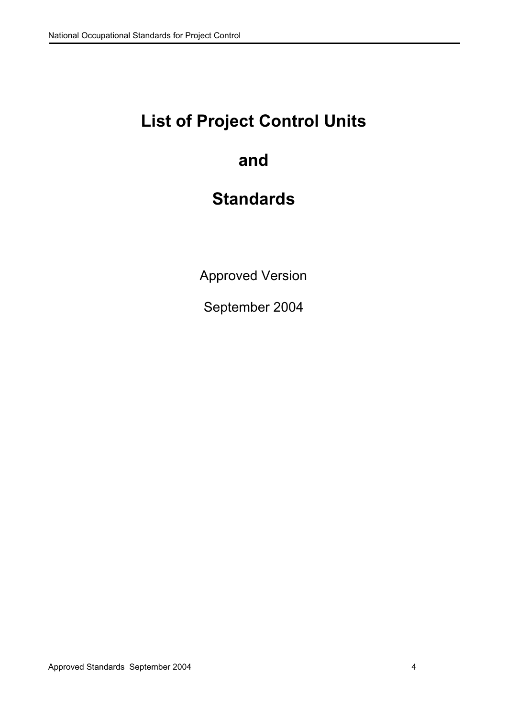## <span id="page-5-0"></span>**List of Project Control Units**

## **and**

## **Standards**

Approved Version

September 2004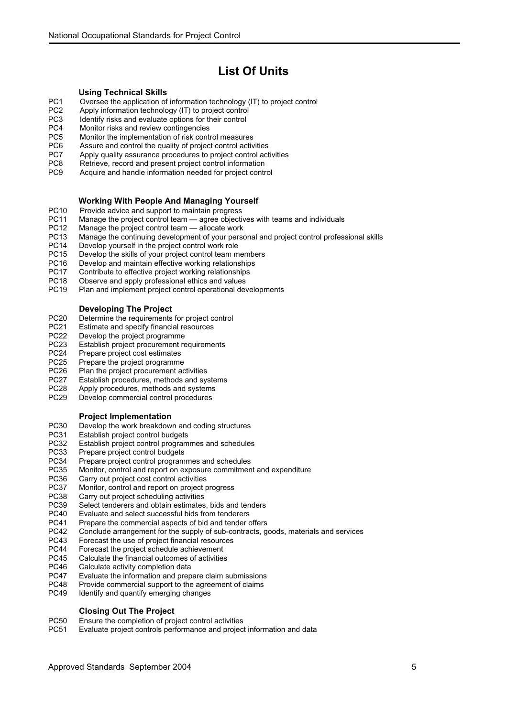### **List Of Units**

- <span id="page-6-0"></span>**Using Technical Skills**<br>PC1 Oversee the application of [PC1 Oversee the application of information technology \(IT\) to project control](#page-7-0)
- [PC2 Apply information technology \(IT\) to project control](#page-9-0)<br>PC3 Identify risks and evaluate options for their control
- [PC3 Identify risks and evaluate options for their control](#page-11-0)<br>PC4 Monitor risks and review contingencies
- [PC4 Monitor risks and review contingencies](#page-13-0)<br>PC5 Monitor the implementation of risk conti
- [PC5 Monitor the implementation of risk control measures](#page-14-0)<br>PC6 Assure and control the quality of project control active
- Assure and control the quality of project control activities
- [PC7 Apply quality assurance procedures to project control activities](#page-18-0)<br>PC8 Retrieve, record and present project control information
- [PC8 Retrieve, record and present project control information](#page-19-0)
- Acquire and handle information needed for project control

### **Working With People And Managing Yourself**<br>PC10 Provide advice and support to maintain progress

- [PC10 Provide advice and support to maintain progress](#page-23-0)<br>PC11 Manage the project control team agree objecti
- [PC11 Manage the project control team agree objectives with teams and individuals](#page-25-0)<br>PC12 Manage the project control team allocate work
- [PC12 Manage the project control team allocate work](#page-27-0)<br>PC13 Manage the continuing development of your perso
- Manage the continuing development of your personal and project control professional skills
- [PC14 Develop yourself in the project control work role](#page-31-0)
- [PC15 Develop the skills of your project control team members](#page-32-0)
- [PC16 Develop and maintain effective working relationships](#page-34-0)
- [PC17 Contribute to effective project working relationships](#page-35-0)<br>PC18 Chserve and apply professional ethics and values
- [PC18 Observe and apply professional ethics and values](#page-36-0)<br>PC19 Plan and implement project control operational dev
- Plan and implement project control operational developments

#### **Developing The Project**

- [PC20 Determine the requirements for project control](#page-39-0)
- [PC21 Estimate and specify financial resources](#page-41-0)<br>PC22 Develop the project programme
- Develop the project programme
- [PC23 Establish project procurement requirements](#page-45-0)
- [PC24 Prepare project cost estimates](#page-47-0)<br>PC25 Prepare the project programme
- [PC25 Prepare the project programme](#page-49-0)<br>PC26 Plan the project procurement ac
- Plan the project procurement activities
- [PC27 Establish procedures, methods and systems](#page-53-0)<br>PC28 Apply procedures, methods and systems
- [PC28 Apply procedures, methods and systems](#page-55-0)<br>PC29 Develop commercial control procedures
- Develop commercial control procedures

#### **Project Implementation**

- [PC30 Develop the work breakdown and coding structures](#page-58-0)
- [PC31 Establish project control budgets](#page-60-0)<br>PC32 Establish project control program
- [PC32 Establish project control programmes and schedules](#page-62-0)<br>PC33 Prepare project control budgets
- [PC33 Prepare project control budgets](#page-64-0)<br>PC34 Prepare project control program
- [PC34 Prepare project control programmes and schedules](#page-65-0)<br>PC35 Monitor, control and report on exposure commitmen
- [PC35 Monitor, control and report on exposure commitment and expenditure](#page-67-0)<br>PC36 Carry out project cost control activities
- Carry out project cost control activities
- [PC37 Monitor, control and report on project progress](#page-71-0)
- [PC38 Carry out project scheduling activities](#page-73-0)<br>PC39 Select tenderers and obtain estimates
- [PC39 Select tenderers and obtain estimates, bids and tenders](#page-74-0)<br>PC40 Evaluate and select successful bids from tenderers
- Evaluate and select successful bids from tenderers
- [PC41 Prepare the commercial aspects of bid and tender offers](#page-78-0)<br>PC42 Conclude arrangement for the supply of sub-contracts, q
- Conclude arrangement for the supply of sub-contracts, goods, materials and services
- [PC43 Forecast the use of project financial resources](#page-82-0)<br>PC44 Forecast the project schedule achievement
- [PC44 Forecast the project schedule achievement](#page-83-0)<br>PC45 Calculate the financial outcomes of activities
- [PC45 Calculate the financial outcomes of activities](#page-84-0)<br>PC46 Calculate activity completion data
- Calculate activity completion data
- [PC47 Evaluate the information and prepare claim submissions](#page-86-0)<br>PC48 Provide commercial support to the agreement of claims
- [PC48 Provide commercial support to the agreement of claims](#page-88-0)<br>PC49 Identify and quantify emerging changes
- Identify and quantify emerging changes

#### **Closing Out The Project**

- [PC50 Ensure the completion of project control activities](#page-92-0)
- Evaluate project controls performance and project information and data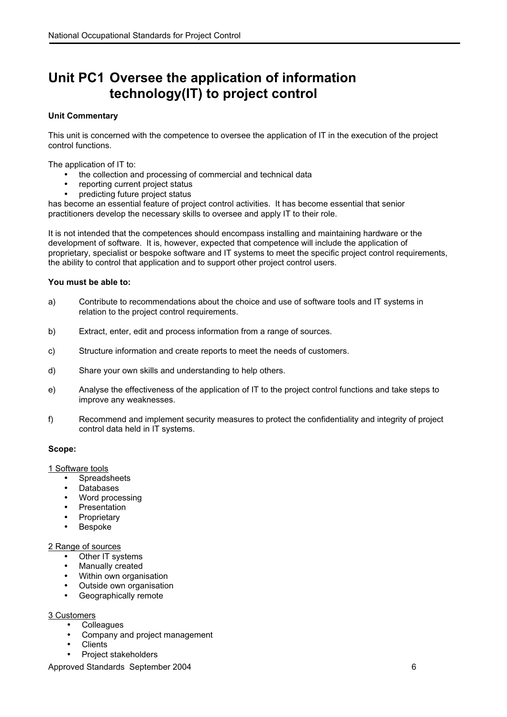### <span id="page-7-0"></span>**Unit PC1 Oversee the application of information technology(IT) to project control**

#### **Unit Commentary**

This unit is concerned with the competence to oversee the application of IT in the execution of the project control functions.

The application of IT to:

- the collection and processing of commercial and technical data
- reporting current project status
- predicting future project status

has become an essential feature of project control activities. It has become essential that senior practitioners develop the necessary skills to oversee and apply IT to their role.

It is not intended that the competences should encompass installing and maintaining hardware or the development of software. It is, however, expected that competence will include the application of proprietary, specialist or bespoke software and IT systems to meet the specific project control requirements, the ability to control that application and to support other project control users.

#### **You must be able to:**

- a) Contribute to recommendations about the choice and use of software tools and IT systems in relation to the project control requirements.
- b) Extract, enter, edit and process information from a range of sources.
- c) Structure information and create reports to meet the needs of customers.
- d) Share your own skills and understanding to help others.
- e) Analyse the effectiveness of the application of IT to the project control functions and take steps to improve any weaknesses.
- f) Recommend and implement security measures to protect the confidentiality and integrity of project control data held in IT systems.

#### **Scope:**

1 Software tools

- Spreadsheets
- Databases
- Word processing
- Presentation
- Proprietary
- Bespoke

#### 2 Range of sources

- Other IT systems
- Manually created
- Within own organisation
- Outside own organisation
- Geographically remote

#### 3 Customers

- **Colleagues**
- Company and project management
- **Clients**
- Project stakeholders

Approved Standards September 2004 6 and the state of the state of the state of the state of the state of the state of the state of the state of the state of the state of the state of the state of the state of the state of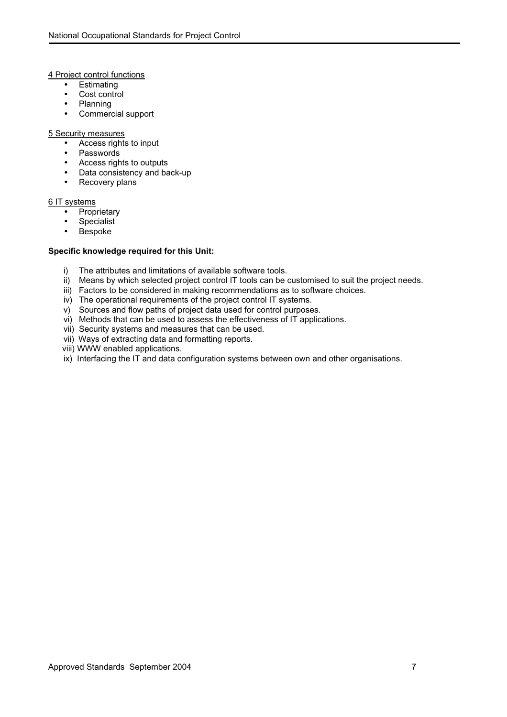4 Project control functions

- Estimating<br>• Cost contro
- Cost control<br>• Planning
- Planning
- Commercial support

#### 5 Security measures

- Access rights to input
- Passwords
- Access rights to outputs
- Data consistency and back-up
- Recovery plans

### 6 IT systems

- Proprietary
- Specialist
- Bespoke

- i) The attributes and limitations of available software tools.
- ii) Means by which selected project control IT tools can be customised to suit the project needs.
- iii) Factors to be considered in making recommendations as to software choices.
- iv) The operational requirements of the project control IT systems.
- v) Sources and flow paths of project data used for control purposes.
- vi) Methods that can be used to assess the effectiveness of IT applications.
- vii) Security systems and measures that can be used.
- vii) Ways of extracting data and formatting reports.
- viii) WWW enabled applications.
- ix) Interfacing the IT and data configuration systems between own and other organisations.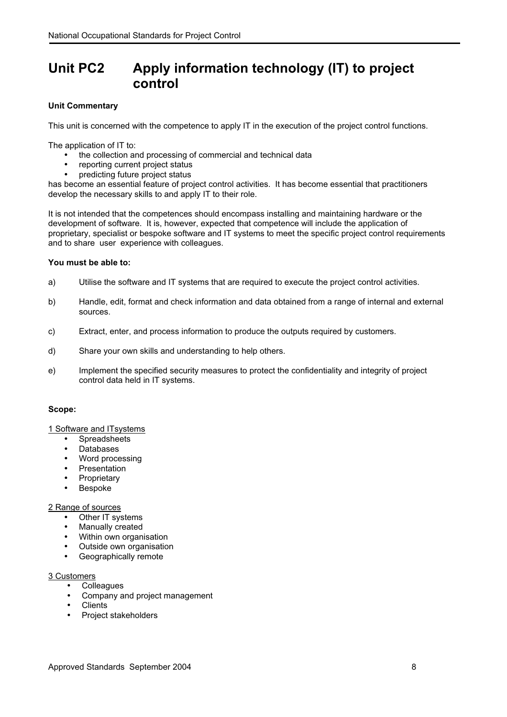### <span id="page-9-0"></span>**Unit PC2 Apply information technology (IT) to project control**

#### **Unit Commentary**

This unit is concerned with the competence to apply IT in the execution of the project control functions.

The application of IT to:

- the collection and processing of commercial and technical data
- reporting current project status
- predicting future project status

has become an essential feature of project control activities. It has become essential that practitioners develop the necessary skills to and apply IT to their role.

It is not intended that the competences should encompass installing and maintaining hardware or the development of software. It is, however, expected that competence will include the application of proprietary, specialist or bespoke software and IT systems to meet the specific project control requirements and to share user experience with colleagues.

#### **You must be able to:**

- a) Utilise the software and IT systems that are required to execute the project control activities.
- b) Handle, edit, format and check information and data obtained from a range of internal and external sources.
- c) Extract, enter, and process information to produce the outputs required by customers.
- d) Share your own skills and understanding to help others.
- e) Implement the specified security measures to protect the confidentiality and integrity of project control data held in IT systems.

#### **Scope:**

#### 1 Software and ITsystems

- **Spreadsheets**
- Databases
- Word processing
- **Presentation**
- Proprietary
- Bespoke

#### 2 Range of sources

- Other IT systems
- Manually created
- Within own organisation
- Outside own organisation
- Geographically remote

#### 3 Customers

- Colleagues
- Company and project management
- **Clients**
- Project stakeholders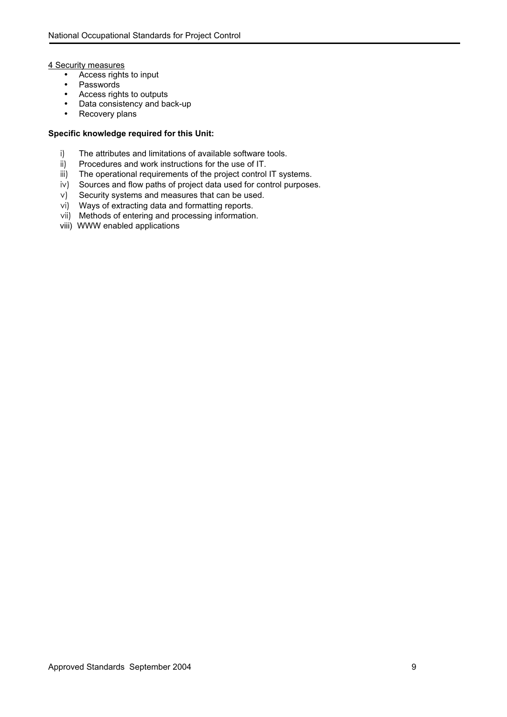4 Security measures

- Access rights to input
- Passwords
- Access rights to outputs
- Data consistency and back-up
- Recovery plans

- i) The attributes and limitations of available software tools.
- ii) Procedures and work instructions for the use of IT.
- iii) The operational requirements of the project control IT systems.
- iv) Sources and flow paths of project data used for control purposes.
- v) Security systems and measures that can be used.
- vi) Ways of extracting data and formatting reports.
- vii) Methods of entering and processing information.
- viii) WWW enabled applications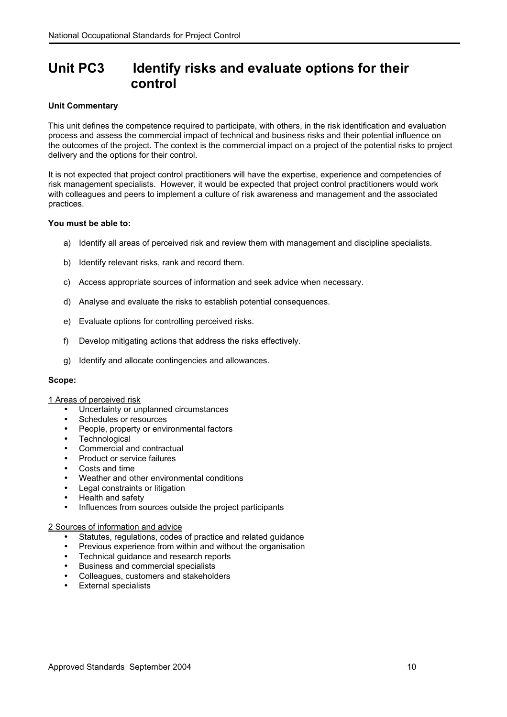### <span id="page-11-0"></span>**Unit PC3 Identify risks and evaluate options for their control**

#### **Unit Commentary**

This unit defines the competence required to participate, with others, in the risk identification and evaluation process and assess the commercial impact of technical and business risks and their potential influence on the outcomes of the project. The context is the commercial impact on a project of the potential risks to project delivery and the options for their control.

It is not expected that project control practitioners will have the expertise, experience and competencies of risk management specialists. However, it would be expected that project control practitioners would work with colleagues and peers to implement a culture of risk awareness and management and the associated practices.

#### **You must be able to:**

- a) Identify all areas of perceived risk and review them with management and discipline specialists.
- b) Identify relevant risks, rank and record them.
- c) Access appropriate sources of information and seek advice when necessary.
- d) Analyse and evaluate the risks to establish potential consequences.
- e) Evaluate options for controlling perceived risks.
- f) Develop mitigating actions that address the risks effectively.
- g) Identify and allocate contingencies and allowances.

#### **Scope:**

#### 1 Areas of perceived risk

- Uncertainty or unplanned circumstances
- Schedules or resources
- People, property or environmental factors
- Technological
- Commercial and contractual
- Product or service failures
- Costs and time
- Weather and other environmental conditions
- Legal constraints or litigation
- Health and safety
- Influences from sources outside the project participants

#### 2 Sources of information and advice

- Statutes, regulations, codes of practice and related guidance
- Previous experience from within and without the organisation
- Technical guidance and research reports
- Business and commercial specialists
- Colleagues, customers and stakeholders
- External specialists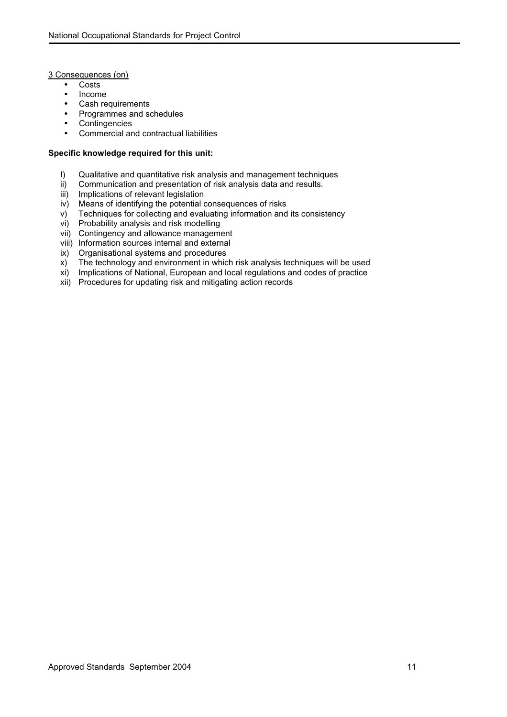#### 3 Consequences (on)

- Costs
- Income
- Cash requirements
- Programmes and schedules
- Contingencies
- Commercial and contractual liabilities

- I) Qualitative and quantitative risk analysis and management techniques
- ii) Communication and presentation of risk analysis data and results.
- iii) Implications of relevant legislation
- iv) Means of identifying the potential consequences of risks
- v) Techniques for collecting and evaluating information and its consistency<br>vi) Probability analysis and risk modelling
- Probability analysis and risk modelling
- vii) Contingency and allowance management
- viii) Information sources internal and external
- ix) Organisational systems and procedures
- x) The technology and environment in which risk analysis techniques will be used
- xi) Implications of National, European and local regulations and codes of practice
- xii) Procedures for updating risk and mitigating action records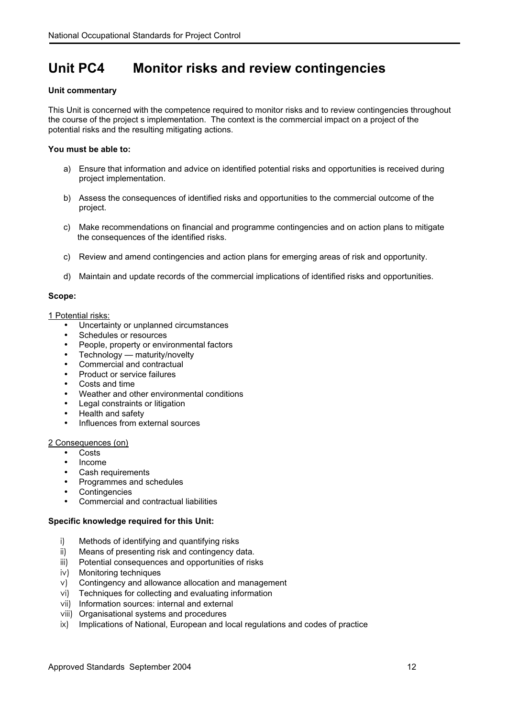### <span id="page-13-0"></span>**Unit PC4 Monitor risks and review contingencies**

#### **Unit commentary**

This Unit is concerned with the competence required to monitor risks and to review contingencies throughout the course of the project s implementation. The context is the commercial impact on a project of the potential risks and the resulting mitigating actions.

#### **You must be able to:**

- a) Ensure that information and advice on identified potential risks and opportunities is received during project implementation.
- b) Assess the consequences of identified risks and opportunities to the commercial outcome of the project.
- c) Make recommendations on financial and programme contingencies and on action plans to mitigate the consequences of the identified risks.
- c) Review and amend contingencies and action plans for emerging areas of risk and opportunity.
- d) Maintain and update records of the commercial implications of identified risks and opportunities.

#### **Scope:**

#### 1 Potential risks:

- Uncertainty or unplanned circumstances
- Schedules or resources
- People, property or environmental factors
- Technology maturity/novelty
- Commercial and contractual
- Product or service failures
- Costs and time
- Weather and other environmental conditions
- Legal constraints or litigation
- Health and safety
- Influences from external sources

#### 2 Consequences (on)

- Costs
- Income
- Cash requirements
- Programmes and schedules
- **Contingencies**
- Commercial and contractual liabilities

- i) Methods of identifying and quantifying risks
- ii) Means of presenting risk and contingency data.
- iii) Potential consequences and opportunities of risks
- iv) Monitoring techniques
- v) Contingency and allowance allocation and management
- vi) Techniques for collecting and evaluating information
- vii) Information sources: internal and external
- viii) Organisational systems and procedures
- ix) Implications of National, European and local regulations and codes of practice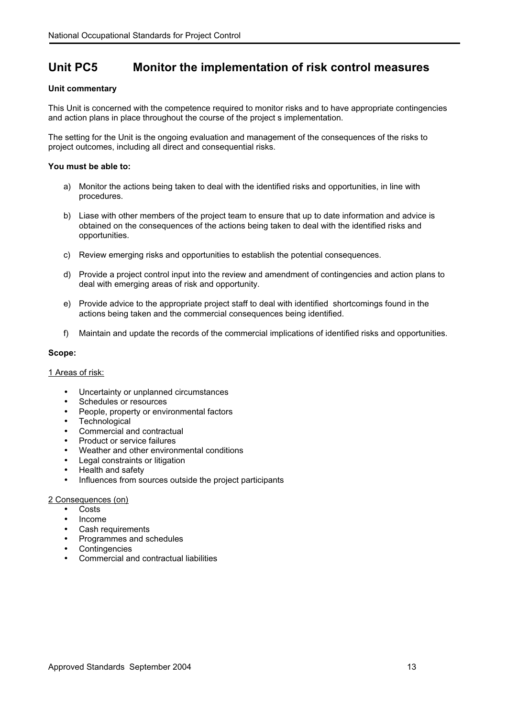### <span id="page-14-0"></span>**Unit PC5 Monitor the implementation of risk control measures**

#### **Unit commentary**

This Unit is concerned with the competence required to monitor risks and to have appropriate contingencies and action plans in place throughout the course of the project s implementation.

The setting for the Unit is the ongoing evaluation and management of the consequences of the risks to project outcomes, including all direct and consequential risks.

#### **You must be able to:**

- a) Monitor the actions being taken to deal with the identified risks and opportunities, in line with procedures.
- b) Liase with other members of the project team to ensure that up to date information and advice is obtained on the consequences of the actions being taken to deal with the identified risks and opportunities.
- c) Review emerging risks and opportunities to establish the potential consequences.
- d) Provide a project control input into the review and amendment of contingencies and action plans to deal with emerging areas of risk and opportunity.
- e) Provide advice to the appropriate project staff to deal with identified shortcomings found in the actions being taken and the commercial consequences being identified.
- f) Maintain and update the records of the commercial implications of identified risks and opportunities.

#### **Scope:**

#### 1 Areas of risk:

- Uncertainty or unplanned circumstances
- Schedules or resources
- People, property or environmental factors
- Technological
- Commercial and contractual
- Product or service failures
- Weather and other environmental conditions
- Legal constraints or litigation
- Health and safety
- Influences from sources outside the project participants

#### 2 Consequences (on)

- Costs
- Income
- Cash requirements
- Programmes and schedules
- **Contingencies**
- Commercial and contractual liabilities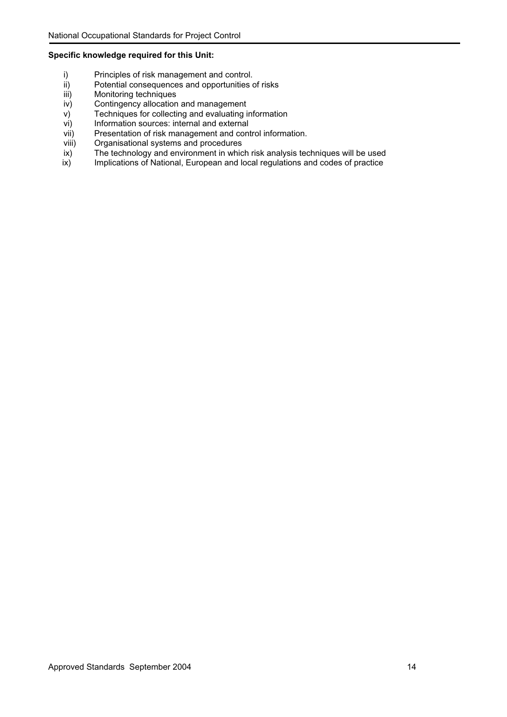- i) Principles of risk management and control.<br>ii) Potential consequences and opportunities o
- ii) Potential consequences and opportunities of risks<br>iii) Monitoring techniques
- iii) Monitoring techniques<br>iv) Contingency allocation
- Contingency allocation and management
- v) Techniques for collecting and evaluating information
- vi) Information sources: internal and external
- vii) Presentation of risk management and control information.
- viii) Organisational systems and procedures
- ix) The technology and environment in which risk analysis techniques will be used<br>ix) Implications of National, European and local regulations and codes of practice
- Implications of National, European and local regulations and codes of practice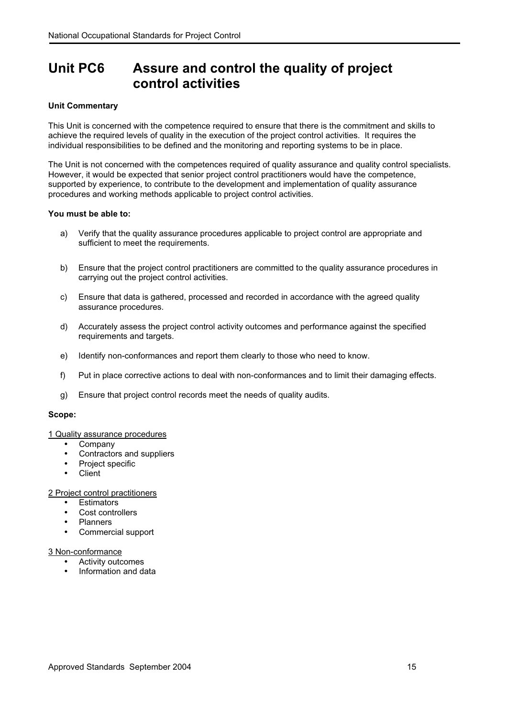### <span id="page-16-0"></span>**Unit PC6 Assure and control the quality of project control activities**

#### **Unit Commentary**

This Unit is concerned with the competence required to ensure that there is the commitment and skills to achieve the required levels of quality in the execution of the project control activities. It requires the individual responsibilities to be defined and the monitoring and reporting systems to be in place.

The Unit is not concerned with the competences required of quality assurance and quality control specialists. However, it would be expected that senior project control practitioners would have the competence, supported by experience, to contribute to the development and implementation of quality assurance procedures and working methods applicable to project control activities.

#### **You must be able to:**

- a) Verify that the quality assurance procedures applicable to project control are appropriate and sufficient to meet the requirements.
- b) Ensure that the project control practitioners are committed to the quality assurance procedures in carrying out the project control activities.
- c) Ensure that data is gathered, processed and recorded in accordance with the agreed quality assurance procedures.
- d) Accurately assess the project control activity outcomes and performance against the specified requirements and targets.
- e) Identify non-conformances and report them clearly to those who need to know.
- f) Put in place corrective actions to deal with non-conformances and to limit their damaging effects.
- g) Ensure that project control records meet the needs of quality audits.

#### **Scope:**

#### 1 Quality assurance procedures

- Company
- Contractors and suppliers
- Project specific
- Client

#### 2 Project control practitioners

- **Fstimators**
- Cost controllers
- Planners
- Commercial support

#### 3 Non-conformance

- Activity outcomes
- Information and data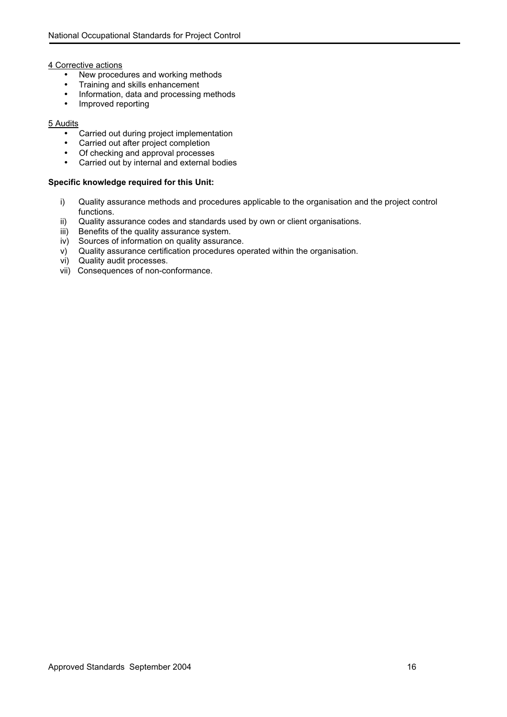4 Corrective actions

- New procedures and working methods
- Training and skills enhancement
- Information, data and processing methods
- Improved reporting

#### 5 Audits

- Carried out during project implementation
- Carried out after project completion
- Of checking and approval processes
- Carried out by internal and external bodies

- i) Quality assurance methods and procedures applicable to the organisation and the project control functions.
- ii) Quality assurance codes and standards used by own or client organisations.
- iii) Benefits of the quality assurance system.
- iv) Sources of information on quality assurance.
- v) Quality assurance certification procedures operated within the organisation.
- vi) Quality audit processes.
- vii) Consequences of non-conformance.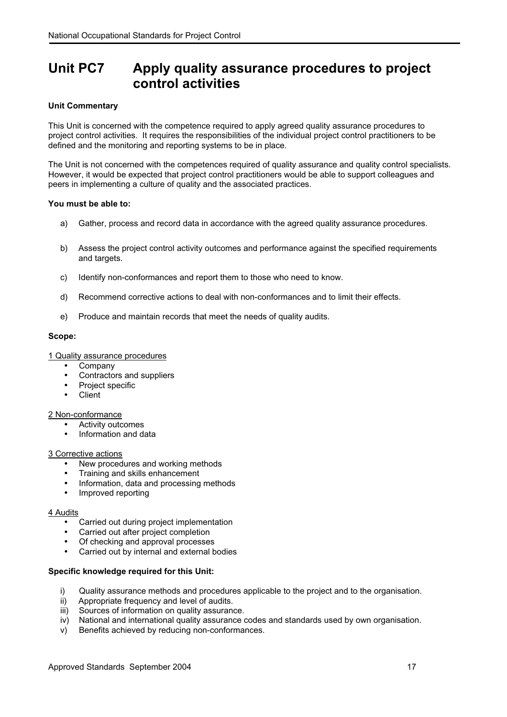### <span id="page-18-0"></span>**Unit PC7 Apply quality assurance procedures to project control activities**

#### **Unit Commentary**

This Unit is concerned with the competence required to apply agreed quality assurance procedures to project control activities. It requires the responsibilities of the individual project control practitioners to be defined and the monitoring and reporting systems to be in place.

The Unit is not concerned with the competences required of quality assurance and quality control specialists. However, it would be expected that project control practitioners would be able to support colleagues and peers in implementing a culture of quality and the associated practices.

#### **You must be able to:**

- a) Gather, process and record data in accordance with the agreed quality assurance procedures.
- b) Assess the project control activity outcomes and performance against the specified requirements and targets.
- c) Identify non-conformances and report them to those who need to know.
- d) Recommend corrective actions to deal with non-conformances and to limit their effects.
- e) Produce and maintain records that meet the needs of quality audits.

#### **Scope:**

1 Quality assurance procedures

- Company
- Contractors and suppliers
- Project specific
- Client

2 Non-conformance

- Activity outcomes
- Information and data

#### 3 Corrective actions

- New procedures and working methods
- Training and skills enhancement
- Information, data and processing methods
- Improved reporting

#### 4 Audits

- Carried out during project implementation
- Carried out after project completion
- Of checking and approval processes
- Carried out by internal and external bodies

- i) Quality assurance methods and procedures applicable to the project and to the organisation.
- ii) Appropriate frequency and level of audits.<br>iii) Sources of information on quality assurance
- 
- iii) Sources of information on quality assurance.<br>iv) National and international quality assurance of National and international quality assurance codes and standards used by own organisation.
- v) Benefits achieved by reducing non-conformances.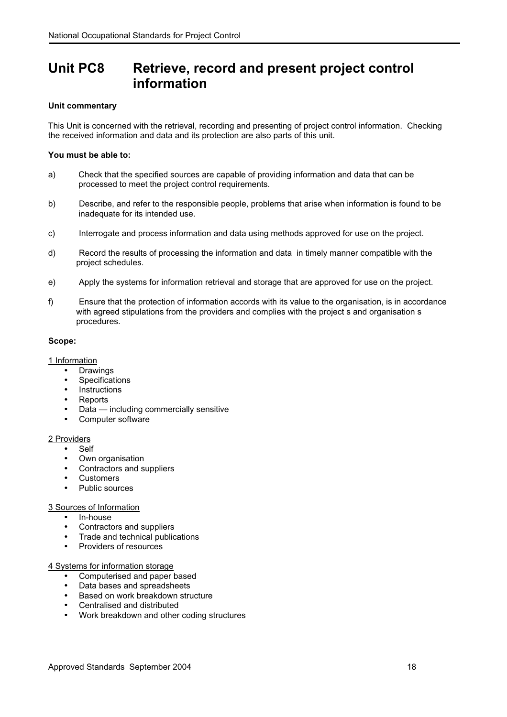### <span id="page-19-0"></span>**Unit PC8 Retrieve, record and present project control information**

#### **Unit commentary**

This Unit is concerned with the retrieval, recording and presenting of project control information. Checking the received information and data and its protection are also parts of this unit.

#### **You must be able to:**

- a) Check that the specified sources are capable of providing information and data that can be processed to meet the project control requirements.
- b) Describe, and refer to the responsible people, problems that arise when information is found to be inadequate for its intended use.
- c) Interrogate and process information and data using methods approved for use on the project.
- d) Record the results of processing the information and data in timely manner compatible with the project schedules.
- e) Apply the systems for information retrieval and storage that are approved for use on the project.
- f) Ensure that the protection of information accords with its value to the organisation, is in accordance with agreed stipulations from the providers and complies with the project s and organisation s procedures.

#### **Scope:**

1 Information

- Drawings
- **Specifications**
- Instructions
- Reports
- Data including commercially sensitive
- Computer software

#### 2 Providers

- Self
- Own organisation
- Contractors and suppliers
- Customers
- Public sources

#### 3 Sources of Information

- In-house
- Contractors and suppliers
- Trade and technical publications
- Providers of resources

#### 4 Systems for information storage

- Computerised and paper based
- Data bases and spreadsheets
- Based on work breakdown structure
- Centralised and distributed
- Work breakdown and other coding structures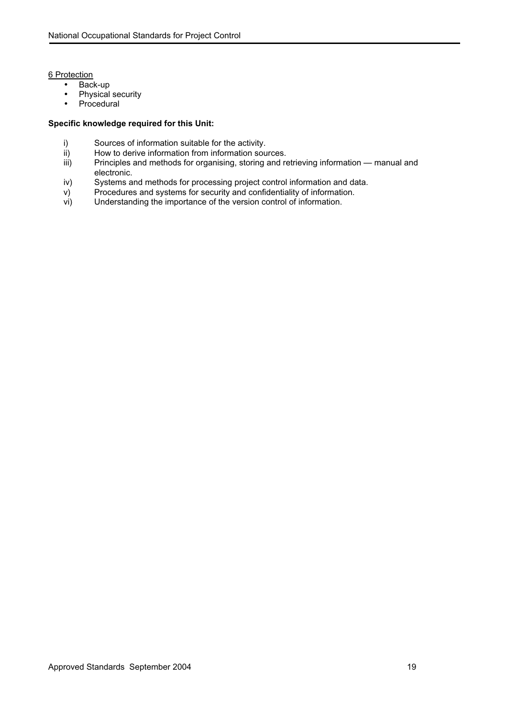6 Protection

- Back-up
- Physical security<br>• Procedural
- Procedural

- i) Sources of information suitable for the activity.
- ii) How to derive information from information sources.<br>iii) Principles and methods for organising, storing and re
- Principles and methods for organising, storing and retrieving information manual and electronic.
- iv) Systems and methods for processing project control information and data.
- v) Procedures and systems for security and confidentiality of information.<br>vi) Understanding the importance of the version control of information.
- Understanding the importance of the version control of information.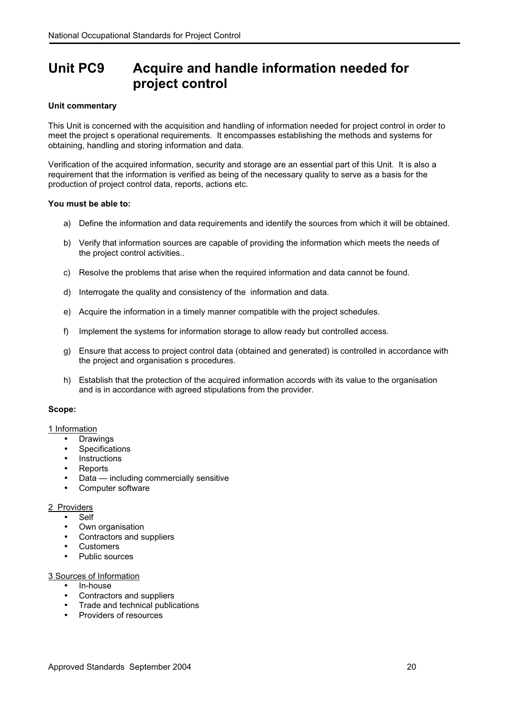### **Unit PC9 Acquire and handle information needed for project control**

#### **Unit commentary**

This Unit is concerned with the acquisition and handling of information needed for project control in order to meet the project s operational requirements. It encompasses establishing the methods and systems for obtaining, handling and storing information and data.

Verification of the acquired information, security and storage are an essential part of this Unit. It is also a requirement that the information is verified as being of the necessary quality to serve as a basis for the production of project control data, reports, actions etc.

#### **You must be able to:**

- a) Define the information and data requirements and identify the sources from which it will be obtained.
- b) Verify that information sources are capable of providing the information which meets the needs of the project control activities..
- c) Resolve the problems that arise when the required information and data cannot be found.
- d) Interrogate the quality and consistency of the information and data.
- e) Acquire the information in a timely manner compatible with the project schedules.
- f) Implement the systems for information storage to allow ready but controlled access.
- g) Ensure that access to project control data (obtained and generated) is controlled in accordance with the project and organisation s procedures.
- h) Establish that the protection of the acquired information accords with its value to the organisation and is in accordance with agreed stipulations from the provider.

#### **Scope:**

#### 1 Information

- **Drawings**
- Specifications
- **Instructions**
- **Reports**
- Data including commercially sensitive
- Computer software

#### 2 Providers

- Self
- Own organisation
- Contractors and suppliers
- **Customers**
- Public sources

#### 3 Sources of Information

- In-house
- Contractors and suppliers
- Trade and technical publications
- Providers of resources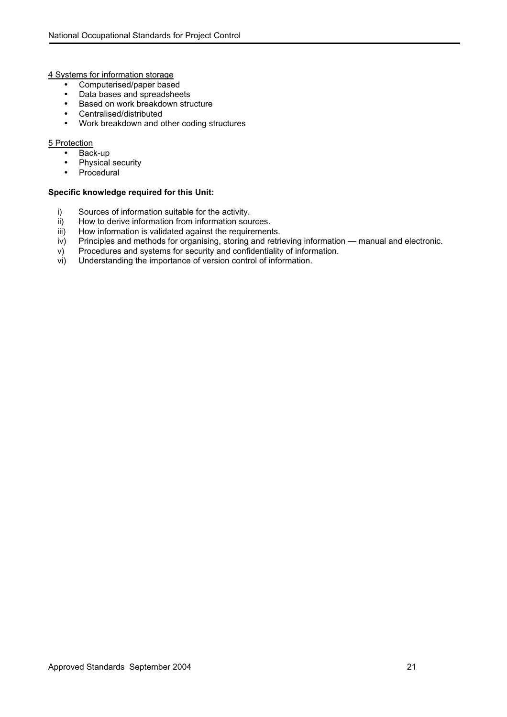4 Systems for information storage

- Computerised/paper based<br>• Data bases and spreadshee
- Data bases and spreadsheets<br>• Based on work breakdown stru
- Based on work breakdown structure
- Centralised/distributed
- Work breakdown and other coding structures

#### 5 Protection

- Back-up
- Physical security
- Procedural

- i) Sources of information suitable for the activity.
- ii) How to derive information from information sources.
- iii) How information is validated against the requirements.
- iv) Principles and methods for organising, storing and retrieving information manual and electronic.
- v) Procedures and systems for security and confidentiality of information.
- vi) Understanding the importance of version control of information.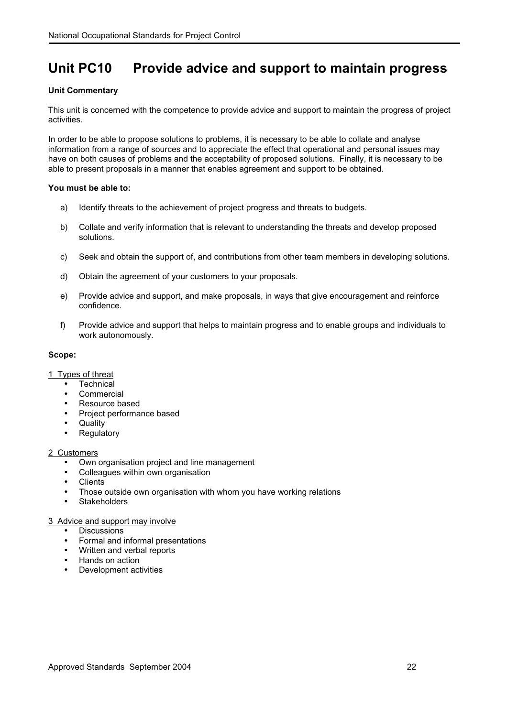### <span id="page-23-0"></span>**Unit PC10 Provide advice and support to maintain progress**

#### **Unit Commentary**

This unit is concerned with the competence to provide advice and support to maintain the progress of project activities.

In order to be able to propose solutions to problems, it is necessary to be able to collate and analyse information from a range of sources and to appreciate the effect that operational and personal issues may have on both causes of problems and the acceptability of proposed solutions. Finally, it is necessary to be able to present proposals in a manner that enables agreement and support to be obtained.

#### **You must be able to:**

- a) Identify threats to the achievement of project progress and threats to budgets.
- b) Collate and verify information that is relevant to understanding the threats and develop proposed solutions.
- c) Seek and obtain the support of, and contributions from other team members in developing solutions.
- d) Obtain the agreement of your customers to your proposals.
- e) Provide advice and support, and make proposals, in ways that give encouragement and reinforce confidence.
- f) Provide advice and support that helps to maintain progress and to enable groups and individuals to work autonomously.

#### **Scope:**

#### 1 Types of threat

- Technical
- **Commercial**
- Resource based
- Project performance based
- **Quality**
- **Regulatory**

#### 2 Customers

- Own organisation project and line management
- Colleagues within own organisation
- **Clients**
- Those outside own organisation with whom you have working relations
- **Stakeholders**

#### 3 Advice and support may involve

- **Discussions**
- Formal and informal presentations
- Written and verbal reports
- Hands on action
- Development activities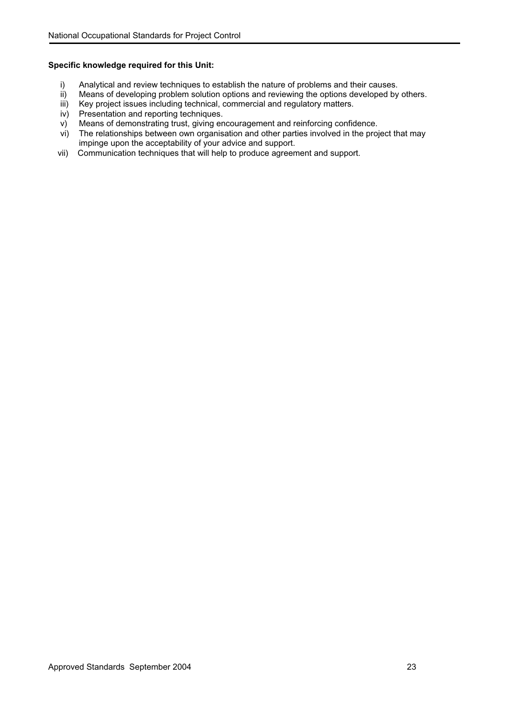- i) Analytical and review techniques to establish the nature of problems and their causes.<br>ii) Means of developing problem solution options and reviewing the options developed by
- ii) Means of developing problem solution options and reviewing the options developed by others.<br>iii) Key project issues including technical, commercial and regulatory matters.
- iii) Key project issues including technical, commercial and regulatory matters.<br>iv) Presentation and reporting techniques.
- Presentation and reporting techniques.
- v) Means of demonstrating trust, giving encouragement and reinforcing confidence.<br>vi) The relationships between own organisation and other parties involved in the proj
- The relationships between own organisation and other parties involved in the project that may impinge upon the acceptability of your advice and support.
- vii) Communication techniques that will help to produce agreement and support.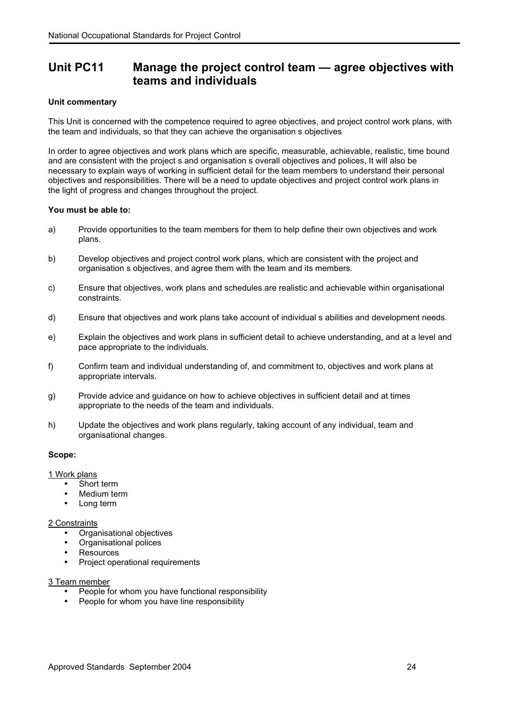### <span id="page-25-0"></span>**Unit PC11 Manage the project control team — agree objectives with teams and individuals**

#### **Unit commentary**

This Unit is concerned with the competence required to agree objectives, and project control work plans, with the team and individuals, so that they can achieve the organisation s objectives

In order to agree objectives and work plans which are specific, measurable, achievable, realistic, time bound and are consistent with the project s and organisation s overall objectives and polices, It will also be necessary to explain ways of working in sufficient detail for the team members to understand their personal objectives and responsibilities. There will be a need to update objectives and project control work plans in the light of progress and changes throughout the project.

#### **You must be able to:**

- a) Provide opportunities to the team members for them to help define their own objectives and work plans.
- b) Develop objectives and project control work plans, which are consistent with the project and organisation s objectives, and agree them with the team and its members.
- c) Ensure that objectives, work plans and schedules are realistic and achievable within organisational constraints.
- d) Ensure that objectives and work plans take account of individual s abilities and development needs.
- e) Explain the objectives and work plans in sufficient detail to achieve understanding, and at a level and pace appropriate to the individuals.
- f) Confirm team and individual understanding of, and commitment to, objectives and work plans at appropriate intervals.
- g) Provide advice and guidance on how to achieve objectives in sufficient detail and at times appropriate to the needs of the team and individuals.
- h) Update the objectives and work plans regularly, taking account of any individual, team and organisational changes.

#### **Scope:**

#### 1 Work plans

- Short term
- Medium term
- Long term

#### 2 Constraints

- Organisational objectives
- Organisational polices
- **Resources**
- Project operational requirements

#### 3 Team member

- People for whom you have functional responsibility
- People for whom you have line responsibility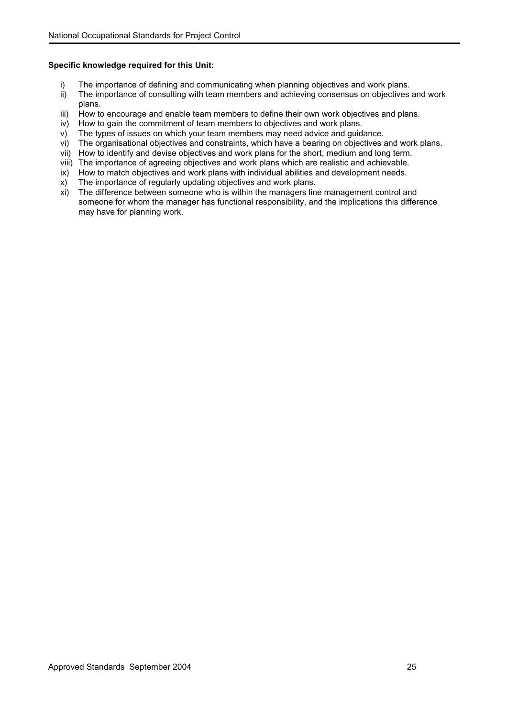- i) The importance of defining and communicating when planning objectives and work plans.<br>ii) The importance of consulting with team members and achieving consensus on objectives
- The importance of consulting with team members and achieving consensus on objectives and work plans.
- iii) How to encourage and enable team members to define their own work objectives and plans.
- iv) How to gain the commitment of team members to objectives and work plans.
- v) The types of issues on which your team members may need advice and guidance.
- vi) The organisational objectives and constraints, which have a bearing on objectives and work plans.
- vii) How to identify and devise objectives and work plans for the short, medium and long term.
- viii) The importance of agreeing objectives and work plans which are realistic and achievable.<br>ix) How to match objectives and work plans with individual abilities and development needs.
- How to match objectives and work plans with individual abilities and development needs.
- x) The importance of regularly updating objectives and work plans.
- xi) The difference between someone who is within the managers line management control and someone for whom the manager has functional responsibility, and the implications this difference may have for planning work.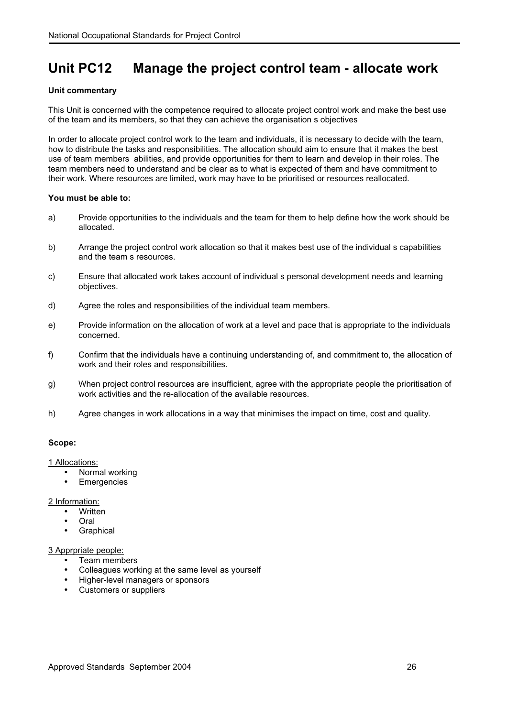### <span id="page-27-0"></span>**Unit PC12 Manage the project control team - allocate work**

#### **Unit commentary**

This Unit is concerned with the competence required to allocate project control work and make the best use of the team and its members, so that they can achieve the organisation s objectives

In order to allocate project control work to the team and individuals, it is necessary to decide with the team, how to distribute the tasks and responsibilities. The allocation should aim to ensure that it makes the best use of team members abilities, and provide opportunities for them to learn and develop in their roles. The team members need to understand and be clear as to what is expected of them and have commitment to their work. Where resources are limited, work may have to be prioritised or resources reallocated.

#### **You must be able to:**

- a) Provide opportunities to the individuals and the team for them to help define how the work should be allocated.
- b) Arrange the project control work allocation so that it makes best use of the individual s capabilities and the team s resources.
- c) Ensure that allocated work takes account of individual s personal development needs and learning objectives.
- d) Agree the roles and responsibilities of the individual team members.
- e) Provide information on the allocation of work at a level and pace that is appropriate to the individuals concerned.
- f) Confirm that the individuals have a continuing understanding of, and commitment to, the allocation of work and their roles and responsibilities.
- g) When project control resources are insufficient, agree with the appropriate people the prioritisation of work activities and the re-allocation of the available resources.
- h) Agree changes in work allocations in a way that minimises the impact on time, cost and quality.

#### **Scope:**

1 Allocations:

- Normal working
- **Emergencies**

2 Information:

- Written
- Oral
- Graphical

#### 3 Apprpriate people:

- Team members
- Colleagues working at the same level as yourself
- Higher-level managers or sponsors
- Customers or suppliers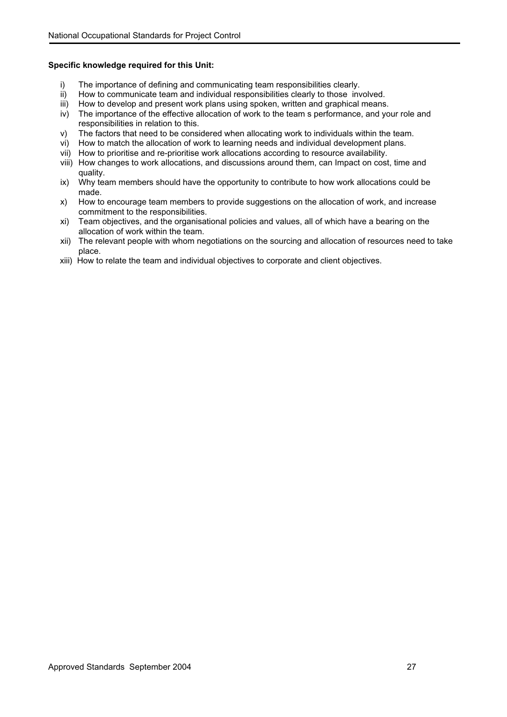- i) The importance of defining and communicating team responsibilities clearly.<br>ii) How to communicate team and individual responsibilities clearly to those inv
- How to communicate team and individual responsibilities clearly to those involved.
- iii) How to develop and present work plans using spoken, written and graphical means.
- iv) The importance of the effective allocation of work to the team s performance, and your role and responsibilities in relation to this.
- v) The factors that need to be considered when allocating work to individuals within the team.<br>vi) How to match the allocation of work to learning needs and individual development plans.
- How to match the allocation of work to learning needs and individual development plans.
- vii) How to prioritise and re-prioritise work allocations according to resource availability.
- viii) How changes to work allocations, and discussions around them, can Impact on cost, time and quality.
- ix) Why team members should have the opportunity to contribute to how work allocations could be made.
- x) How to encourage team members to provide suggestions on the allocation of work, and increase commitment to the responsibilities.
- xi) Team objectives, and the organisational policies and values, all of which have a bearing on the allocation of work within the team.
- xii) The relevant people with whom negotiations on the sourcing and allocation of resources need to take place.
- xiii) How to relate the team and individual objectives to corporate and client objectives.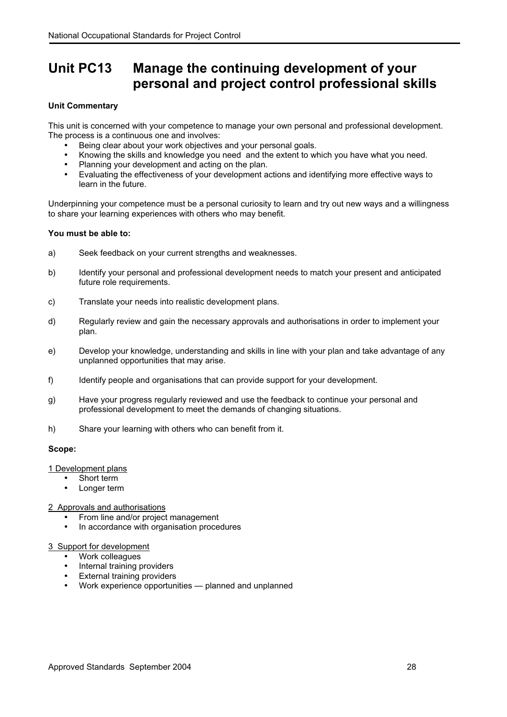### <span id="page-29-0"></span>**Unit PC13 Manage the continuing development of your personal and project control professional skills**

#### **Unit Commentary**

This unit is concerned with your competence to manage your own personal and professional development. The process is a continuous one and involves:

- Being clear about your work objectives and your personal goals.
- Knowing the skills and knowledge you need and the extent to which you have what you need.
- Planning your development and acting on the plan.
- Evaluating the effectiveness of your development actions and identifying more effective ways to learn in the future.

Underpinning your competence must be a personal curiosity to learn and try out new ways and a willingness to share your learning experiences with others who may benefit.

#### **You must be able to:**

- a) Seek feedback on your current strengths and weaknesses.
- b) Identify your personal and professional development needs to match your present and anticipated future role requirements.
- c) Translate your needs into realistic development plans.
- d) Regularly review and gain the necessary approvals and authorisations in order to implement your plan.
- e) Develop your knowledge, understanding and skills in line with your plan and take advantage of any unplanned opportunities that may arise.
- f) Identify people and organisations that can provide support for your development.
- g) Have your progress regularly reviewed and use the feedback to continue your personal and professional development to meet the demands of changing situations.
- h) Share your learning with others who can benefit from it.

#### **Scope:**

#### 1 Development plans

- Short term
- Longer term

#### 2 Approvals and authorisations

- From line and/or project management
- In accordance with organisation procedures

#### 3 Support for development

- Work colleagues
- Internal training providers
- External training providers
- Work experience opportunities planned and unplanned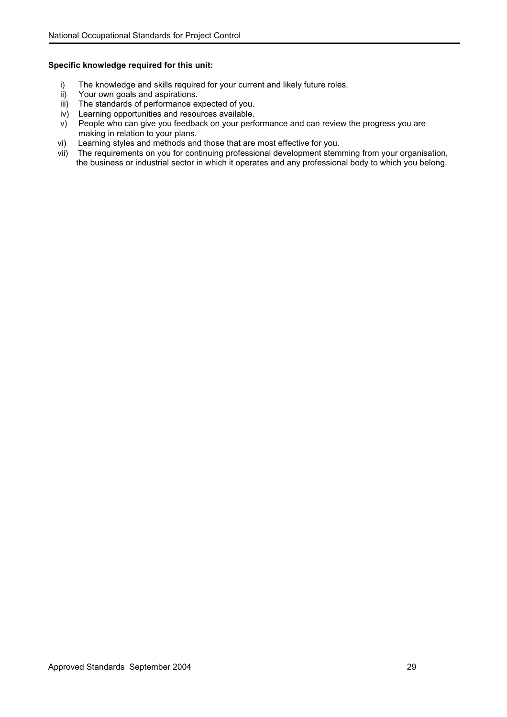- i) The knowledge and skills required for your current and likely future roles.<br>ii) Your own goals and aspirations.
- Your own goals and aspirations.
- iii) The standards of performance expected of you.
- iv) Learning opportunities and resources available.
- v) People who can give you feedback on your performance and can review the progress you are making in relation to your plans.<br>Learning styles and methods and those that are most effective for you.
- vi) Learning styles and methods and those that are most effective for you.
- vii) The requirements on you for continuing professional development stemming from your organisation, the business or industrial sector in which it operates and any professional body to which you belong.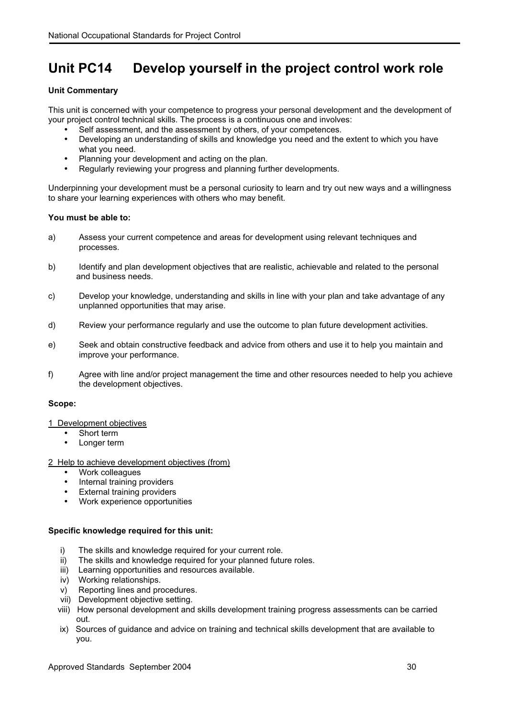### <span id="page-31-0"></span>**Unit PC14 Develop yourself in the project control work role**

#### **Unit Commentary**

This unit is concerned with your competence to progress your personal development and the development of your project control technical skills. The process is a continuous one and involves:

- Self assessment, and the assessment by others, of your competences.
- Developing an understanding of skills and knowledge you need and the extent to which you have what you need.
- Planning your development and acting on the plan.
- Regularly reviewing your progress and planning further developments.

Underpinning your development must be a personal curiosity to learn and try out new ways and a willingness to share your learning experiences with others who may benefit.

#### **You must be able to:**

- a) Assess your current competence and areas for development using relevant techniques and processes.
- b) Identify and plan development objectives that are realistic, achievable and related to the personal and business needs.
- c) Develop your knowledge, understanding and skills in line with your plan and take advantage of any unplanned opportunities that may arise.
- d) Review your performance regularly and use the outcome to plan future development activities.
- e) Seek and obtain constructive feedback and advice from others and use it to help you maintain and improve your performance.
- f) Agree with line and/or project management the time and other resources needed to help you achieve the development objectives.

#### **Scope:**

- 1 Development objectives
	- Short term
	- Longer term
- 2 Help to achieve development objectives (from)
	- Work colleagues
	- Internal training providers
	- **External training providers**
	- Work experience opportunities

- i) The skills and knowledge required for your current role.
- ii) The skills and knowledge required for your planned future roles.
- iii) Learning opportunities and resources available.
- iv) Working relationships.
- v) Reporting lines and procedures.
- vii) Development objective setting.
- viii) How personal development and skills development training progress assessments can be carried out.
- ix) Sources of guidance and advice on training and technical skills development that are available to you.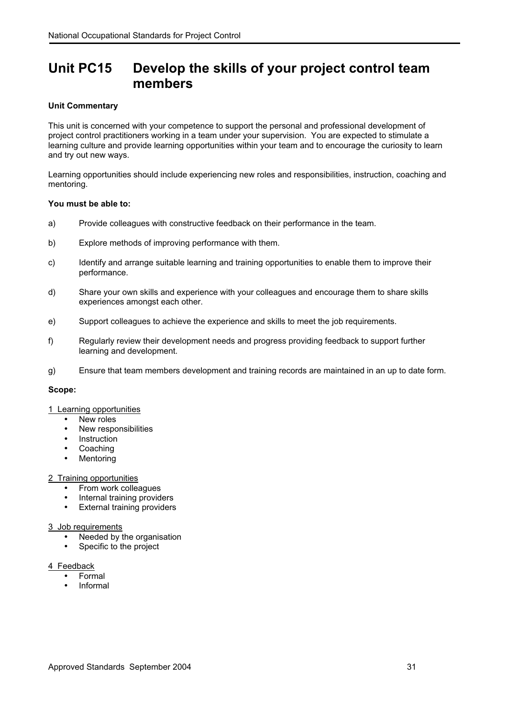### <span id="page-32-0"></span>**Unit PC15 Develop the skills of your project control team members**

#### **Unit Commentary**

This unit is concerned with your competence to support the personal and professional development of project control practitioners working in a team under your supervision. You are expected to stimulate a learning culture and provide learning opportunities within your team and to encourage the curiosity to learn and try out new ways.

Learning opportunities should include experiencing new roles and responsibilities, instruction, coaching and mentoring.

#### **You must be able to:**

- a) Provide colleagues with constructive feedback on their performance in the team.
- b) Explore methods of improving performance with them.
- c) Identify and arrange suitable learning and training opportunities to enable them to improve their performance.
- d) Share your own skills and experience with your colleagues and encourage them to share skills experiences amongst each other.
- e) Support colleagues to achieve the experience and skills to meet the job requirements.
- f) Regularly review their development needs and progress providing feedback to support further learning and development.
- g) Ensure that team members development and training records are maintained in an up to date form.

#### **Scope:**

#### 1 Learning opportunities

- New roles
- New responsibilities
- Instruction
- Coaching
- **Mentoring**

#### 2 Training opportunities

- From work colleagues
- Internal training providers
- External training providers

#### 3 Job requirements

- Needed by the organisation
- Specific to the project

#### 4 Feedback

- Formal
- Informal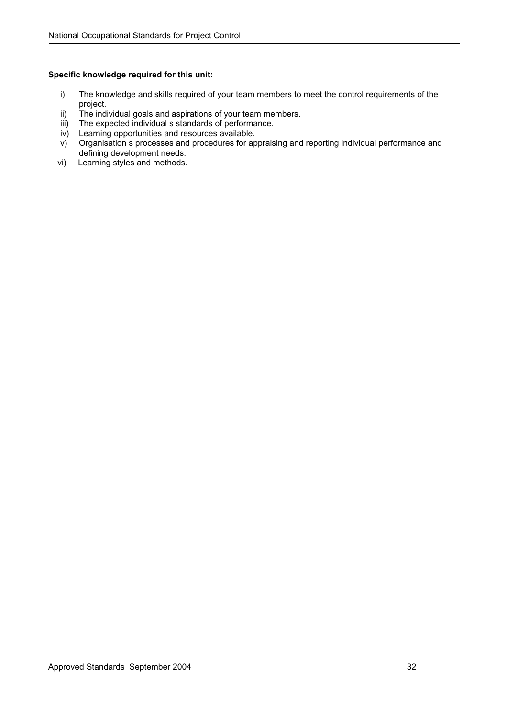- i) The knowledge and skills required of your team members to meet the control requirements of the project.
- ii) The individual goals and aspirations of your team members.
- iii) The expected individual s standards of performance.
- iv) Learning opportunities and resources available.
- v) Organisation s processes and procedures for appraising and reporting individual performance and defining development needs.
- vi) Learning styles and methods.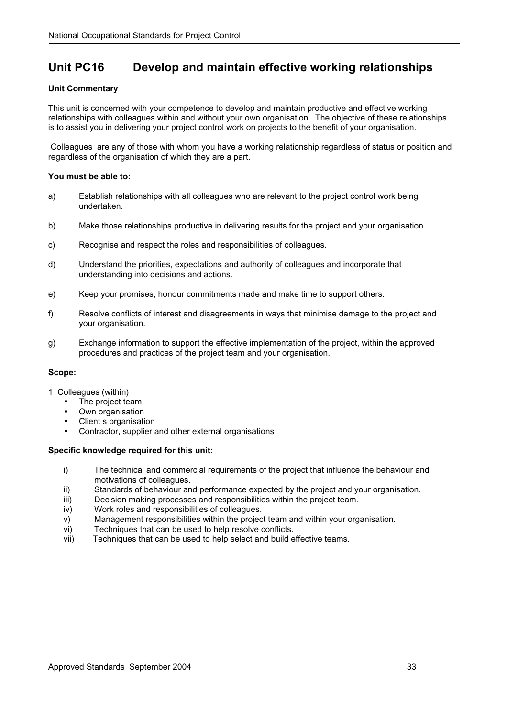### <span id="page-34-0"></span>**Unit PC16 Develop and maintain effective working relationships**

#### **Unit Commentary**

This unit is concerned with your competence to develop and maintain productive and effective working relationships with colleagues within and without your own organisation. The objective of these relationships is to assist you in delivering your project control work on projects to the benefit of your organisation.

Colleagues are any of those with whom you have a working relationship regardless of status or position and regardless of the organisation of which they are a part.

#### **You must be able to:**

- a) Establish relationships with all colleagues who are relevant to the project control work being undertaken.
- b) Make those relationships productive in delivering results for the project and your organisation.
- c) Recognise and respect the roles and responsibilities of colleagues.
- d) Understand the priorities, expectations and authority of colleagues and incorporate that understanding into decisions and actions.
- e) Keep your promises, honour commitments made and make time to support others.
- f) Resolve conflicts of interest and disagreements in ways that minimise damage to the project and your organisation.
- g) Exchange information to support the effective implementation of the project, within the approved procedures and practices of the project team and your organisation.

#### **Scope:**

#### 1 Colleagues (within)

- The project team
- Own organisation
- Client s organisation
- Contractor, supplier and other external organisations

- i) The technical and commercial requirements of the project that influence the behaviour and motivations of colleagues.
- ii) Standards of behaviour and performance expected by the project and your organisation.
- iii) Decision making processes and responsibilities within the project team.
- iv) Work roles and responsibilities of colleagues.
- v) Management responsibilities within the project team and within your organisation.
- vi) Techniques that can be used to help resolve conflicts.
- vii) Techniques that can be used to help select and build effective teams.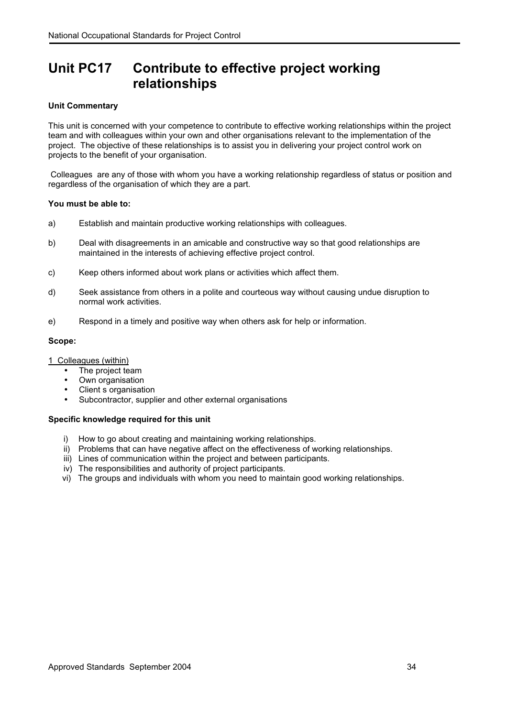### <span id="page-35-0"></span>**Unit PC17 Contribute to effective project working relationships**

#### **Unit Commentary**

This unit is concerned with your competence to contribute to effective working relationships within the project team and with colleagues within your own and other organisations relevant to the implementation of the project. The objective of these relationships is to assist you in delivering your project control work on projects to the benefit of your organisation.

Colleagues are any of those with whom you have a working relationship regardless of status or position and regardless of the organisation of which they are a part.

#### **You must be able to:**

- a) Establish and maintain productive working relationships with colleagues.
- b) Deal with disagreements in an amicable and constructive way so that good relationships are maintained in the interests of achieving effective project control.
- c) Keep others informed about work plans or activities which affect them.
- d) Seek assistance from others in a polite and courteous way without causing undue disruption to normal work activities.
- e) Respond in a timely and positive way when others ask for help or information.

#### **Scope:**

1 Colleagues (within)

- The project team
- Own organisation
- Client s organisation
- Subcontractor, supplier and other external organisations

- i) How to go about creating and maintaining working relationships.
- ii) Problems that can have negative affect on the effectiveness of working relationships.
- iii) Lines of communication within the project and between participants.
- iv) The responsibilities and authority of project participants.
- vi) The groups and individuals with whom you need to maintain good working relationships.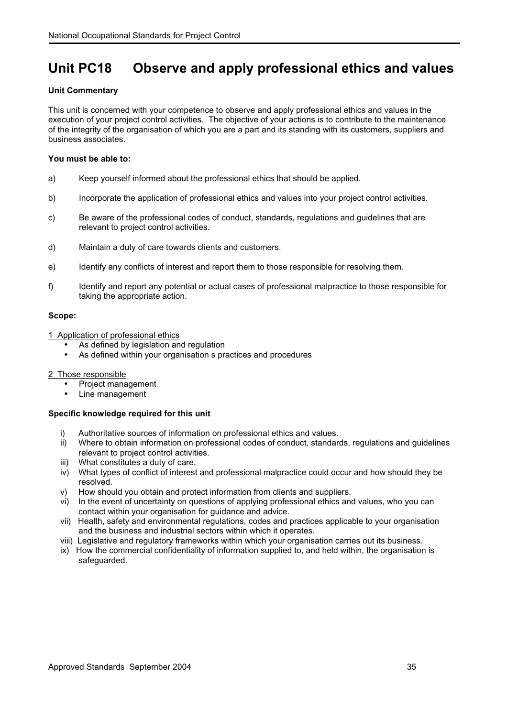## **Unit PC18 Observe and apply professional ethics and values**

## **Unit Commentary**

This unit is concerned with your competence to observe and apply professional ethics and values in the execution of your project control activities. The objective of your actions is to contribute to the maintenance of the integrity of the organisation of which you are a part and its standing with its customers, suppliers and business associates.

## **You must be able to:**

- a) Keep yourself informed about the professional ethics that should be applied.
- b) Incorporate the application of professional ethics and values into your project control activities.
- c) Be aware of the professional codes of conduct, standards, regulations and guidelines that are relevant to project control activities.
- d) Maintain a duty of care towards clients and customers.
- e) Identify any conflicts of interest and report them to those responsible for resolving them.
- f) Identify and report any potential or actual cases of professional malpractice to those responsible for taking the appropriate action.

## **Scope:**

- 1 Application of professional ethics
	- As defined by legislation and regulation
	- As defined within your organisation s practices and procedures

## 2 Those responsible

- Project management
- Line management

- i) Authoritative sources of information on professional ethics and values.
- ii) Where to obtain information on professional codes of conduct, standards, regulations and guidelines relevant to project control activities.
- iii) What constitutes a duty of care.
- iv) What types of conflict of interest and professional malpractice could occur and how should they be resolved.
- v) How should you obtain and protect information from clients and suppliers.
- vi) In the event of uncertainty on questions of applying professional ethics and values, who you can contact within your organisation for guidance and advice.
- vii) Health, safety and environmental regulations, codes and practices applicable to your organisation and the business and industrial sectors within which it operates.
- viii) Legislative and regulatory frameworks within which your organisation carries out its business.
- ix) How the commercial confidentiality of information supplied to, and held within, the organisation is safeguarded.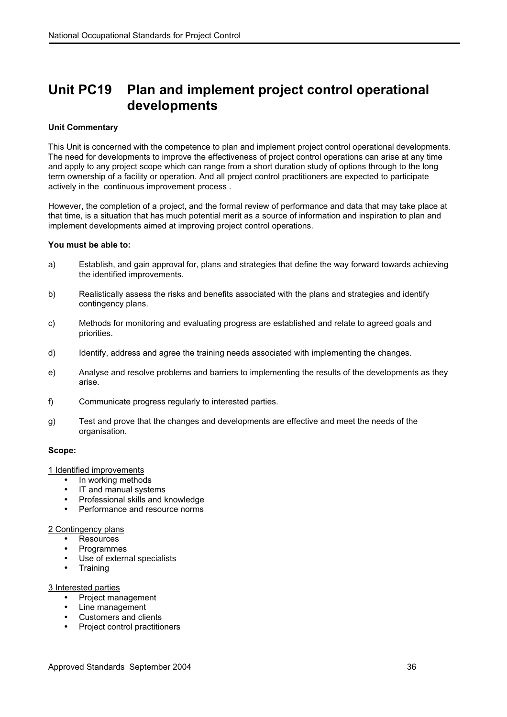## **Unit PC19 Plan and implement project control operational developments**

## **Unit Commentary**

This Unit is concerned with the competence to plan and implement project control operational developments. The need for developments to improve the effectiveness of project control operations can arise at any time and apply to any project scope which can range from a short duration study of options through to the long term ownership of a facility or operation. And all project control practitioners are expected to participate actively in the continuous improvement process .

However, the completion of a project, and the formal review of performance and data that may take place at that time, is a situation that has much potential merit as a source of information and inspiration to plan and implement developments aimed at improving project control operations.

## **You must be able to:**

- a) Establish, and gain approval for, plans and strategies that define the way forward towards achieving the identified improvements.
- b) Realistically assess the risks and benefits associated with the plans and strategies and identify contingency plans.
- c) Methods for monitoring and evaluating progress are established and relate to agreed goals and priorities.
- d) Identify, address and agree the training needs associated with implementing the changes.
- e) Analyse and resolve problems and barriers to implementing the results of the developments as they arise.
- f) Communicate progress regularly to interested parties.
- g) Test and prove that the changes and developments are effective and meet the needs of the organisation.

#### **Scope:**

1 Identified improvements

- In working methods
- IT and manual systems
- Professional skills and knowledge
- Performance and resource norms

## 2 Contingency plans

- **Resources**
- **Programmes**
- Use of external specialists
- Training

## 3 Interested parties

- Project management
- Line management
- Customers and clients
- Project control practitioners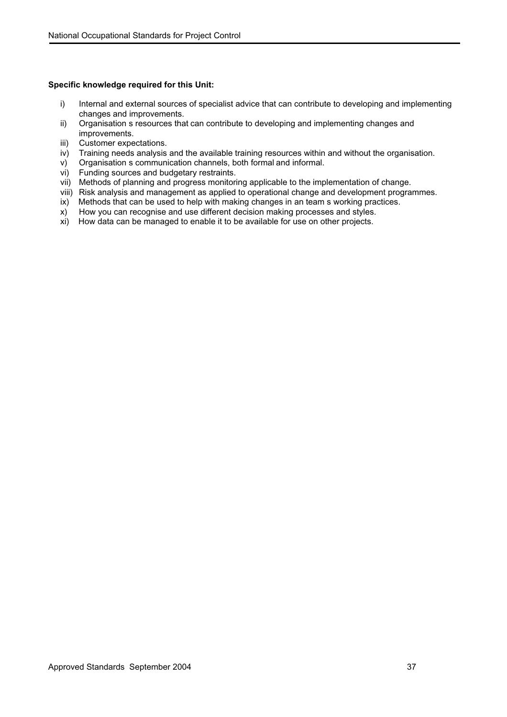- i) Internal and external sources of specialist advice that can contribute to developing and implementing changes and improvements.
- ii) Organisation s resources that can contribute to developing and implementing changes and improvements.
- iii) Customer expectations.
- iv) Training needs analysis and the available training resources within and without the organisation.
- v) Organisation s communication channels, both formal and informal.
- vi) Funding sources and budgetary restraints.
- vii) Methods of planning and progress monitoring applicable to the implementation of change.
- viii) Risk analysis and management as applied to operational change and development programmes.
- ix) Methods that can be used to help with making changes in an team s working practices.
- x) How you can recognise and use different decision making processes and styles.
- xi) How data can be managed to enable it to be available for use on other projects.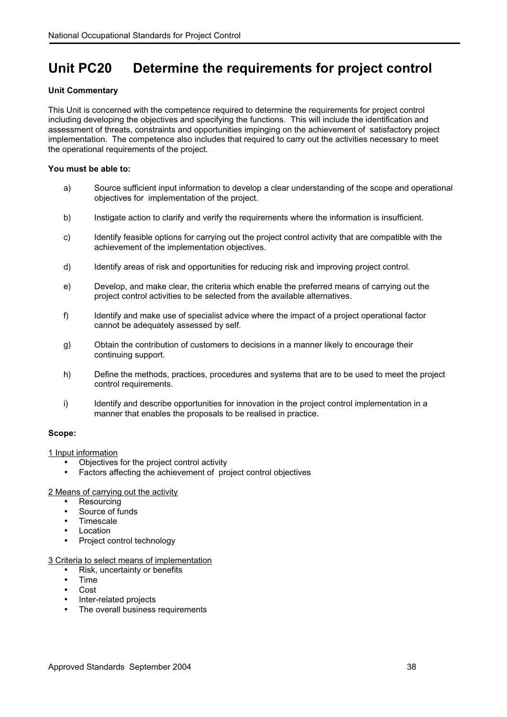## **Unit PC20 Determine the requirements for project control**

## **Unit Commentary**

This Unit is concerned with the competence required to determine the requirements for project control including developing the objectives and specifying the functions. This will include the identification and assessment of threats, constraints and opportunities impinging on the achievement of satisfactory project implementation. The competence also includes that required to carry out the activities necessary to meet the operational requirements of the project.

## **You must be able to:**

- a) Source sufficient input information to develop a clear understanding of the scope and operational objectives for implementation of the project.
- b) Instigate action to clarify and verify the requirements where the information is insufficient.
- c) Identify feasible options for carrying out the project control activity that are compatible with the achievement of the implementation objectives.
- d) Identify areas of risk and opportunities for reducing risk and improving project control.
- e) Develop, and make clear, the criteria which enable the preferred means of carrying out the project control activities to be selected from the available alternatives.
- f) Identify and make use of specialist advice where the impact of a project operational factor cannot be adequately assessed by self.
- g) Obtain the contribution of customers to decisions in a manner likely to encourage their continuing support.
- h) Define the methods, practices, procedures and systems that are to be used to meet the project control requirements.
- i) Identify and describe opportunities for innovation in the project control implementation in a manner that enables the proposals to be realised in practice.

## **Scope:**

1 Input information

- Objectives for the project control activity
- Factors affecting the achievement of project control objectives

## 2 Means of carrying out the activity

- **Resourcing**
- Source of funds
- Timescale
- Location
- Project control technology

## 3 Criteria to select means of implementation

- Risk, uncertainty or benefits
- Time
- Cost
- Inter-related projects
- The overall business requirements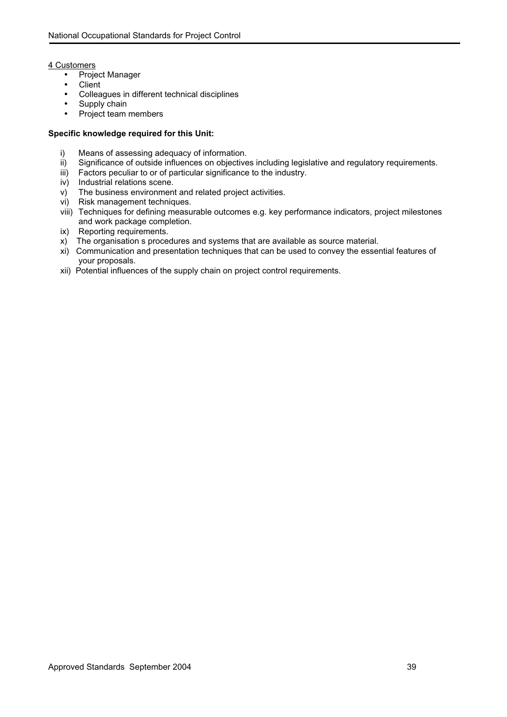## 4 Customers

- Project Manager
- Client
- Colleagues in different technical disciplines
- Supply chain
- Project team members

- i) Means of assessing adequacy of information.
- ii) Significance of outside influences on objectives including legislative and regulatory requirements.
- iii) Factors peculiar to or of particular significance to the industry.
- iv) Industrial relations scene.
- v) The business environment and related project activities.
- vi) Risk management techniques.
- viii) Techniques for defining measurable outcomes e.g. key performance indicators, project milestones and work package completion.
- ix) Reporting requirements.
- x) The organisation s procedures and systems that are available as source material.
- xi) Communication and presentation techniques that can be used to convey the essential features of your proposals.
- xii) Potential influences of the supply chain on project control requirements.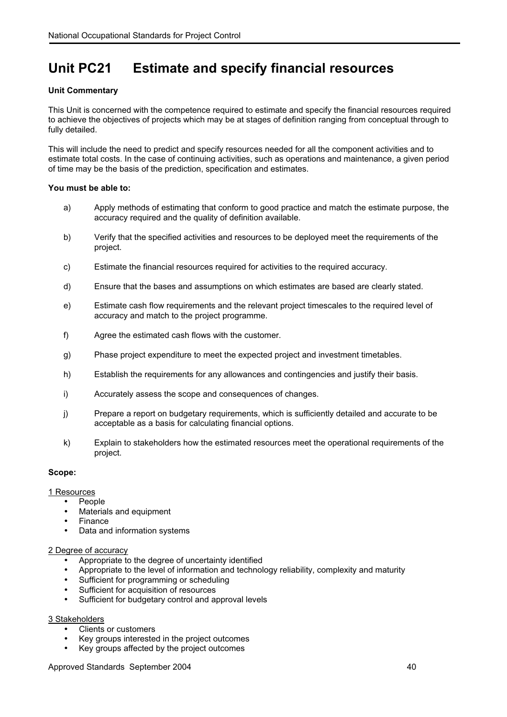## **Unit PC21 Estimate and specify financial resources**

## **Unit Commentary**

This Unit is concerned with the competence required to estimate and specify the financial resources required to achieve the objectives of projects which may be at stages of definition ranging from conceptual through to fully detailed.

This will include the need to predict and specify resources needed for all the component activities and to estimate total costs. In the case of continuing activities, such as operations and maintenance, a given period of time may be the basis of the prediction, specification and estimates.

## **You must be able to:**

- a) Apply methods of estimating that conform to good practice and match the estimate purpose, the accuracy required and the quality of definition available.
- b) Verify that the specified activities and resources to be deployed meet the requirements of the project.
- c) Estimate the financial resources required for activities to the required accuracy.
- d) Ensure that the bases and assumptions on which estimates are based are clearly stated.
- e) Estimate cash flow requirements and the relevant project timescales to the required level of accuracy and match to the project programme.
- f) Agree the estimated cash flows with the customer.
- g) Phase project expenditure to meet the expected project and investment timetables.
- h) Establish the requirements for any allowances and contingencies and justify their basis.
- i) Accurately assess the scope and consequences of changes.
- j) Prepare a report on budgetary requirements, which is sufficiently detailed and accurate to be acceptable as a basis for calculating financial options.
- k) Explain to stakeholders how the estimated resources meet the operational requirements of the project.

## **Scope:**

## 1 Resources

- People
	- Materials and equipment
	- Finance
	- Data and information systems

## 2 Degree of accuracy

- Appropriate to the degree of uncertainty identified
- Appropriate to the level of information and technology reliability, complexity and maturity
- Sufficient for programming or scheduling
- Sufficient for acquisition of resources
- Sufficient for budgetary control and approval levels

## 3 Stakeholders

- Clients or customers
- Key groups interested in the project outcomes
- Key groups affected by the project outcomes

## Approved Standards September 2004 40 and the state of the state of the 40 and 40 and 40 and 40 and 40 and 40 and 40 and 40 and 40 and 40 and 40 and 40 and 40 and 40 and 40 and 40 and 40 and 40 and 40 and 40 and 40 and 40 a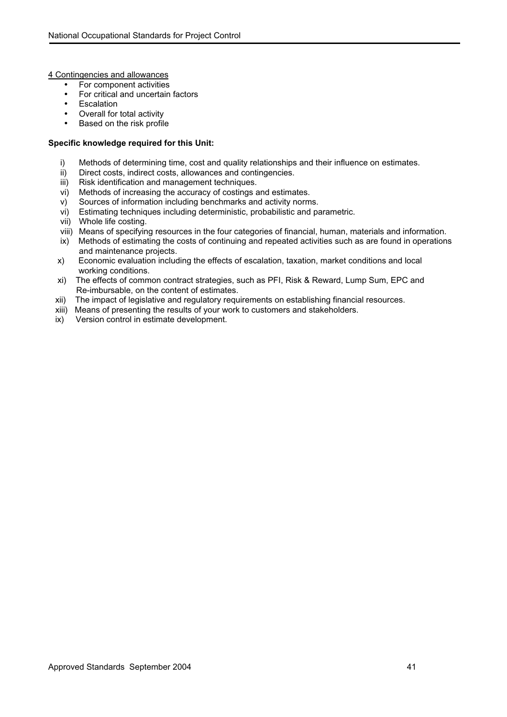4 Contingencies and allowances

- For component activities
- For critical and uncertain factors
- Escalation
- Overall for total activity
- Based on the risk profile

- i) Methods of determining time, cost and quality relationships and their influence on estimates.
- ii) Direct costs, indirect costs, allowances and contingencies.<br>iii) Risk identification and management techniques.
- Risk identification and management techniques.
- vi) Methods of increasing the accuracy of costings and estimates.
- v) Sources of information including benchmarks and activity norms.
- vi) Estimating techniques including deterministic, probabilistic and parametric.
- vii) Whole life costing.
- viii) Means of specifying resources in the four categories of financial, human, materials and information.
- ix) Methods of estimating the costs of continuing and repeated activities such as are found in operations and maintenance projects.
- x) Economic evaluation including the effects of escalation, taxation, market conditions and local working conditions.
- xi) The effects of common contract strategies, such as PFI, Risk & Reward, Lump Sum, EPC and Re-imbursable, on the content of estimates.
- xii) The impact of legislative and regulatory requirements on establishing financial resources.
- xiii) Means of presenting the results of your work to customers and stakeholders.
- ix) Version control in estimate development.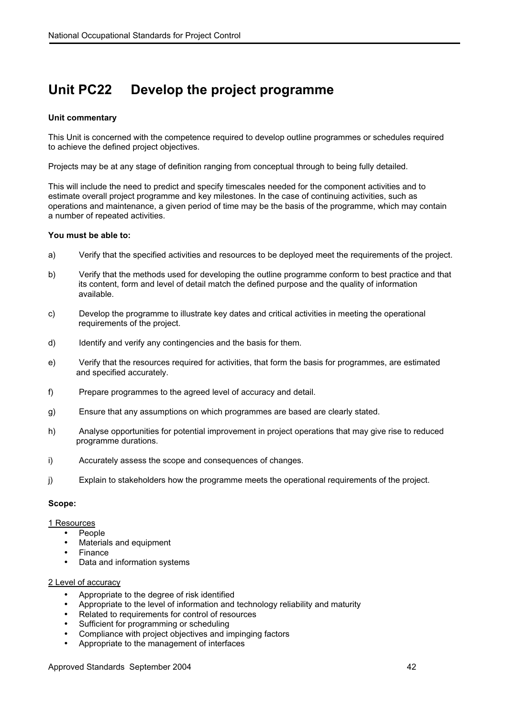## **Unit PC22 Develop the project programme**

## **Unit commentary**

This Unit is concerned with the competence required to develop outline programmes or schedules required to achieve the defined project objectives.

Projects may be at any stage of definition ranging from conceptual through to being fully detailed.

This will include the need to predict and specify timescales needed for the component activities and to estimate overall project programme and key milestones. In the case of continuing activities, such as operations and maintenance, a given period of time may be the basis of the programme, which may contain a number of repeated activities.

## **You must be able to:**

- a) Verify that the specified activities and resources to be deployed meet the requirements of the project.
- b) Verify that the methods used for developing the outline programme conform to best practice and that its content, form and level of detail match the defined purpose and the quality of information available.
- c) Develop the programme to illustrate key dates and critical activities in meeting the operational requirements of the project.
- d) Identify and verify any contingencies and the basis for them.
- e) Verify that the resources required for activities, that form the basis for programmes, are estimated and specified accurately.
- f) Prepare programmes to the agreed level of accuracy and detail.
- g) Ensure that any assumptions on which programmes are based are clearly stated.
- h) Analyse opportunities for potential improvement in project operations that may give rise to reduced programme durations.
- i) Accurately assess the scope and consequences of changes.
- j) Explain to stakeholders how the programme meets the operational requirements of the project.

## **Scope:**

1 Resources

- People
- Materials and equipment
- Finance
- Data and information systems

## 2 Level of accuracy

- Appropriate to the degree of risk identified
- Appropriate to the level of information and technology reliability and maturity
- Related to requirements for control of resources
- Sufficient for programming or scheduling
- Compliance with project objectives and impinging factors
- Appropriate to the management of interfaces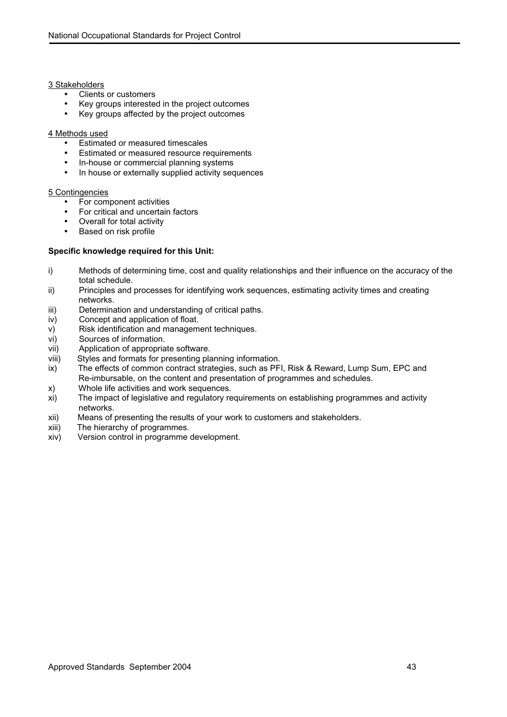## 3 Stakeholders

- Clients or customers
- Key groups interested in the project outcomes
- Key groups affected by the project outcomes

## 4 Methods used

- Estimated or measured timescales
- Estimated or measured resource requirements
- In-house or commercial planning systems
- In house or externally supplied activity sequences

## 5 Contingencies

- For component activities
- For critical and uncertain factors
- Overall for total activity
- Based on risk profile

- i) Methods of determining time, cost and quality relationships and their influence on the accuracy of the total schedule.
- ii) Principles and processes for identifying work sequences, estimating activity times and creating networks.
- iii) Determination and understanding of critical paths.
- iv) Concept and application of float.
- v) Risk identification and management techniques.
- vi) Sources of information.
- vii) Application of appropriate software.
- viii) Styles and formats for presenting planning information.
- ix) The effects of common contract strategies, such as PFI, Risk & Reward, Lump Sum, EPC and Re-imbursable, on the content and presentation of programmes and schedules.<br>
Whole life activities and work sequences.
- Whole life activities and work sequences.
- xi) The impact of legislative and regulatory requirements on establishing programmes and activity networks.
- xii) Means of presenting the results of your work to customers and stakeholders.
- xiii) The hierarchy of programmes.
- xiv) Version control in programme development.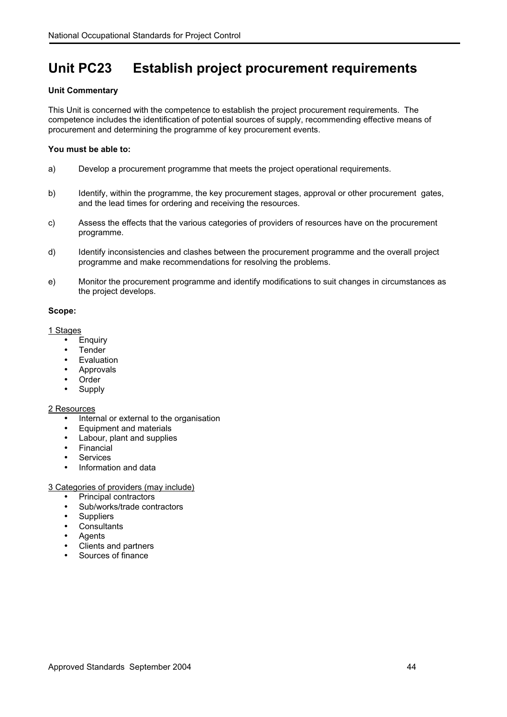## **Unit PC23 Establish project procurement requirements**

## **Unit Commentary**

This Unit is concerned with the competence to establish the project procurement requirements. The competence includes the identification of potential sources of supply, recommending effective means of procurement and determining the programme of key procurement events.

## **You must be able to:**

- a) Develop a procurement programme that meets the project operational requirements.
- b) Identify, within the programme, the key procurement stages, approval or other procurement gates, and the lead times for ordering and receiving the resources.
- c) Assess the effects that the various categories of providers of resources have on the procurement programme.
- d) Identify inconsistencies and clashes between the procurement programme and the overall project programme and make recommendations for resolving the problems.
- e) Monitor the procurement programme and identify modifications to suit changes in circumstances as the project develops.

## **Scope:**

1 Stages

- Enquiry
- Tender
- Evaluation
- **Approvals**
- **Order**
- Supply

## 2 Resources

- Internal or external to the organisation
- Equipment and materials
- Labour, plant and supplies
- Financial
- Services
- Information and data

## 3 Categories of providers (may include)

- Principal contractors
- Sub/works/trade contractors
- Suppliers
- Consultants
- Agents
- Clients and partners
- Sources of finance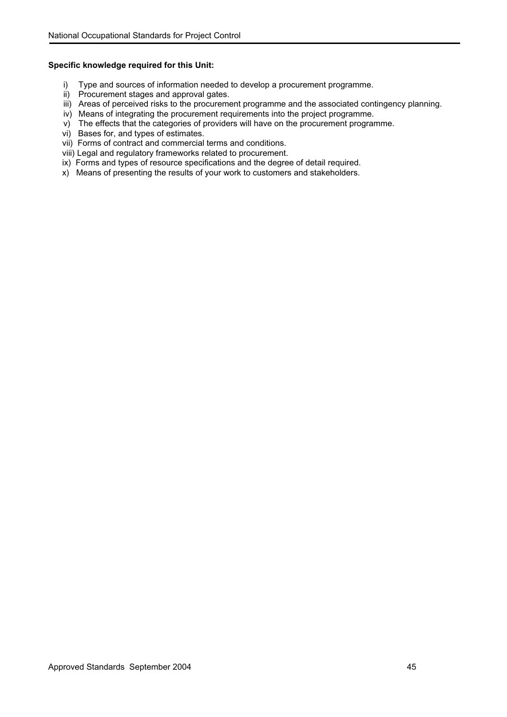- i) Type and sources of information needed to develop a procurement programme.
- ii) Procurement stages and approval gates.
- iii) Areas of perceived risks to the procurement programme and the associated contingency planning.
- iv) Means of integrating the procurement requirements into the project programme.
- v) The effects that the categories of providers will have on the procurement programme.
- vi) Bases for, and types of estimates.
- vii) Forms of contract and commercial terms and conditions.
- viii) Legal and regulatory frameworks related to procurement.
- ix) Forms and types of resource specifications and the degree of detail required.
- x) Means of presenting the results of your work to customers and stakeholders.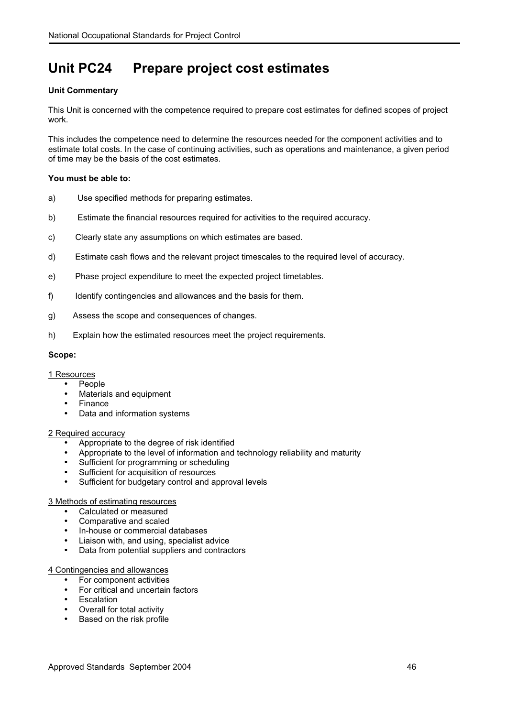# **Unit PC24 Prepare project cost estimates**

## **Unit Commentary**

This Unit is concerned with the competence required to prepare cost estimates for defined scopes of project work.

This includes the competence need to determine the resources needed for the component activities and to estimate total costs. In the case of continuing activities, such as operations and maintenance, a given period of time may be the basis of the cost estimates.

## **You must be able to:**

- a) Use specified methods for preparing estimates.
- b) Estimate the financial resources required for activities to the required accuracy.
- c) Clearly state any assumptions on which estimates are based.
- d) Estimate cash flows and the relevant project timescales to the required level of accuracy.
- e) Phase project expenditure to meet the expected project timetables.
- f) Identify contingencies and allowances and the basis for them.
- g) Assess the scope and consequences of changes.
- h) Explain how the estimated resources meet the project requirements.

## **Scope:**

## 1 Resources

- People
	- Materials and equipment
	- **Finance**
	- Data and information systems

## 2 Required accuracy

- Appropriate to the degree of risk identified
- Appropriate to the level of information and technology reliability and maturity
- Sufficient for programming or scheduling
- Sufficient for acquisition of resources
- Sufficient for budgetary control and approval levels

## 3 Methods of estimating resources

- Calculated or measured
- Comparative and scaled
- In-house or commercial databases
- Liaison with, and using, specialist advice
- Data from potential suppliers and contractors

## 4 Contingencies and allowances

- For component activities
- For critical and uncertain factors
- **Escalation**
- Overall for total activity
- Based on the risk profile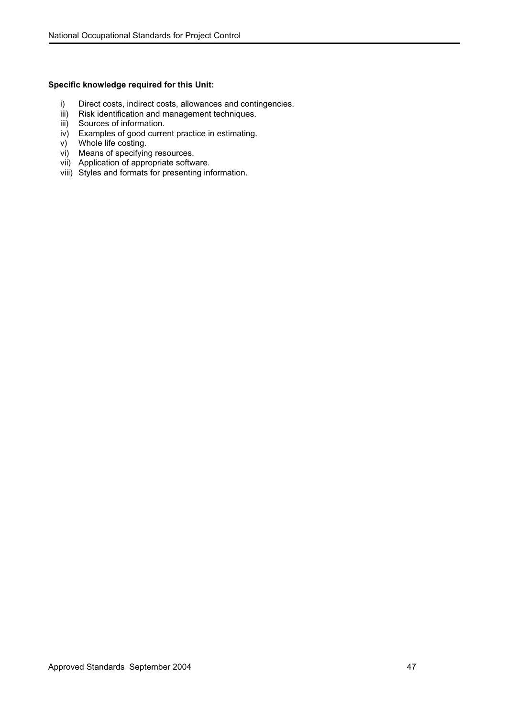- i) Direct costs, indirect costs, allowances and contingencies.
- iii) Risk identification and management techniques.
- iii) Sources of information.
- iv) Examples of good current practice in estimating.
- v) Whole life costing.
- vi) Means of specifying resources.
- vii) Application of appropriate software.
- viii) Styles and formats for presenting information.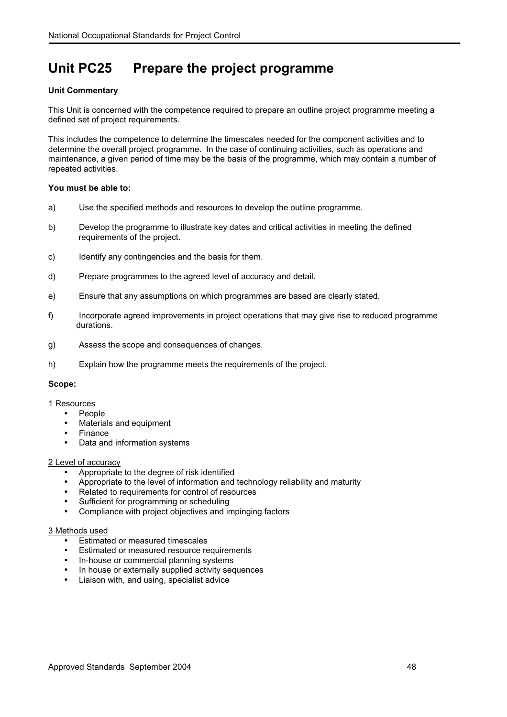# **Unit PC25 Prepare the project programme**

## **Unit Commentary**

This Unit is concerned with the competence required to prepare an outline project programme meeting a defined set of project requirements.

This includes the competence to determine the timescales needed for the component activities and to determine the overall project programme. In the case of continuing activities, such as operations and maintenance, a given period of time may be the basis of the programme, which may contain a number of repeated activities.

## **You must be able to:**

- a) Use the specified methods and resources to develop the outline programme.
- b) Develop the programme to illustrate key dates and critical activities in meeting the defined requirements of the project.
- c) Identify any contingencies and the basis for them.
- d) Prepare programmes to the agreed level of accuracy and detail.
- e) Ensure that any assumptions on which programmes are based are clearly stated.
- f) Incorporate agreed improvements in project operations that may give rise to reduced programme durations.
- g) Assess the scope and consequences of changes.
- h) Explain how the programme meets the requirements of the project.

## **Scope:**

## 1 Resources

- People
	- Materials and equipment
	- Finance
	- Data and information systems

## 2 Level of accuracy

- Appropriate to the degree of risk identified
- Appropriate to the level of information and technology reliability and maturity
- Related to requirements for control of resources
- Sufficient for programming or scheduling
- Compliance with project objectives and impinging factors

#### 3 Methods used

- Estimated or measured timescales
- Estimated or measured resource requirements
- In-house or commercial planning systems
- In house or externally supplied activity sequences
- Liaison with, and using, specialist advice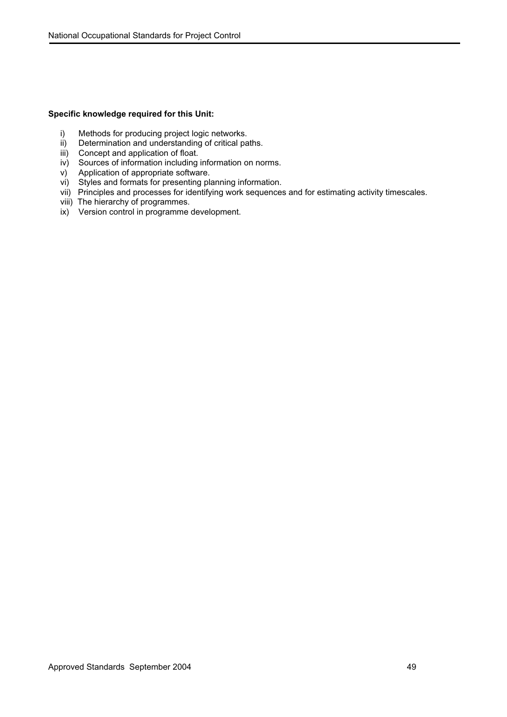- i) Methods for producing project logic networks.
- ii) Determination and understanding of critical paths.
- iii) Concept and application of float.
- iv) Sources of information including information on norms.
- v) Application of appropriate software.
- vi) Styles and formats for presenting planning information.
- vii) Principles and processes for identifying work sequences and for estimating activity timescales.
- viii) The hierarchy of programmes.
- ix) Version control in programme development.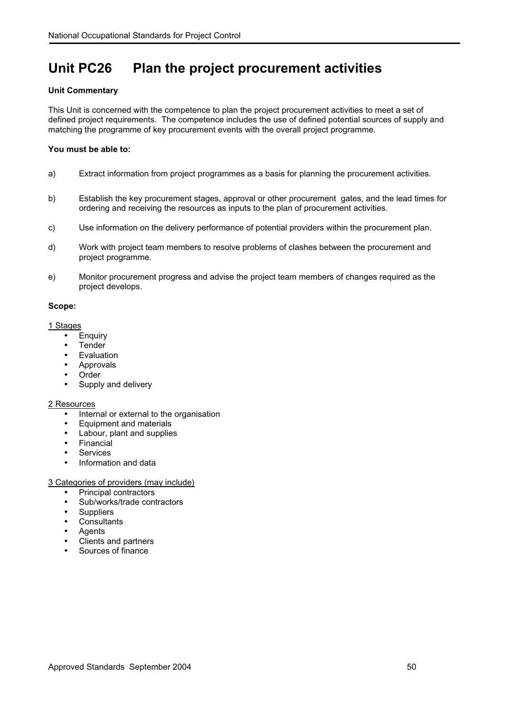# **Unit PC26 Plan the project procurement activities**

## **Unit Commentary**

This Unit is concerned with the competence to plan the project procurement activities to meet a set of defined project requirements. The competence includes the use of defined potential sources of supply and matching the programme of key procurement events with the overall project programme.

## **You must be able to:**

- a) Extract information from project programmes as a basis for planning the procurement activities.
- b) Establish the key procurement stages, approval or other procurement gates, and the lead times for ordering and receiving the resources as inputs to the plan of procurement activities.
- c) Use information on the delivery performance of potential providers within the procurement plan.
- d) Work with project team members to resolve problems of clashes between the procurement and project programme.
- e) Monitor procurement progress and advise the project team members of changes required as the project develops.

## **Scope:**

## 1 Stages

- Enquiry
- Tender
- Evaluation
- Approvals
- **Order**
- Supply and delivery

## 2 Resources

- Internal or external to the organisation
- Equipment and materials
- Labour, plant and supplies
- Financial
- Services
- Information and data

## 3 Categories of providers (may include)

- Principal contractors
- Sub/works/trade contractors
- Suppliers
- Consultants
- Agents
- Clients and partners
- Sources of finance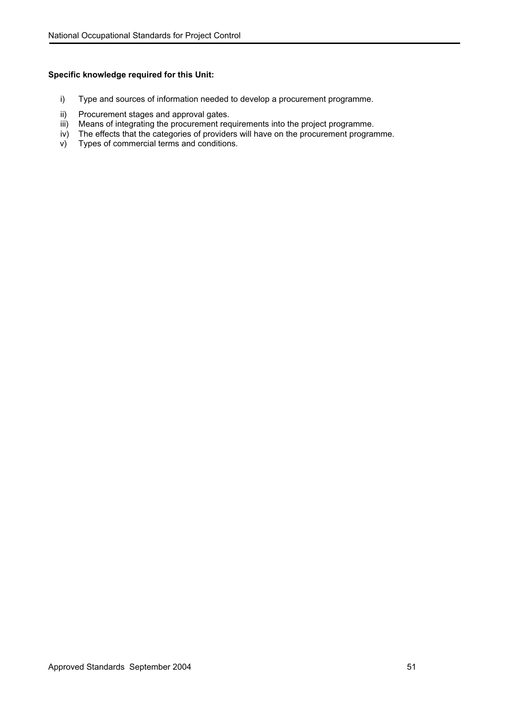- i) Type and sources of information needed to develop a procurement programme.
- ii) Procurement stages and approval gates.
- iii) Means of integrating the procurement requirements into the project programme.
- iv) The effects that the categories of providers will have on the procurement programme.<br>v) Types of commercial terms and conditions.
- Types of commercial terms and conditions.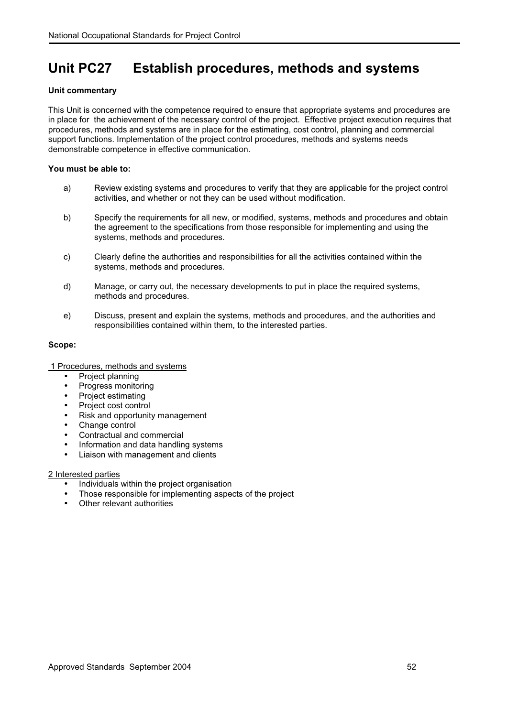## **Unit PC27 Establish procedures, methods and systems**

## **Unit commentary**

This Unit is concerned with the competence required to ensure that appropriate systems and procedures are in place for the achievement of the necessary control of the project. Effective project execution requires that procedures, methods and systems are in place for the estimating, cost control, planning and commercial support functions. Implementation of the project control procedures, methods and systems needs demonstrable competence in effective communication.

## **You must be able to:**

- a) Review existing systems and procedures to verify that they are applicable for the project control activities, and whether or not they can be used without modification.
- b) Specify the requirements for all new, or modified, systems, methods and procedures and obtain the agreement to the specifications from those responsible for implementing and using the systems, methods and procedures.
- c) Clearly define the authorities and responsibilities for all the activities contained within the systems, methods and procedures.
- d) Manage, or carry out, the necessary developments to put in place the required systems, methods and procedures.
- e) Discuss, present and explain the systems, methods and procedures, and the authorities and responsibilities contained within them, to the interested parties.

## **Scope:**

## 1 Procedures, methods and systems

- Project planning
- Progress monitoring
- Project estimating
- Project cost control
- Risk and opportunity management
- Change control
- Contractual and commercial
- Information and data handling systems
- Liaison with management and clients

## 2 Interested parties

- Individuals within the project organisation
- Those responsible for implementing aspects of the project
- Other relevant authorities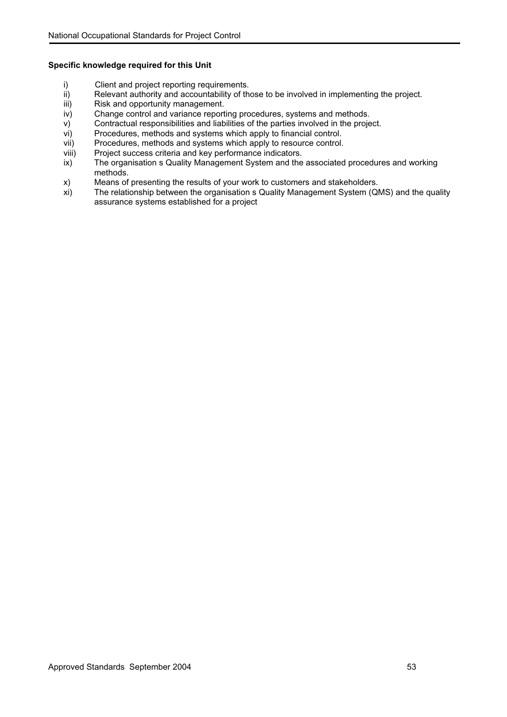- 
- i) Client and project reporting requirements.<br>ii) Relevant authority and accountability of the ii) Relevant authority and accountability of those to be involved in implementing the project.<br>iii) Risk and opportunity management.
- iii) Risk and opportunity management.<br>iv) Change control and variance report
- Change control and variance reporting procedures, systems and methods.
- v) Contractual responsibilities and liabilities of the parties involved in the project.
- vi) Procedures, methods and systems which apply to financial control.
- vii) Procedures, methods and systems which apply to resource control.
- viii) Project success criteria and key performance indicators.
- ix) The organisation s Quality Management System and the associated procedures and working methods.
- x) Means of presenting the results of your work to customers and stakeholders.
- xi) The relationship between the organisation s Quality Management System (QMS) and the quality assurance systems established for a project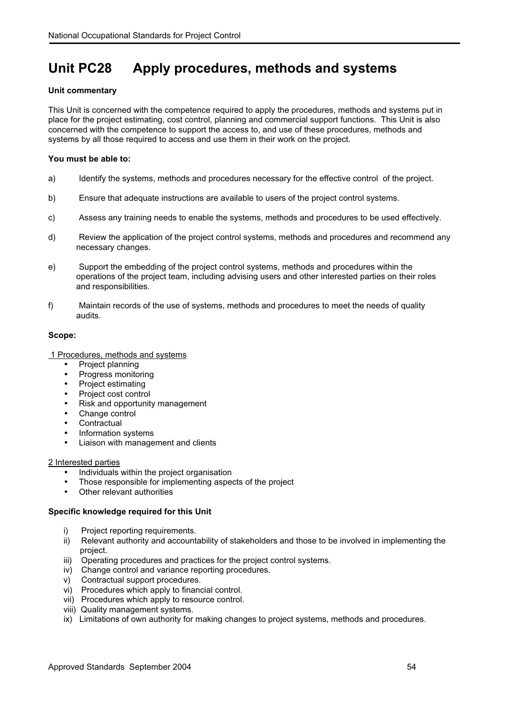# **Unit PC28 Apply procedures, methods and systems**

## **Unit commentary**

This Unit is concerned with the competence required to apply the procedures, methods and systems put in place for the project estimating, cost control, planning and commercial support functions. This Unit is also concerned with the competence to support the access to, and use of these procedures, methods and systems by all those required to access and use them in their work on the project.

## **You must be able to:**

- a) Identify the systems, methods and procedures necessary for the effective control of the project.
- b) Ensure that adequate instructions are available to users of the project control systems.
- c) Assess any training needs to enable the systems, methods and procedures to be used effectively.
- d) Review the application of the project control systems, methods and procedures and recommend any necessary changes.
- e) Support the embedding of the project control systems, methods and procedures within the operations of the project team, including advising users and other interested parties on their roles and responsibilities.
- f) Maintain records of the use of systems, methods and procedures to meet the needs of quality audits.

## **Scope:**

- 1 Procedures, methods and systems
	- Project planning
	- Progress monitoring
	- Project estimating
	- Project cost control
	- Risk and opportunity management
	- Change control
	- **Contractual**
	- Information systems
	- Liaison with management and clients

## 2 Interested parties

- Individuals within the project organisation
- Those responsible for implementing aspects of the project
- Other relevant authorities

- i) Project reporting requirements.
- ii) Relevant authority and accountability of stakeholders and those to be involved in implementing the project.
- iii) Operating procedures and practices for the project control systems.
- iv) Change control and variance reporting procedures.
- v) Contractual support procedures.
- vi) Procedures which apply to financial control.
- vii) Procedures which apply to resource control.
- viii) Quality management systems.
- ix) Limitations of own authority for making changes to project systems, methods and procedures.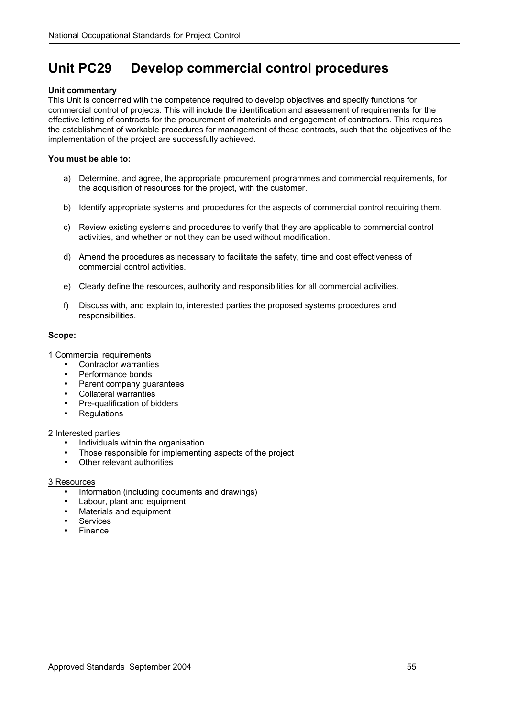## **Unit PC29 Develop commercial control procedures**

## **Unit commentary**

This Unit is concerned with the competence required to develop objectives and specify functions for commercial control of projects. This will include the identification and assessment of requirements for the effective letting of contracts for the procurement of materials and engagement of contractors. This requires the establishment of workable procedures for management of these contracts, such that the objectives of the implementation of the project are successfully achieved.

## **You must be able to:**

- a) Determine, and agree, the appropriate procurement programmes and commercial requirements, for the acquisition of resources for the project, with the customer.
- b) Identify appropriate systems and procedures for the aspects of commercial control requiring them.
- c) Review existing systems and procedures to verify that they are applicable to commercial control activities, and whether or not they can be used without modification.
- d) Amend the procedures as necessary to facilitate the safety, time and cost effectiveness of commercial control activities.
- e) Clearly define the resources, authority and responsibilities for all commercial activities.
- f) Discuss with, and explain to, interested parties the proposed systems procedures and responsibilities.

## **Scope:**

1 Commercial requirements

- Contractor warranties
- Performance bonds
- Parent company guarantees
- Collateral warranties
- Pre-qualification of bidders
- **Requlations**

## 2 Interested parties

- Individuals within the organisation
- Those responsible for implementing aspects of the project
- Other relevant authorities

## 3 Resources

- Information (including documents and drawings)
- Labour, plant and equipment
- Materials and equipment
- **Services**
- **Finance**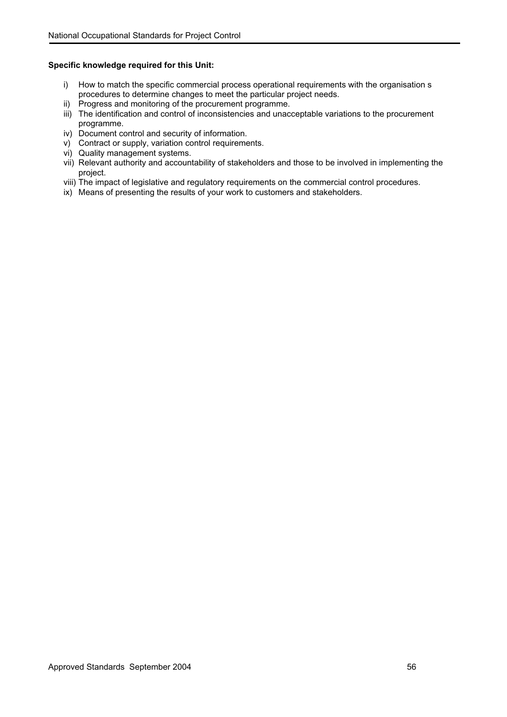- i) How to match the specific commercial process operational requirements with the organisation s procedures to determine changes to meet the particular project needs.
- ii) Progress and monitoring of the procurement programme.
- iii) The identification and control of inconsistencies and unacceptable variations to the procurement programme.
- iv) Document control and security of information.
- v) Contract or supply, variation control requirements.
- vi) Quality management systems.
- vii) Relevant authority and accountability of stakeholders and those to be involved in implementing the project.
- viii) The impact of legislative and regulatory requirements on the commercial control procedures.
- ix) Means of presenting the results of your work to customers and stakeholders.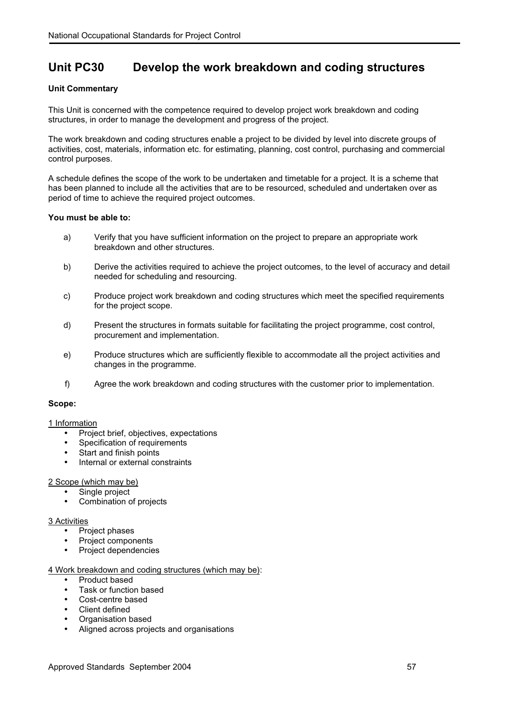## **Unit PC30 Develop the work breakdown and coding structures**

## **Unit Commentary**

This Unit is concerned with the competence required to develop project work breakdown and coding structures, in order to manage the development and progress of the project.

The work breakdown and coding structures enable a project to be divided by level into discrete groups of activities, cost, materials, information etc. for estimating, planning, cost control, purchasing and commercial control purposes.

A schedule defines the scope of the work to be undertaken and timetable for a project. It is a scheme that has been planned to include all the activities that are to be resourced, scheduled and undertaken over as period of time to achieve the required project outcomes.

## **You must be able to:**

- a) Verify that you have sufficient information on the project to prepare an appropriate work breakdown and other structures.
- b) Derive the activities required to achieve the project outcomes, to the level of accuracy and detail needed for scheduling and resourcing.
- c) Produce project work breakdown and coding structures which meet the specified requirements for the project scope.
- d) Present the structures in formats suitable for facilitating the project programme, cost control, procurement and implementation.
- e) Produce structures which are sufficiently flexible to accommodate all the project activities and changes in the programme.
- f) Agree the work breakdown and coding structures with the customer prior to implementation.

## **Scope:**

## 1 Information

- Project brief, objectives, expectations
- Specification of requirements
- Start and finish points
- Internal or external constraints

## 2 Scope (which may be)

- Single project
- Combination of projects

## 3 Activities

- Project phases
- Project components
- Project dependencies

## 4 Work breakdown and coding structures (which may be):

- Product based
- Task or function based
- Cost-centre based
- Client defined
- Organisation based
- Aligned across projects and organisations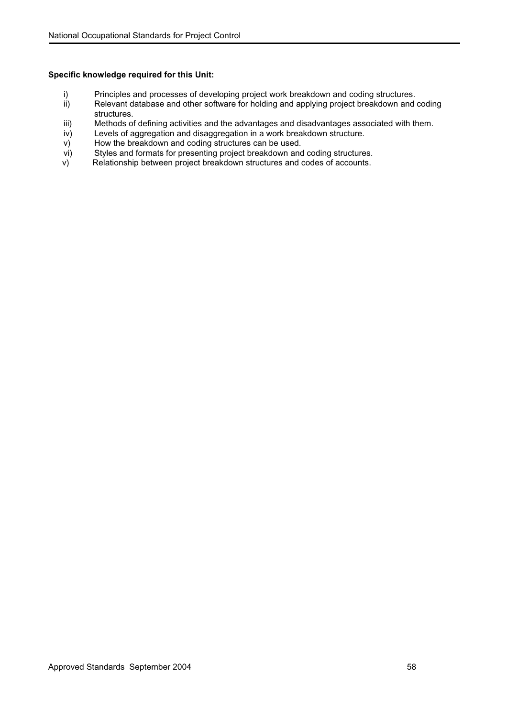- i) Principles and processes of developing project work breakdown and coding structures.<br>ii) Relevant database and other software for holding and applying project breakdown and
- Relevant database and other software for holding and applying project breakdown and coding structures.
- iii) Methods of defining activities and the advantages and disadvantages associated with them.
- iv) Levels of aggregation and disaggregation in a work breakdown structure.
- v) How the breakdown and coding structures can be used.
- vi) Styles and formats for presenting project breakdown and coding structures.<br>v) Relationship between project breakdown structures and codes of accounts.
- Relationship between project breakdown structures and codes of accounts.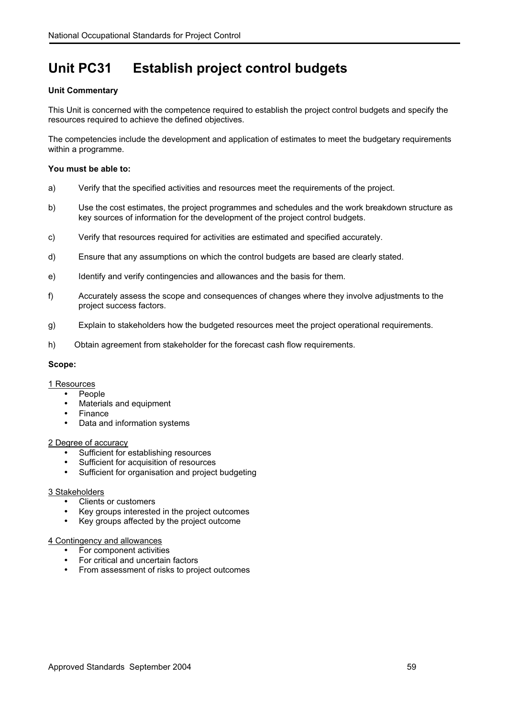# **Unit PC31 Establish project control budgets**

## **Unit Commentary**

This Unit is concerned with the competence required to establish the project control budgets and specify the resources required to achieve the defined objectives.

The competencies include the development and application of estimates to meet the budgetary requirements within a programme.

## **You must be able to:**

- a) Verify that the specified activities and resources meet the requirements of the project.
- b) Use the cost estimates, the project programmes and schedules and the work breakdown structure as key sources of information for the development of the project control budgets.
- c) Verify that resources required for activities are estimated and specified accurately.
- d) Ensure that any assumptions on which the control budgets are based are clearly stated.
- e) Identify and verify contingencies and allowances and the basis for them.
- f) Accurately assess the scope and consequences of changes where they involve adjustments to the project success factors.
- g) Explain to stakeholders how the budgeted resources meet the project operational requirements.
- h) Obtain agreement from stakeholder for the forecast cash flow requirements.

## **Scope:**

## 1 Resources

- People
- Materials and equipment
- **Finance**
- Data and information systems

## 2 Degree of accuracy

- Sufficient for establishing resources
- Sufficient for acquisition of resources
- Sufficient for organisation and project budgeting

## 3 Stakeholders

- Clients or customers
- Key groups interested in the project outcomes
- Key groups affected by the project outcome

## 4 Contingency and allowances

- For component activities
- For critical and uncertain factors
- From assessment of risks to project outcomes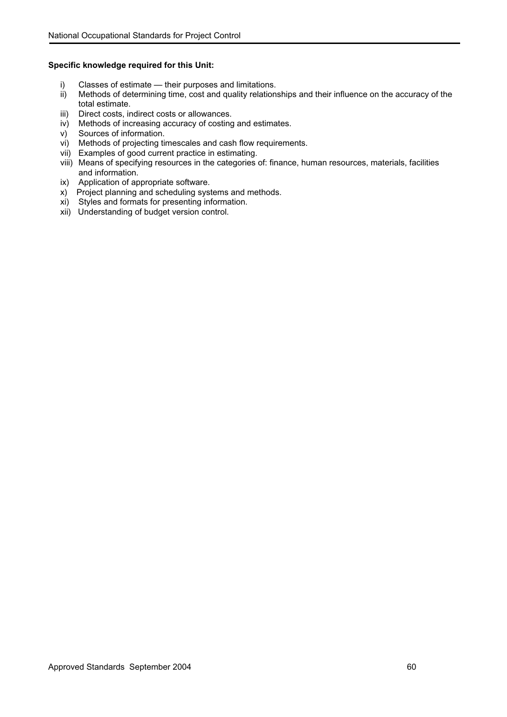- 
- i) Classes of estimate their purposes and limitations.<br>ii) Methods of determining time, cost and quality relation Methods of determining time, cost and quality relationships and their influence on the accuracy of the total estimate.
- iii) Direct costs, indirect costs or allowances.
- iv) Methods of increasing accuracy of costing and estimates.
- v) Sources of information.
- vi) Methods of projecting timescales and cash flow requirements.
- vii) Examples of good current practice in estimating.
- viii) Means of specifying resources in the categories of: finance, human resources, materials, facilities and information.
- ix) Application of appropriate software.
- x) Project planning and scheduling systems and methods.
- xi) Styles and formats for presenting information.
- xii) Understanding of budget version control.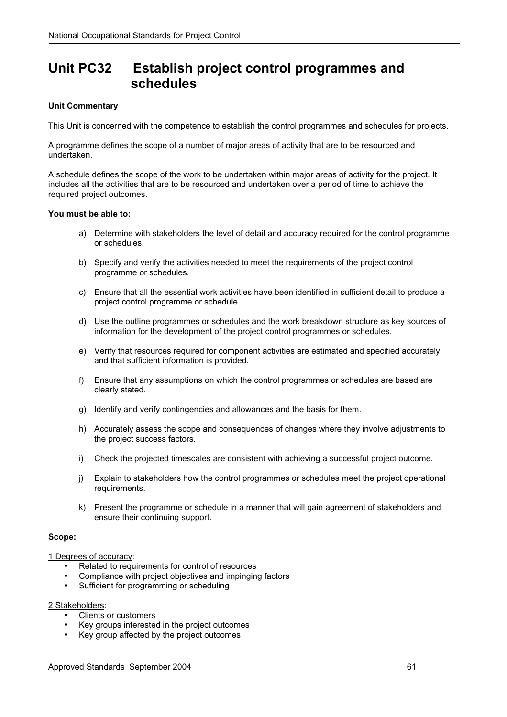## **Unit PC32 Establish project control programmes and schedules**

## **Unit Commentary**

This Unit is concerned with the competence to establish the control programmes and schedules for projects.

A programme defines the scope of a number of major areas of activity that are to be resourced and undertaken.

A schedule defines the scope of the work to be undertaken within major areas of activity for the project. It includes all the activities that are to be resourced and undertaken over a period of time to achieve the required project outcomes.

## **You must be able to:**

- a) Determine with stakeholders the level of detail and accuracy required for the control programme or schedules.
- b) Specify and verify the activities needed to meet the requirements of the project control programme or schedules.
- c) Ensure that all the essential work activities have been identified in sufficient detail to produce a project control programme or schedule.
- d) Use the outline programmes or schedules and the work breakdown structure as key sources of information for the development of the project control programmes or schedules.
- e) Verify that resources required for component activities are estimated and specified accurately and that sufficient information is provided.
- f) Ensure that any assumptions on which the control programmes or schedules are based are clearly stated.
- g) Identify and verify contingencies and allowances and the basis for them.
- h) Accurately assess the scope and consequences of changes where they involve adjustments to the project success factors.
- i) Check the projected timescales are consistent with achieving a successful project outcome.
- j) Explain to stakeholders how the control programmes or schedules meet the project operational requirements.
- k) Present the programme or schedule in a manner that will gain agreement of stakeholders and ensure their continuing support.

## **Scope:**

1 Degrees of accuracy:

- Related to requirements for control of resources
- Compliance with project objectives and impinging factors
- Sufficient for programming or scheduling

2 Stakeholders:

- Clients or customers
- Key groups interested in the project outcomes
- Key group affected by the project outcomes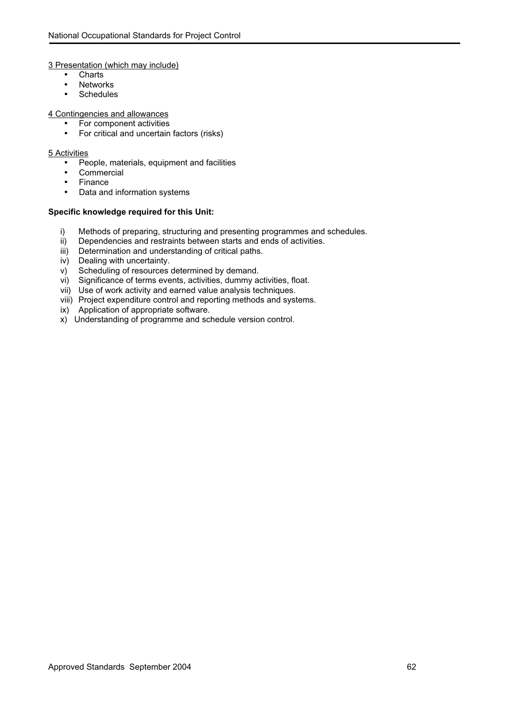#### 3 Presentation (which may include)

- Charts
- Networks
- Schedules

#### 4 Contingencies and allowances

- For component activities
- For critical and uncertain factors (risks)

#### 5 Activities

- People, materials, equipment and facilities
- Commercial
- Finance
- Data and information systems

- i) Methods of preparing, structuring and presenting programmes and schedules.
- ii) Dependencies and restraints between starts and ends of activities.
- iii) Determination and understanding of critical paths.
- iv) Dealing with uncertainty.
- v) Scheduling of resources determined by demand.
- vi) Significance of terms events, activities, dummy activities, float.
- vii) Use of work activity and earned value analysis techniques.
- viii) Project expenditure control and reporting methods and systems.
- ix) Application of appropriate software.
- x) Understanding of programme and schedule version control.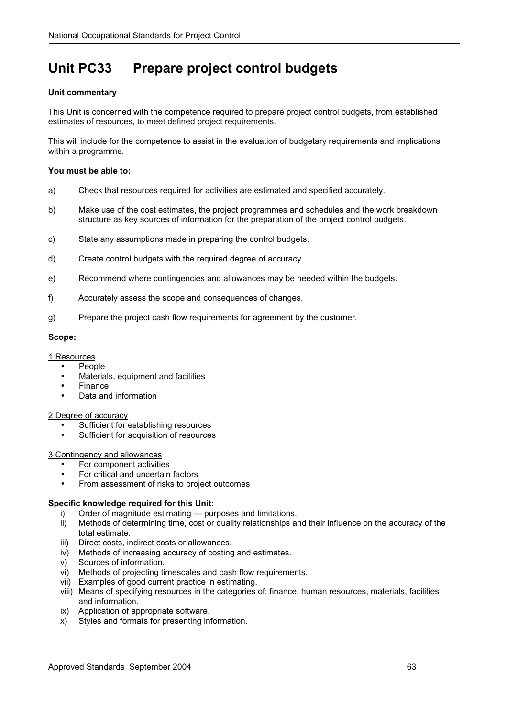# **Unit PC33 Prepare project control budgets**

## **Unit commentary**

This Unit is concerned with the competence required to prepare project control budgets, from established estimates of resources, to meet defined project requirements.

This will include for the competence to assist in the evaluation of budgetary requirements and implications within a programme.

## **You must be able to:**

- a) Check that resources required for activities are estimated and specified accurately.
- b) Make use of the cost estimates, the project programmes and schedules and the work breakdown structure as key sources of information for the preparation of the project control budgets.
- c) State any assumptions made in preparing the control budgets.
- d) Create control budgets with the required degree of accuracy.
- e) Recommend where contingencies and allowances may be needed within the budgets.
- f) Accurately assess the scope and consequences of changes.
- g) Prepare the project cash flow requirements for agreement by the customer.

## **Scope:**

## 1 Resources

- **People**
- Materials, equipment and facilities
- Finance
- Data and information

## 2 Degree of accuracy

- Sufficient for establishing resources
- Sufficient for acquisition of resources

## 3 Contingency and allowances

- For component activities
- For critical and uncertain factors
- From assessment of risks to project outcomes

- i) Order of magnitude estimating purposes and limitations.
- ii) Methods of determining time, cost or quality relationships and their influence on the accuracy of the total estimate.
- iii) Direct costs, indirect costs or allowances.
- iv) Methods of increasing accuracy of costing and estimates.
- v) Sources of information.
- vi) Methods of projecting timescales and cash flow requirements.
- vii) Examples of good current practice in estimating.
- viii) Means of specifying resources in the categories of: finance, human resources, materials, facilities and information.
- ix) Application of appropriate software.
- x) Styles and formats for presenting information.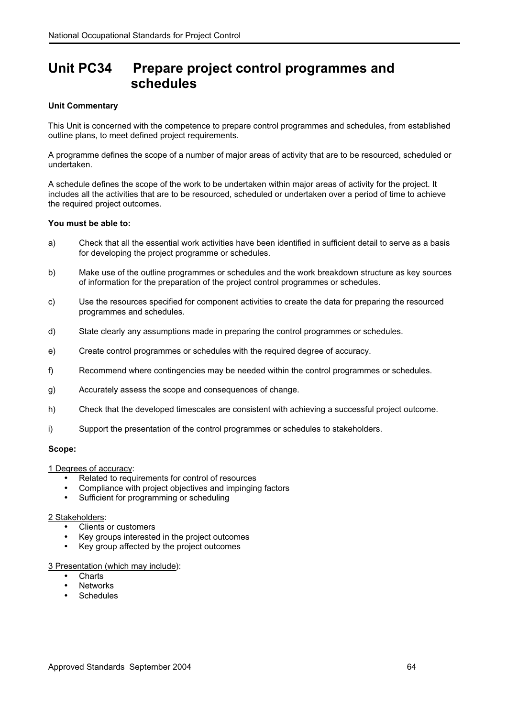## **Unit PC34 Prepare project control programmes and schedules**

## **Unit Commentary**

This Unit is concerned with the competence to prepare control programmes and schedules, from established outline plans, to meet defined project requirements.

A programme defines the scope of a number of major areas of activity that are to be resourced, scheduled or undertaken.

A schedule defines the scope of the work to be undertaken within major areas of activity for the project. It includes all the activities that are to be resourced, scheduled or undertaken over a period of time to achieve the required project outcomes.

## **You must be able to:**

- a) Check that all the essential work activities have been identified in sufficient detail to serve as a basis for developing the project programme or schedules.
- b) Make use of the outline programmes or schedules and the work breakdown structure as key sources of information for the preparation of the project control programmes or schedules.
- c) Use the resources specified for component activities to create the data for preparing the resourced programmes and schedules.
- d) State clearly any assumptions made in preparing the control programmes or schedules.
- e) Create control programmes or schedules with the required degree of accuracy.
- f) Recommend where contingencies may be needed within the control programmes or schedules.
- g) Accurately assess the scope and consequences of change.
- h) Check that the developed timescales are consistent with achieving a successful project outcome.
- i) Support the presentation of the control programmes or schedules to stakeholders.

## **Scope:**

1 Degrees of accuracy:

- Related to requirements for control of resources
- Compliance with project objectives and impinging factors
- Sufficient for programming or scheduling

#### 2 Stakeholders:

- Clients or customers
- Key groups interested in the project outcomes
- Key group affected by the project outcomes

## 3 Presentation (which may include):

- Charts
- **Networks**
- **Schedules**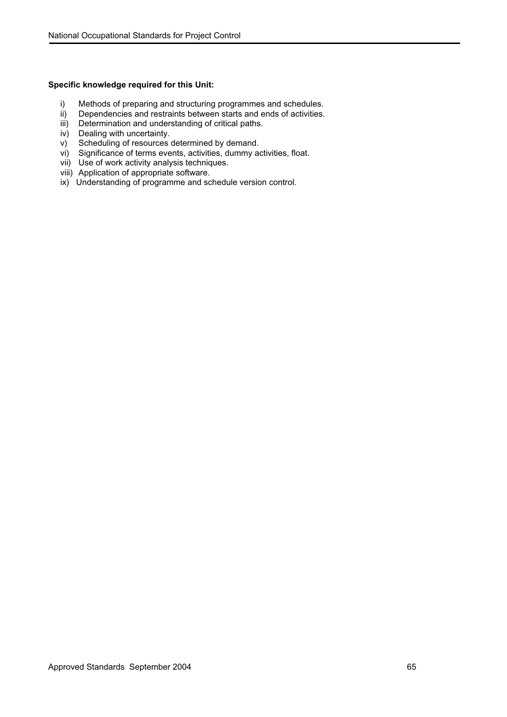- i) Methods of preparing and structuring programmes and schedules.
- ii) Dependencies and restraints between starts and ends of activities.
- iii) Determination and understanding of critical paths.
- iv) Dealing with uncertainty.
- v) Scheduling of resources determined by demand.
- vi) Significance of terms events, activities, dummy activities, float.
- vii) Use of work activity analysis techniques.
- viii) Application of appropriate software.
- ix) Understanding of programme and schedule version control.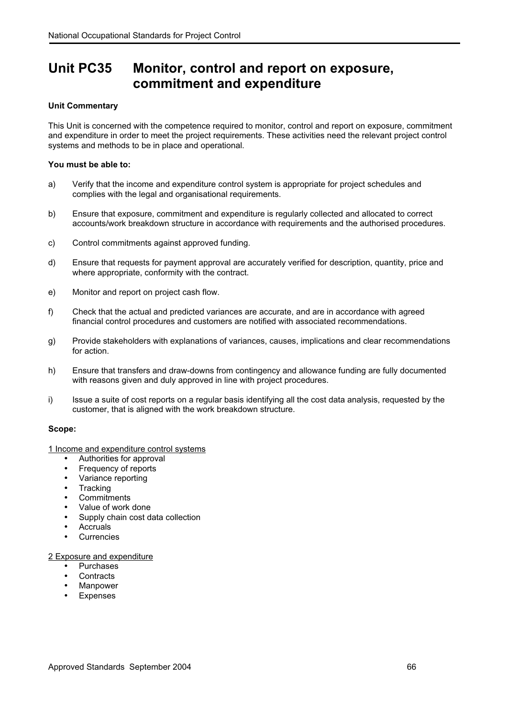## **Unit PC35 Monitor, control and report on exposure, commitment and expenditure**

## **Unit Commentary**

This Unit is concerned with the competence required to monitor, control and report on exposure, commitment and expenditure in order to meet the project requirements. These activities need the relevant project control systems and methods to be in place and operational.

## **You must be able to:**

- a) Verify that the income and expenditure control system is appropriate for project schedules and complies with the legal and organisational requirements.
- b) Ensure that exposure, commitment and expenditure is regularly collected and allocated to correct accounts/work breakdown structure in accordance with requirements and the authorised procedures.
- c) Control commitments against approved funding.
- d) Ensure that requests for payment approval are accurately verified for description, quantity, price and where appropriate, conformity with the contract.
- e) Monitor and report on project cash flow.
- f) Check that the actual and predicted variances are accurate, and are in accordance with agreed financial control procedures and customers are notified with associated recommendations.
- g) Provide stakeholders with explanations of variances, causes, implications and clear recommendations for action.
- h) Ensure that transfers and draw-downs from contingency and allowance funding are fully documented with reasons given and duly approved in line with project procedures.
- i) Issue a suite of cost reports on a regular basis identifying all the cost data analysis, requested by the customer, that is aligned with the work breakdown structure.

## **Scope:**

1 Income and expenditure control systems

- Authorities for approval
- Frequency of reports
- Variance reporting
- Tracking
- Commitments
- Value of work done
- Supply chain cost data collection
- Accruals
- **Currencies**

## 2 Exposure and expenditure

- Purchases
- **Contracts**
- **Manpower**
- **Expenses**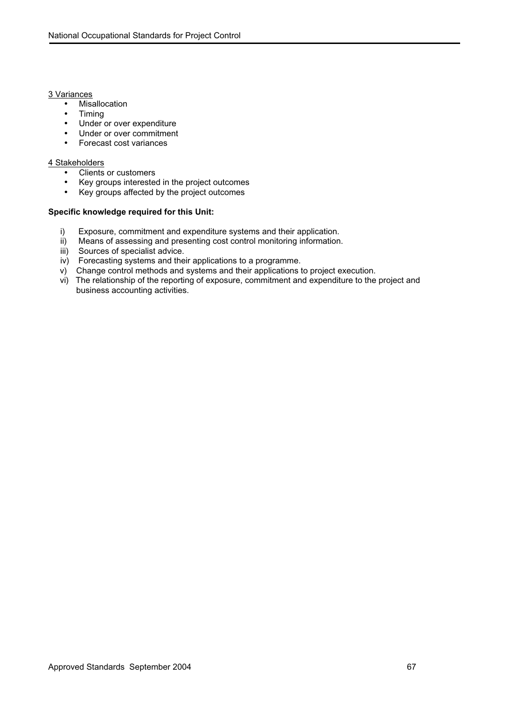#### 3 Variances

- Misallocation
- Timing
- Under or over expenditure
- Under or over commitment
- Forecast cost variances

## 4 Stakeholders

- Clients or customers<br>• Kev groups interested
- Key groups interested in the project outcomes
- Key groups affected by the project outcomes

- i) Exposure, commitment and expenditure systems and their application.
- ii) Means of assessing and presenting cost control monitoring information.
- iii) Sources of specialist advice.
- iv) Forecasting systems and their applications to a programme.
- v) Change control methods and systems and their applications to project execution.
- vi) The relationship of the reporting of exposure, commitment and expenditure to the project and business accounting activities.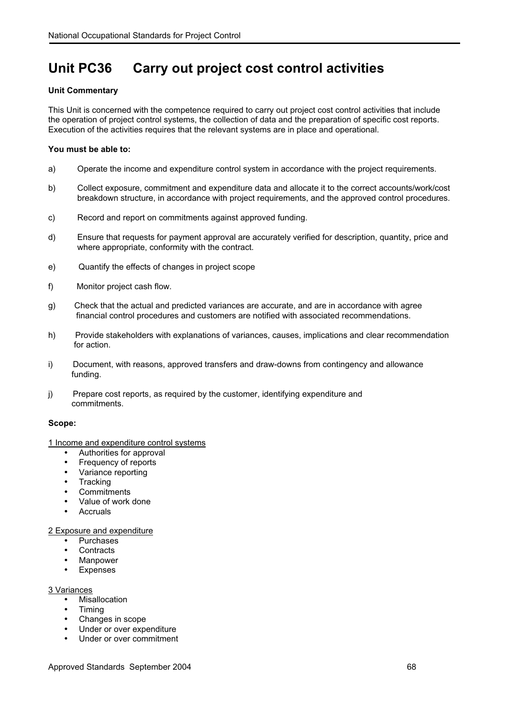# **Unit PC36 Carry out project cost control activities**

## **Unit Commentary**

This Unit is concerned with the competence required to carry out project cost control activities that include the operation of project control systems, the collection of data and the preparation of specific cost reports. Execution of the activities requires that the relevant systems are in place and operational.

## **You must be able to:**

- a) Operate the income and expenditure control system in accordance with the project requirements.
- b) Collect exposure, commitment and expenditure data and allocate it to the correct accounts/work/cost breakdown structure, in accordance with project requirements, and the approved control procedures.
- c) Record and report on commitments against approved funding.
- d) Ensure that requests for payment approval are accurately verified for description, quantity, price and where appropriate, conformity with the contract.
- e) Quantify the effects of changes in project scope
- f) Monitor project cash flow.
- g) Check that the actual and predicted variances are accurate, and are in accordance with agree financial control procedures and customers are notified with associated recommendations.
- h) Provide stakeholders with explanations of variances, causes, implications and clear recommendation for action.
- i) Document, with reasons, approved transfers and draw-downs from contingency and allowance funding.
- j) Prepare cost reports, as required by the customer, identifying expenditure and commitments.

## **Scope:**

## 1 Income and expenditure control systems

- Authorities for approval
- Frequency of reports
- Variance reporting
- **Tracking**
- **Commitments**
- Value of work done
- **Accruals**

## 2 Exposure and expenditure

- Purchases
- **Contracts**
- Manpower
- Expenses

## 3 Variances

- Misallocation
- Timing
- Changes in scope
- Under or over expenditure
- Under or over commitment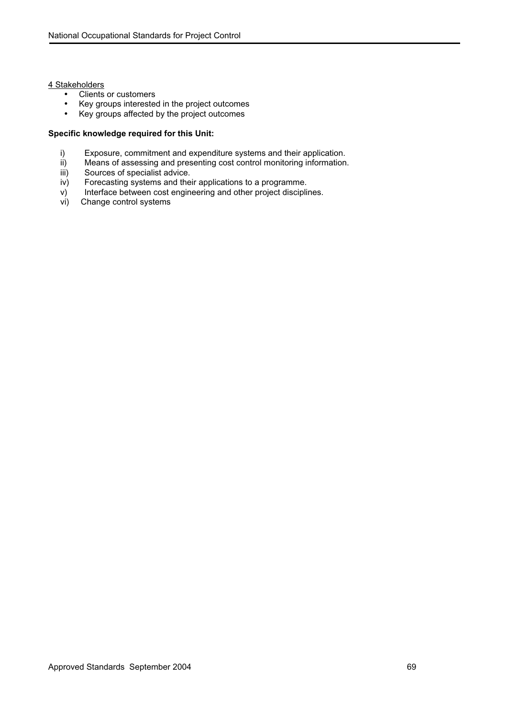## 4 Stakeholders

- Clients or customers
- Key groups interested in the project outcomes
- Key groups affected by the project outcomes

- i) Exposure, commitment and expenditure systems and their application.<br>ii) Means of assessing and presenting cost control monitoring information
- ii) Means of assessing and presenting cost control monitoring information.<br>iii) Sources of specialist advice.
- iii) Sources of specialist advice.<br>iv) Forecasting systems and the
- Forecasting systems and their applications to a programme.
- v) Interface between cost engineering and other project disciplines.
- vi) Change control systems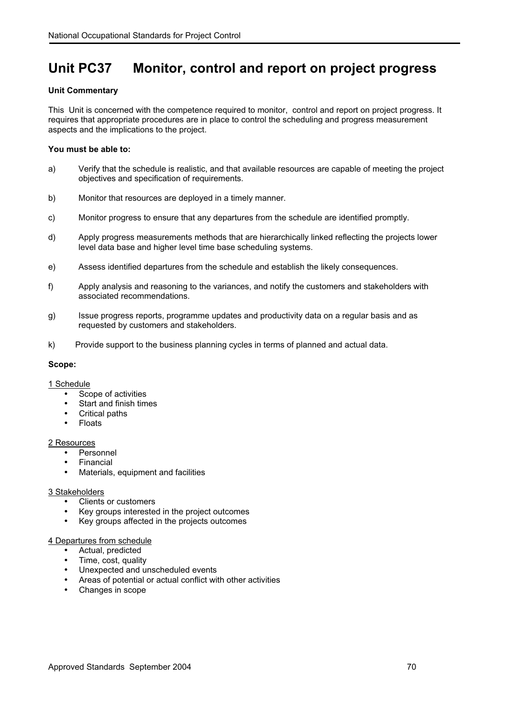## **Unit PC37 Monitor, control and report on project progress**

## **Unit Commentary**

This Unit is concerned with the competence required to monitor, control and report on project progress. It requires that appropriate procedures are in place to control the scheduling and progress measurement aspects and the implications to the project.

## **You must be able to:**

- a) Verify that the schedule is realistic, and that available resources are capable of meeting the project objectives and specification of requirements.
- b) Monitor that resources are deployed in a timely manner.
- c) Monitor progress to ensure that any departures from the schedule are identified promptly.
- d) Apply progress measurements methods that are hierarchically linked reflecting the projects lower level data base and higher level time base scheduling systems.
- e) Assess identified departures from the schedule and establish the likely consequences.
- f) Apply analysis and reasoning to the variances, and notify the customers and stakeholders with associated recommendations.
- g) Issue progress reports, programme updates and productivity data on a regular basis and as requested by customers and stakeholders.
- k) Provide support to the business planning cycles in terms of planned and actual data.

## **Scope:**

- 1 Schedule
	- Scope of activities
	- Start and finish times
	- Critical paths
	- **Floats**

## 2 Resources

- Personnel
- **Financial**
- Materials, equipment and facilities

## 3 Stakeholders

- Clients or customers
- Key groups interested in the project outcomes
- Key groups affected in the projects outcomes

## 4 Departures from schedule

- Actual, predicted
- Time, cost, quality
- Unexpected and unscheduled events
- Areas of potential or actual conflict with other activities
- Changes in scope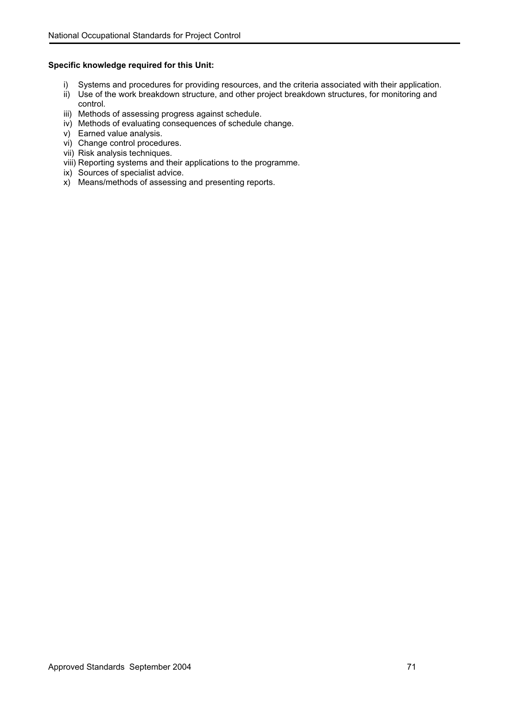- i) Systems and procedures for providing resources, and the criteria associated with their application.
- ii) Use of the work breakdown structure, and other project breakdown structures, for monitoring and control.
- iii) Methods of assessing progress against schedule.
- iv) Methods of evaluating consequences of schedule change.
- v) Earned value analysis.
- vi) Change control procedures.
- vii) Risk analysis techniques.
- viii) Reporting systems and their applications to the programme.
- ix) Sources of specialist advice.
- x) Means/methods of assessing and presenting reports.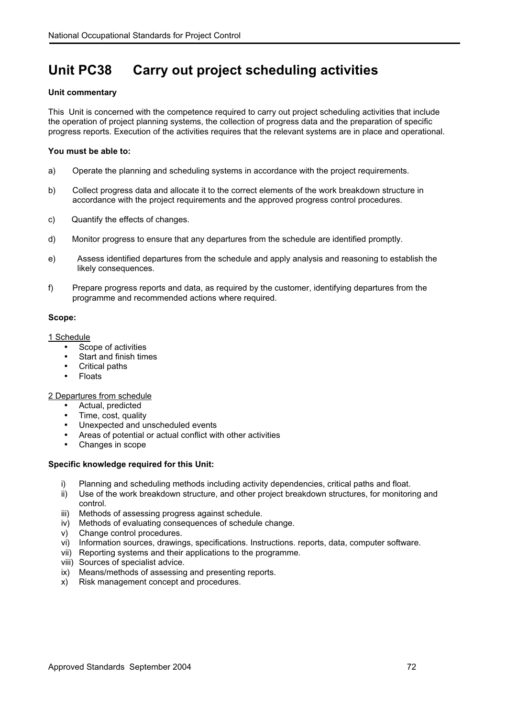# **Unit PC38 Carry out project scheduling activities**

# **Unit commentary**

This Unit is concerned with the competence required to carry out project scheduling activities that include the operation of project planning systems, the collection of progress data and the preparation of specific progress reports. Execution of the activities requires that the relevant systems are in place and operational.

#### **You must be able to:**

- a) Operate the planning and scheduling systems in accordance with the project requirements.
- b) Collect progress data and allocate it to the correct elements of the work breakdown structure in accordance with the project requirements and the approved progress control procedures.
- c) Quantify the effects of changes.
- d) Monitor progress to ensure that any departures from the schedule are identified promptly.
- e) Assess identified departures from the schedule and apply analysis and reasoning to establish the likely consequences.
- f) Prepare progress reports and data, as required by the customer, identifying departures from the programme and recommended actions where required.

#### **Scope:**

#### 1 Schedule

- Scope of activities
- Start and finish times
- Critical paths
- Floats

#### 2 Departures from schedule

- Actual, predicted
- Time, cost, quality
- Unexpected and unscheduled events
- Areas of potential or actual conflict with other activities
- Changes in scope

- i) Planning and scheduling methods including activity dependencies, critical paths and float.
- ii) Use of the work breakdown structure, and other project breakdown structures, for monitoring and control.
- iii) Methods of assessing progress against schedule.
- iv) Methods of evaluating consequences of schedule change.
- v) Change control procedures.
- vi) Information sources, drawings, specifications. Instructions. reports, data, computer software.
- vii) Reporting systems and their applications to the programme.
- viii) Sources of specialist advice.
- ix) Means/methods of assessing and presenting reports.
- x) Risk management concept and procedures.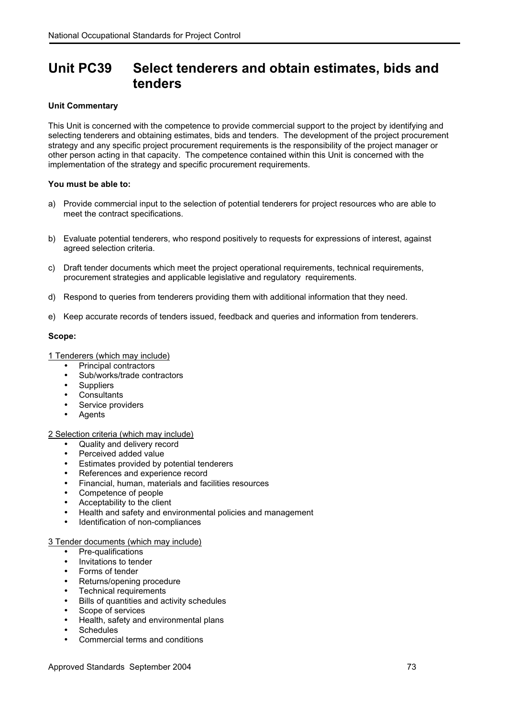# **Unit PC39 Select tenderers and obtain estimates, bids and tenders**

# **Unit Commentary**

This Unit is concerned with the competence to provide commercial support to the project by identifying and selecting tenderers and obtaining estimates, bids and tenders. The development of the project procurement strategy and any specific project procurement requirements is the responsibility of the project manager or other person acting in that capacity. The competence contained within this Unit is concerned with the implementation of the strategy and specific procurement requirements.

# **You must be able to:**

- a) Provide commercial input to the selection of potential tenderers for project resources who are able to meet the contract specifications.
- b) Evaluate potential tenderers, who respond positively to requests for expressions of interest, against agreed selection criteria.
- c) Draft tender documents which meet the project operational requirements, technical requirements, procurement strategies and applicable legislative and regulatory requirements.
- d) Respond to queries from tenderers providing them with additional information that they need.
- e) Keep accurate records of tenders issued, feedback and queries and information from tenderers.

#### **Scope:**

1 Tenderers (which may include)

- Principal contractors
- Sub/works/trade contractors
- Suppliers
- Consultants
- Service providers
- **Agents**

2 Selection criteria (which may include)

- Quality and delivery record
- Perceived added value
- Estimates provided by potential tenderers
- References and experience record
- Financial, human, materials and facilities resources
- Competence of people
- Acceptability to the client
- Health and safety and environmental policies and management
- Identification of non-compliances

# 3 Tender documents (which may include)

- Pre-qualifications
- Invitations to tender
- Forms of tender
- Returns/opening procedure
- Technical requirements
- Bills of quantities and activity schedules
- Scope of services
- Health, safety and environmental plans
- Schedules
- Commercial terms and conditions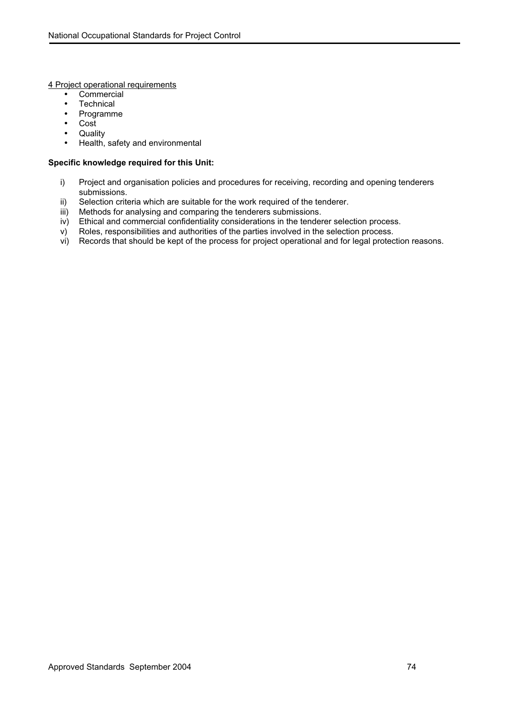4 Project operational requirements

- Commercial
- Technical
- Programme
- Cost
- Quality
- Health, safety and environmental

- i) Project and organisation policies and procedures for receiving, recording and opening tenderers submissions.
- ii) Selection criteria which are suitable for the work required of the tenderer.<br>iii) Methods for analysing and comparing the tenderers submissions.
- Methods for analysing and comparing the tenderers submissions.
- iv) Ethical and commercial confidentiality considerations in the tenderer selection process.
- v) Roles, responsibilities and authorities of the parties involved in the selection process.
- vi) Records that should be kept of the process for project operational and for legal protection reasons.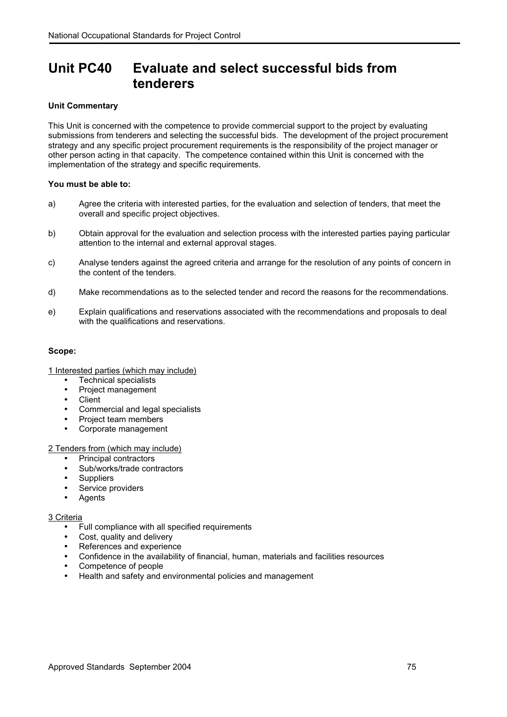# **Unit PC40 Evaluate and select successful bids from tenderers**

### **Unit Commentary**

This Unit is concerned with the competence to provide commercial support to the project by evaluating submissions from tenderers and selecting the successful bids. The development of the project procurement strategy and any specific project procurement requirements is the responsibility of the project manager or other person acting in that capacity. The competence contained within this Unit is concerned with the implementation of the strategy and specific requirements.

#### **You must be able to:**

- a) Agree the criteria with interested parties, for the evaluation and selection of tenders, that meet the overall and specific project objectives.
- b) Obtain approval for the evaluation and selection process with the interested parties paying particular attention to the internal and external approval stages.
- c) Analyse tenders against the agreed criteria and arrange for the resolution of any points of concern in the content of the tenders.
- d) Make recommendations as to the selected tender and record the reasons for the recommendations.
- e) Explain qualifications and reservations associated with the recommendations and proposals to deal with the qualifications and reservations.

#### **Scope:**

1 Interested parties (which may include)

- Technical specialists
- Project management
- Client
- Commercial and legal specialists
- Project team members
- Corporate management

2 Tenders from (which may include)

- Principal contractors
- Sub/works/trade contractors
- Suppliers
- Service providers
- Agents

#### 3 Criteria

- Full compliance with all specified requirements
- Cost, quality and delivery
- References and experience
- Confidence in the availability of financial, human, materials and facilities resources
- Competence of people
- Health and safety and environmental policies and management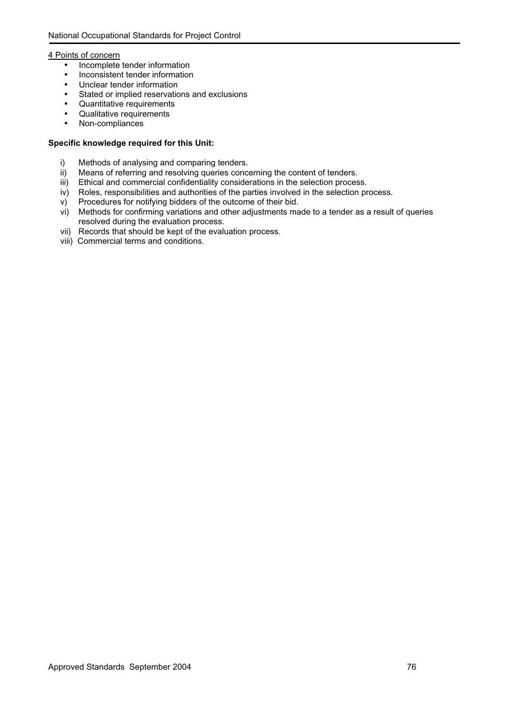#### 4 Points of concern

- Incomplete tender information
- Inconsistent tender information
- Unclear tender information
- Stated or implied reservations and exclusions
- Quantitative requirements
- Qualitative requirements
- Non-compliances

- i) Methods of analysing and comparing tenders.
- ii) Means of referring and resolving queries concerning the content of tenders.
- iii) Ethical and commercial confidentiality considerations in the selection process.
- iv) Roles, responsibilities and authorities of the parties involved in the selection process.
- v) Procedures for notifying bidders of the outcome of their bid.
- vi) Methods for confirming variations and other adjustments made to a tender as a result of queries resolved during the evaluation process.
- vii) Records that should be kept of the evaluation process.
- viii) Commercial terms and conditions.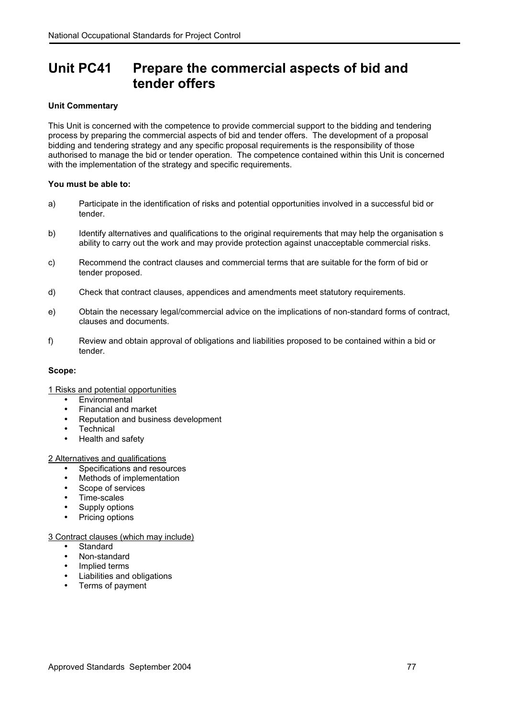# **Unit PC41 Prepare the commercial aspects of bid and tender offers**

# **Unit Commentary**

This Unit is concerned with the competence to provide commercial support to the bidding and tendering process by preparing the commercial aspects of bid and tender offers. The development of a proposal bidding and tendering strategy and any specific proposal requirements is the responsibility of those authorised to manage the bid or tender operation. The competence contained within this Unit is concerned with the implementation of the strategy and specific requirements.

# **You must be able to:**

- a) Participate in the identification of risks and potential opportunities involved in a successful bid or tender.
- b) Identify alternatives and qualifications to the original requirements that may help the organisation s ability to carry out the work and may provide protection against unacceptable commercial risks.
- c) Recommend the contract clauses and commercial terms that are suitable for the form of bid or tender proposed.
- d) Check that contract clauses, appendices and amendments meet statutory requirements.
- e) Obtain the necessary legal/commercial advice on the implications of non-standard forms of contract, clauses and documents.
- f) Review and obtain approval of obligations and liabilities proposed to be contained within a bid or tender.

#### **Scope:**

# 1 Risks and potential opportunities

- **Environmental**
- Financial and market
- Reputation and business development
- Technical
- Health and safety

#### 2 Alternatives and qualifications

- Specifications and resources
- Methods of implementation
- Scope of services
- Time-scales
- Supply options
- Pricing options

# 3 Contract clauses (which may include)

- **Standard**
- Non-standard
- Implied terms
- Liabilities and obligations
- Terms of payment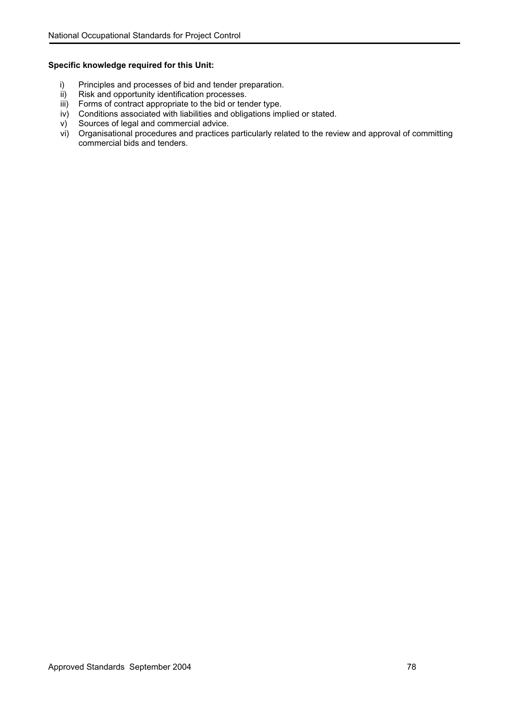- i) Principles and processes of bid and tender preparation.<br>ii) Risk and opportunity identification processes.
- Risk and opportunity identification processes.
- iii) Forms of contract appropriate to the bid or tender type.
- iv) Conditions associated with liabilities and obligations implied or stated.
- v) Sources of legal and commercial advice.
- vi) Organisational procedures and practices particularly related to the review and approval of committing commercial bids and tenders.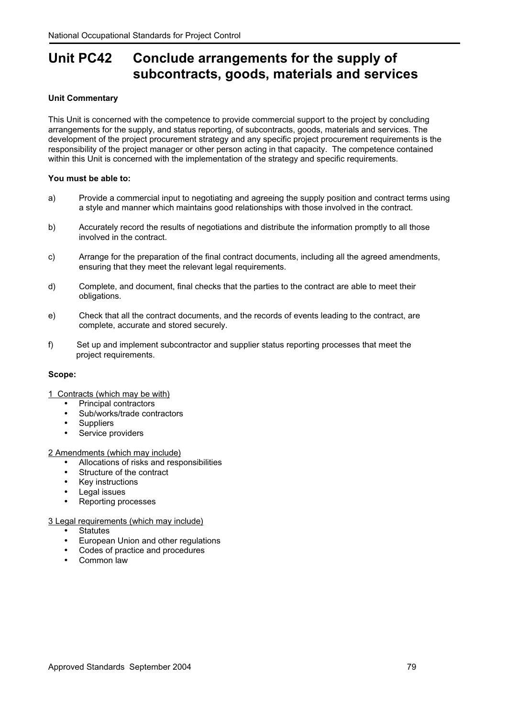# **Unit PC42 Conclude arrangements for the supply of subcontracts, goods, materials and services**

### **Unit Commentary**

This Unit is concerned with the competence to provide commercial support to the project by concluding arrangements for the supply, and status reporting, of subcontracts, goods, materials and services. The development of the project procurement strategy and any specific project procurement requirements is the responsibility of the project manager or other person acting in that capacity. The competence contained within this Unit is concerned with the implementation of the strategy and specific requirements.

#### **You must be able to:**

- a) Provide a commercial input to negotiating and agreeing the supply position and contract terms using a style and manner which maintains good relationships with those involved in the contract.
- b) Accurately record the results of negotiations and distribute the information promptly to all those involved in the contract.
- c) Arrange for the preparation of the final contract documents, including all the agreed amendments, ensuring that they meet the relevant legal requirements.
- d) Complete, and document, final checks that the parties to the contract are able to meet their obligations.
- e) Check that all the contract documents, and the records of events leading to the contract, are complete, accurate and stored securely.
- f) Set up and implement subcontractor and supplier status reporting processes that meet the project requirements.

#### **Scope:**

1 Contracts (which may be with)

- Principal contractors
- Sub/works/trade contractors
- **Suppliers**
- Service providers

2 Amendments (which may include)

- Allocations of risks and responsibilities
- Structure of the contract
- Key instructions
- Legal issues
- Reporting processes

#### 3 Legal requirements (which may include)

- Statutes
- European Union and other regulations
- Codes of practice and procedures
- Common law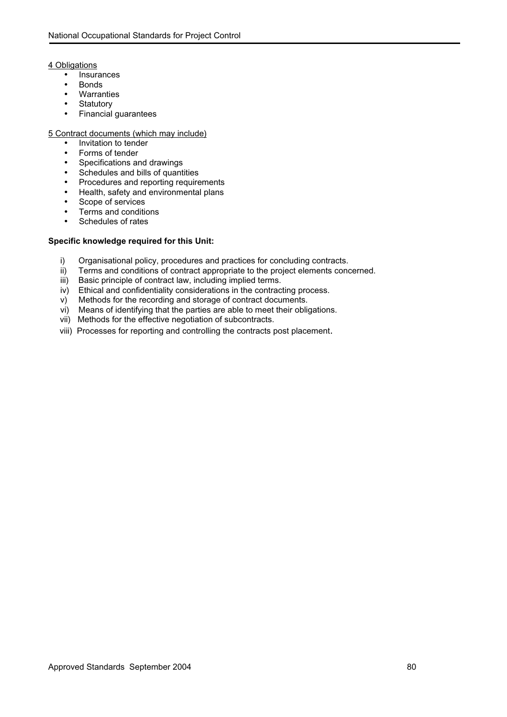4 Obligations

- Insurances
- Bonds
- Warranties<br>• Statutory
- **Statutory**
- Financial guarantees

#### 5 Contract documents (which may include)

- Invitation to tender
- Forms of tender
- Specifications and drawings
- Schedules and bills of quantities
- Procedures and reporting requirements
- Health, safety and environmental plans
- Scope of services
- Terms and conditions
- Schedules of rates

- i) Organisational policy, procedures and practices for concluding contracts.
- ii) Terms and conditions of contract appropriate to the project elements concerned.
- iii) Basic principle of contract law, including implied terms.
- iv) Ethical and confidentiality considerations in the contracting process.<br>v) Methods for the recording and storage of contract documents.
- Methods for the recording and storage of contract documents.
- vi) Means of identifying that the parties are able to meet their obligations.
- vii) Methods for the effective negotiation of subcontracts.
- viii) Processes for reporting and controlling the contracts post placement.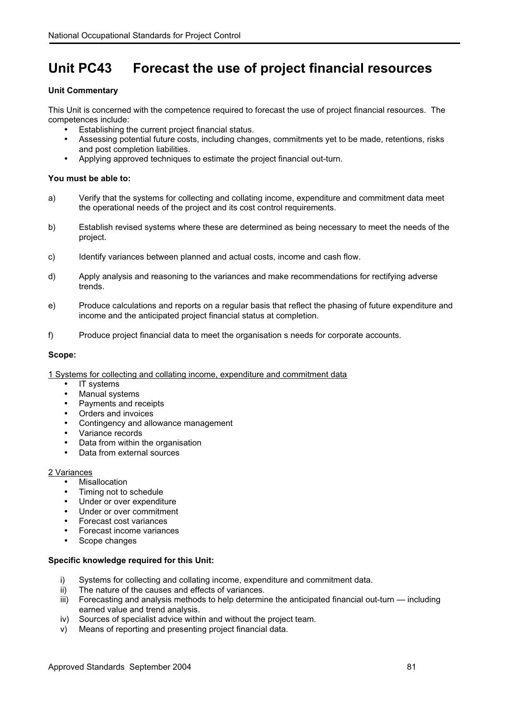# **Unit PC43 Forecast the use of project financial resources**

### **Unit Commentary**

This Unit is concerned with the competence required to forecast the use of project financial resources. The competences include:

- Establishing the current project financial status.
- Assessing potential future costs, including changes, commitments yet to be made, retentions, risks and post completion liabilities.
- Applying approved techniques to estimate the project financial out-turn.

#### **You must be able to:**

- a) Verify that the systems for collecting and collating income, expenditure and commitment data meet the operational needs of the project and its cost control requirements.
- b) Establish revised systems where these are determined as being necessary to meet the needs of the project.
- c) Identify variances between planned and actual costs, income and cash flow.
- d) Apply analysis and reasoning to the variances and make recommendations for rectifying adverse trends.
- e) Produce calculations and reports on a regular basis that reflect the phasing of future expenditure and income and the anticipated project financial status at completion.
- f) Produce project financial data to meet the organisation s needs for corporate accounts.

#### **Scope:**

#### 1 Systems for collecting and collating income, expenditure and commitment data

- IT systems
- Manual systems
- Payments and receipts
- Orders and invoices
- Contingency and allowance management
- Variance records
- Data from within the organisation
- Data from external sources

# 2 Variances

- **Misallocation**
- Timing not to schedule
- Under or over expenditure
- Under or over commitment
- Forecast cost variances
- Forecast income variances
- Scope changes

- i) Systems for collecting and collating income, expenditure and commitment data.
- ii) The nature of the causes and effects of variances.
- iii) Forecasting and analysis methods to help determine the anticipated financial out-turn including earned value and trend analysis.
- iv) Sources of specialist advice within and without the project team.
- v) Means of reporting and presenting project financial data.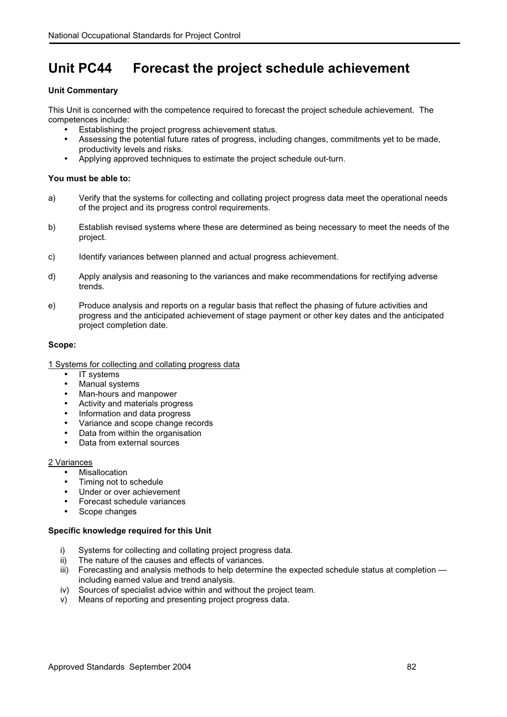# **Unit PC44 Forecast the project schedule achievement**

# **Unit Commentary**

This Unit is concerned with the competence required to forecast the project schedule achievement. The competences include:

- Establishing the project progress achievement status.
- Assessing the potential future rates of progress, including changes, commitments yet to be made, productivity levels and risks.
- Applying approved techniques to estimate the project schedule out-turn.

#### **You must be able to:**

- a) Verify that the systems for collecting and collating project progress data meet the operational needs of the project and its progress control requirements.
- b) Establish revised systems where these are determined as being necessary to meet the needs of the project.
- c) Identify variances between planned and actual progress achievement.
- d) Apply analysis and reasoning to the variances and make recommendations for rectifying adverse trends.
- e) Produce analysis and reports on a regular basis that reflect the phasing of future activities and progress and the anticipated achievement of stage payment or other key dates and the anticipated project completion date.

#### **Scope:**

1 Systems for collecting and collating progress data

- IT systems
- Manual systems
- Man-hours and manpower
- Activity and materials progress
- Information and data progress
- Variance and scope change records
- Data from within the organisation
- Data from external sources

#### 2 Variances

- **Misallocation**
- Timing not to schedule
- Under or over achievement
- Forecast schedule variances
- Scope changes

- i) Systems for collecting and collating project progress data.
- ii) The nature of the causes and effects of variances.
- iii) Forecasting and analysis methods to help determine the expected schedule status at completion including earned value and trend analysis.
- iv) Sources of specialist advice within and without the project team.
- v) Means of reporting and presenting project progress data.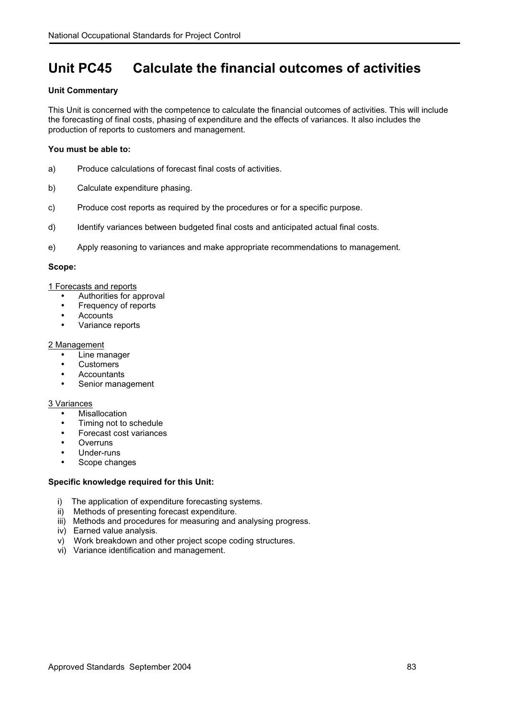# **Unit PC45 Calculate the financial outcomes of activities**

### **Unit Commentary**

This Unit is concerned with the competence to calculate the financial outcomes of activities. This will include the forecasting of final costs, phasing of expenditure and the effects of variances. It also includes the production of reports to customers and management.

#### **You must be able to:**

- a) Produce calculations of forecast final costs of activities.
- b) Calculate expenditure phasing.
- c) Produce cost reports as required by the procedures or for a specific purpose.
- d) Identify variances between budgeted final costs and anticipated actual final costs.
- e) Apply reasoning to variances and make appropriate recommendations to management.

#### **Scope:**

#### 1 Forecasts and reports

- Authorities for approval
- Frequency of reports
- Accounts
- Variance reports

#### 2 Management

- Line manager
- Customers
- Accountants
- Senior management

#### 3 Variances

- **Misallocation**
- Timing not to schedule
- Forecast cost variances
- **Overruns**
- Under-runs
- Scope changes

- i) The application of expenditure forecasting systems.
- ii) Methods of presenting forecast expenditure.
- iii) Methods and procedures for measuring and analysing progress.
- iv) Earned value analysis.
- v) Work breakdown and other project scope coding structures.
- vi) Variance identification and management.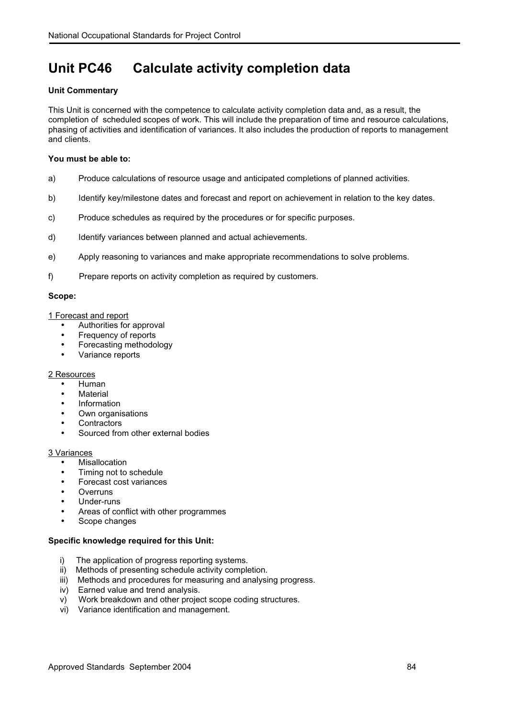# **Unit PC46 Calculate activity completion data**

### **Unit Commentary**

This Unit is concerned with the competence to calculate activity completion data and, as a result, the completion of scheduled scopes of work. This will include the preparation of time and resource calculations, phasing of activities and identification of variances. It also includes the production of reports to management and clients.

#### **You must be able to:**

- a) Produce calculations of resource usage and anticipated completions of planned activities.
- b) Identify key/milestone dates and forecast and report on achievement in relation to the key dates.
- c) Produce schedules as required by the procedures or for specific purposes.
- d) Identify variances between planned and actual achievements.
- e) Apply reasoning to variances and make appropriate recommendations to solve problems.
- f) Prepare reports on activity completion as required by customers.

#### **Scope:**

#### 1 Forecast and report

- Authorities for approval
- Frequency of reports
- Forecasting methodology
- Variance reports

#### 2 Resources

- Human
- **Material**
- Information
- Own organisations
- **Contractors**
- Sourced from other external bodies

#### 3 Variances

- **Misallocation**
- Timing not to schedule
- Forecast cost variances
- **Overruns**
- Under-runs
- Areas of conflict with other programmes
- Scope changes

- i) The application of progress reporting systems.
- ii) Methods of presenting schedule activity completion.
- iii) Methods and procedures for measuring and analysing progress.
- iv) Earned value and trend analysis.
- v) Work breakdown and other project scope coding structures.
- vi) Variance identification and management.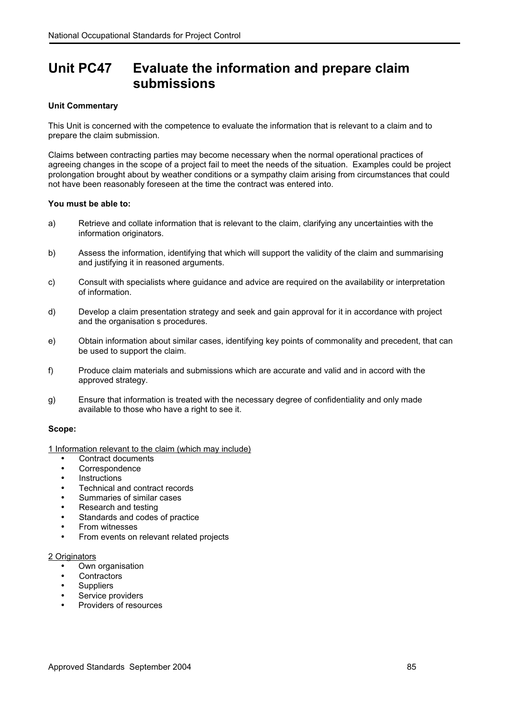# **Unit PC47 Evaluate the information and prepare claim submissions**

# **Unit Commentary**

This Unit is concerned with the competence to evaluate the information that is relevant to a claim and to prepare the claim submission.

Claims between contracting parties may become necessary when the normal operational practices of agreeing changes in the scope of a project fail to meet the needs of the situation. Examples could be project prolongation brought about by weather conditions or a sympathy claim arising from circumstances that could not have been reasonably foreseen at the time the contract was entered into.

#### **You must be able to:**

- a) Retrieve and collate information that is relevant to the claim, clarifying any uncertainties with the information originators.
- b) Assess the information, identifying that which will support the validity of the claim and summarising and justifying it in reasoned arguments.
- c) Consult with specialists where guidance and advice are required on the availability or interpretation of information.
- d) Develop a claim presentation strategy and seek and gain approval for it in accordance with project and the organisation s procedures.
- e) Obtain information about similar cases, identifying key points of commonality and precedent, that can be used to support the claim.
- f) Produce claim materials and submissions which are accurate and valid and in accord with the approved strategy.
- g) Ensure that information is treated with the necessary degree of confidentiality and only made available to those who have a right to see it.

#### **Scope:**

1 Information relevant to the claim (which may include)

- Contract documents
- Correspondence
- Instructions
- Technical and contract records
- Summaries of similar cases
- Research and testing
- Standards and codes of practice
- From witnesses
- From events on relevant related projects

#### 2 Originators

- Own organisation
- **Contractors**
- Suppliers
- Service providers
- Providers of resources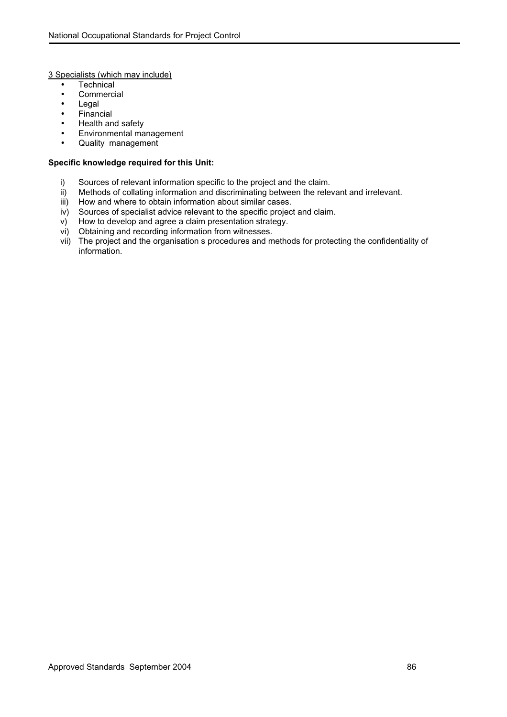3 Specialists (which may include)

- Technical
- Commercial
- Legal
- Financial
- Health and safety
- Environmental management
- Quality management

- i) Sources of relevant information specific to the project and the claim.
- ii) Methods of collating information and discriminating between the relevant and irrelevant.
- iii) How and where to obtain information about similar cases.
- iv) Sources of specialist advice relevant to the specific project and claim.
- v) How to develop and agree a claim presentation strategy.
- vi) Obtaining and recording information from witnesses.
- vii) The project and the organisation s procedures and methods for protecting the confidentiality of information.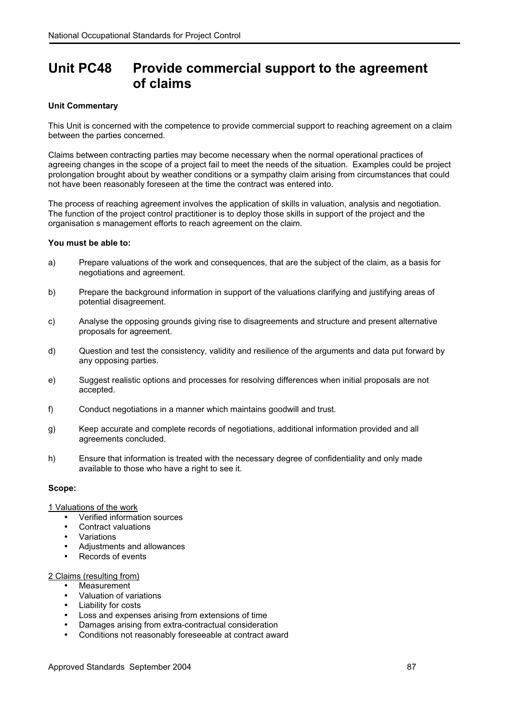# **Unit PC48 Provide commercial support to the agreement of claims**

### **Unit Commentary**

This Unit is concerned with the competence to provide commercial support to reaching agreement on a claim between the parties concerned.

Claims between contracting parties may become necessary when the normal operational practices of agreeing changes in the scope of a project fail to meet the needs of the situation. Examples could be project prolongation brought about by weather conditions or a sympathy claim arising from circumstances that could not have been reasonably foreseen at the time the contract was entered into.

The process of reaching agreement involves the application of skills in valuation, analysis and negotiation. The function of the project control practitioner is to deploy those skills in support of the project and the organisation s management efforts to reach agreement on the claim.

#### **You must be able to:**

- a) Prepare valuations of the work and consequences, that are the subject of the claim, as a basis for negotiations and agreement.
- b) Prepare the background information in support of the valuations clarifying and justifying areas of potential disagreement.
- c) Analyse the opposing grounds giving rise to disagreements and structure and present alternative proposals for agreement.
- d) Question and test the consistency, validity and resilience of the arguments and data put forward by any opposing parties.
- e) Suggest realistic options and processes for resolving differences when initial proposals are not accepted.
- f) Conduct negotiations in a manner which maintains goodwill and trust.
- g) Keep accurate and complete records of negotiations, additional information provided and all agreements concluded.
- h) Ensure that information is treated with the necessary degree of confidentiality and only made available to those who have a right to see it.

#### **Scope:**

#### 1 Valuations of the work

- Verified information sources
- Contract valuations
- Variations
- Adjustments and allowances
- Records of events

#### 2 Claims (resulting from)

- Measurement
- Valuation of variations
- Liability for costs
- Loss and expenses arising from extensions of time
- Damages arising from extra-contractual consideration
- Conditions not reasonably foreseeable at contract award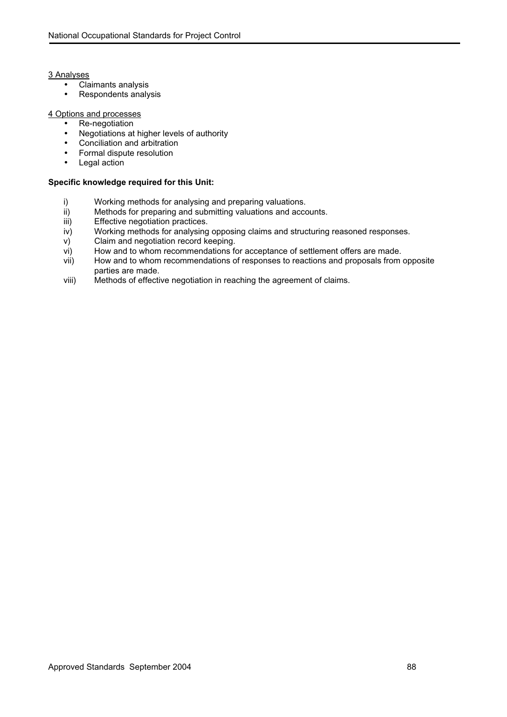#### 3 Analyses

- Claimants analysis
- Respondents analysis

#### 4 Options and processes

- Re-negotiation
- Negotiations at higher levels of authority
- Conciliation and arbitration
- Formal dispute resolution
- Legal action

- i) Working methods for analysing and preparing valuations.<br>ii) Methods for preparing and submitting valuations and acco
- Methods for preparing and submitting valuations and accounts.
- iii) Effective negotiation practices.
- iv) Working methods for analysing opposing claims and structuring reasoned responses.
- v) Claim and negotiation record keeping.
- vi) How and to whom recommendations for acceptance of settlement offers are made.
- vii) How and to whom recommendations of responses to reactions and proposals from opposite parties are made.
- viii) Methods of effective negotiation in reaching the agreement of claims.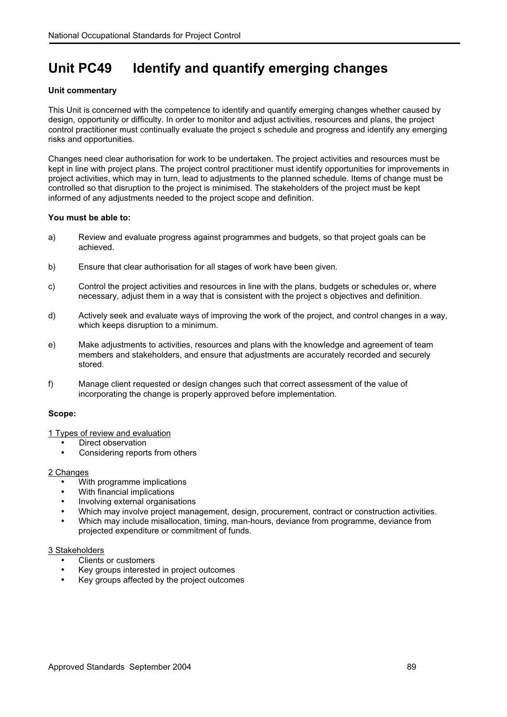# **Unit PC49 Identify and quantify emerging changes**

#### **Unit commentary**

This Unit is concerned with the competence to identify and quantify emerging changes whether caused by design, opportunity or difficulty. In order to monitor and adjust activities, resources and plans, the project control practitioner must continually evaluate the project s schedule and progress and identify any emerging risks and opportunities.

Changes need clear authorisation for work to be undertaken. The project activities and resources must be kept in line with project plans. The project control practitioner must identify opportunities for improvements in project activities, which may in turn, lead to adjustments to the planned schedule. Items of change must be controlled so that disruption to the project is minimised. The stakeholders of the project must be kept informed of any adjustments needed to the project scope and definition.

#### **You must be able to:**

- a) Review and evaluate progress against programmes and budgets, so that project goals can be achieved.
- b) Ensure that clear authorisation for all stages of work have been given.
- c) Control the project activities and resources in line with the plans, budgets or schedules or, where necessary, adjust them in a way that is consistent with the project s objectives and definition.
- d) Actively seek and evaluate ways of improving the work of the project, and control changes in a way, which keeps disruption to a minimum.
- e) Make adjustments to activities, resources and plans with the knowledge and agreement of team members and stakeholders, and ensure that adjustments are accurately recorded and securely stored.
- f) Manage client requested or design changes such that correct assessment of the value of incorporating the change is properly approved before implementation.

#### **Scope:**

1 Types of review and evaluation

- Direct observation
- Considering reports from others

# 2 Changes

- With programme implications
- With financial implications
- Involving external organisations
- Which may involve project management, design, procurement, contract or construction activities.
- Which may include misallocation, timing, man-hours, deviance from programme, deviance from projected expenditure or commitment of funds.

#### 3 Stakeholders

- Clients or customers
- Key groups interested in project outcomes
- Key groups affected by the project outcomes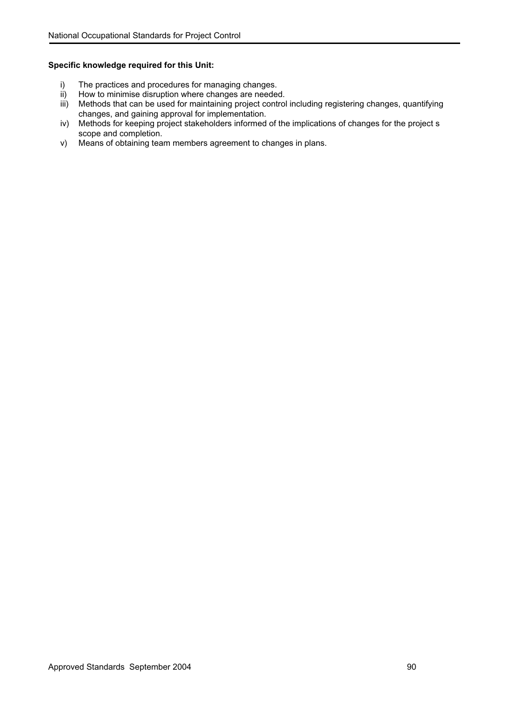- i) The practices and procedures for managing changes.<br>ii) How to minimise disruption where changes are needer
- How to minimise disruption where changes are needed.
- iii) Methods that can be used for maintaining project control including registering changes, quantifying changes, and gaining approval for implementation.
- iv) Methods for keeping project stakeholders informed of the implications of changes for the project s scope and completion.
- v) Means of obtaining team members agreement to changes in plans.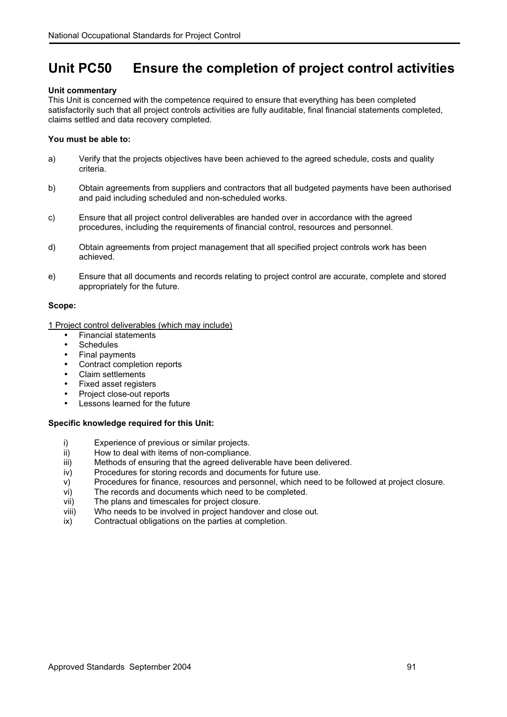# **Unit PC50 Ensure the completion of project control activities**

#### **Unit commentary**

This Unit is concerned with the competence required to ensure that everything has been completed satisfactorily such that all project controls activities are fully auditable, final financial statements completed, claims settled and data recovery completed.

#### **You must be able to:**

- a) Verify that the projects objectives have been achieved to the agreed schedule, costs and quality criteria.
- b) Obtain agreements from suppliers and contractors that all budgeted payments have been authorised and paid including scheduled and non-scheduled works.
- c) Ensure that all project control deliverables are handed over in accordance with the agreed procedures, including the requirements of financial control, resources and personnel.
- d) Obtain agreements from project management that all specified project controls work has been achieved.
- e) Ensure that all documents and records relating to project control are accurate, complete and stored appropriately for the future.

#### **Scope:**

1 Project control deliverables (which may include)

- Financial statements
- Schedules
- Final payments
- Contract completion reports
- Claim settlements
- Fixed asset registers
- Project close-out reports
- Lessons learned for the future

- i) Experience of previous or similar projects.<br>ii) How to deal with items of non-compliance.
- How to deal with items of non-compliance.
- iii) Methods of ensuring that the agreed deliverable have been delivered.
- iv) Procedures for storing records and documents for future use.
- v) Procedures for finance, resources and personnel, which need to be followed at project closure.
- vi) The records and documents which need to be completed.
- vii) The plans and timescales for project closure.
- viii) Who needs to be involved in project handover and close out.
- ix) Contractual obligations on the parties at completion.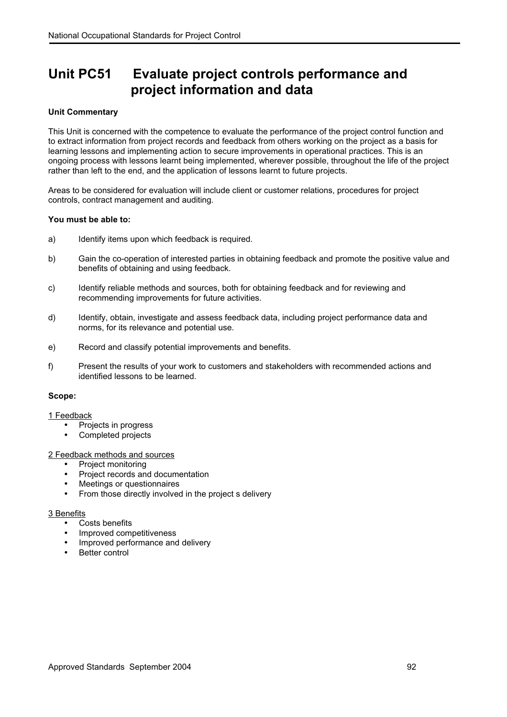# **Unit PC51 Evaluate project controls performance and project information and data**

### **Unit Commentary**

This Unit is concerned with the competence to evaluate the performance of the project control function and to extract information from project records and feedback from others working on the project as a basis for learning lessons and implementing action to secure improvements in operational practices. This is an ongoing process with lessons learnt being implemented, wherever possible, throughout the life of the project rather than left to the end, and the application of lessons learnt to future projects.

Areas to be considered for evaluation will include client or customer relations, procedures for project controls, contract management and auditing.

#### **You must be able to:**

- a) Identify items upon which feedback is required.
- b) Gain the co-operation of interested parties in obtaining feedback and promote the positive value and benefits of obtaining and using feedback.
- c) Identify reliable methods and sources, both for obtaining feedback and for reviewing and recommending improvements for future activities.
- d) Identify, obtain, investigate and assess feedback data, including project performance data and norms, for its relevance and potential use.
- e) Record and classify potential improvements and benefits.
- f) Present the results of your work to customers and stakeholders with recommended actions and identified lessons to be learned.

#### **Scope:**

#### 1 Feedback

- Projects in progress
- Completed projects

#### 2 Feedback methods and sources

- Project monitoring
- Project records and documentation
- Meetings or questionnaires
- From those directly involved in the project s delivery

#### 3 Benefits

- Costs benefits
- Improved competitiveness
- Improved performance and delivery
- Better control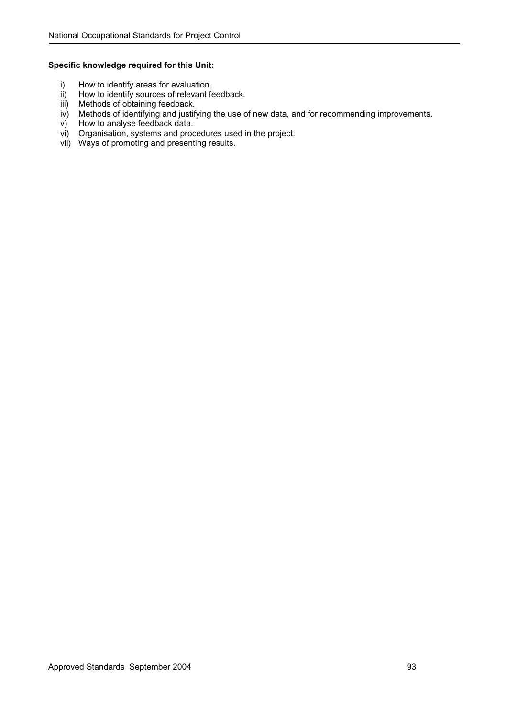- i) How to identify areas for evaluation.<br>ii) How to identify sources of relevant fe
- How to identify sources of relevant feedback.
- iii) Methods of obtaining feedback.
- iv) Methods of identifying and justifying the use of new data, and for recommending improvements.
- v) How to analyse feedback data.
- vi) Organisation, systems and procedures used in the project.
- vii) Ways of promoting and presenting results.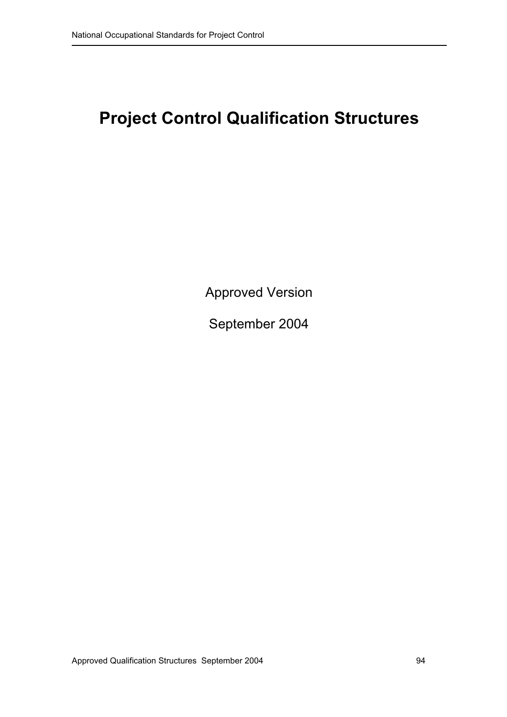# **Project Control Qualification Structures**

Approved Version

September 2004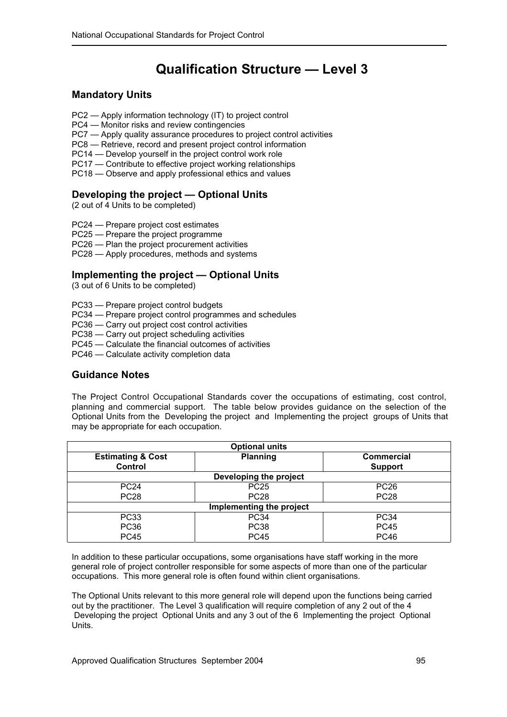# **Qualification Structure — Level 3**

# **Mandatory Units**

- PC2 Apply information technology (IT) to project control
- PC4 Monitor risks and review contingencies
- PC7 Apply quality assurance procedures to project control activities
- PC8 Retrieve, record and present project control information
- PC14 Develop yourself in the project control work role
- PC17 Contribute to effective project working relationships
- PC18 Observe and apply professional ethics and values

# **Developing the project — Optional Units**

(2 out of 4 Units to be completed)

- PC24 Prepare project cost estimates
- PC25 Prepare the project programme
- PC26 Plan the project procurement activities
- PC28 Apply procedures, methods and systems

# **Implementing the project — Optional Units**

(3 out of 6 Units to be completed)

- PC33 Prepare project control budgets
- PC34 Prepare project control programmes and schedules
- PC36 Carry out project cost control activities
- PC38 Carry out project scheduling activities
- PC45 Calculate the financial outcomes of activities
- PC46 Calculate activity completion data

# **Guidance Notes**

The Project Control Occupational Standards cover the occupations of estimating, cost control, planning and commercial support. The table below provides guidance on the selection of the Optional Units from the Developing the project and Implementing the project groups of Units that may be appropriate for each occupation.

| <b>Optional units</b>                   |                 |                                     |  |  |
|-----------------------------------------|-----------------|-------------------------------------|--|--|
| <b>Estimating &amp; Cost</b><br>Control | <b>Planning</b> | <b>Commercial</b><br><b>Support</b> |  |  |
| Developing the project                  |                 |                                     |  |  |
| <b>PC24</b>                             | <b>PC25</b>     | <b>PC26</b>                         |  |  |
| <b>PC28</b>                             | <b>PC28</b>     | <b>PC28</b>                         |  |  |
| Implementing the project                |                 |                                     |  |  |
| <b>PC33</b>                             | <b>PC34</b>     | <b>PC34</b>                         |  |  |
| <b>PC36</b>                             | <b>PC38</b>     | <b>PC45</b>                         |  |  |
| <b>PC45</b>                             | <b>PC45</b>     | <b>PC46</b>                         |  |  |

In addition to these particular occupations, some organisations have staff working in the more general role of project controller responsible for some aspects of more than one of the particular occupations. This more general role is often found within client organisations.

The Optional Units relevant to this more general role will depend upon the functions being carried out by the practitioner. The Level 3 qualification will require completion of any 2 out of the 4 Developing the project Optional Units and any 3 out of the 6 Implementing the project Optional Units.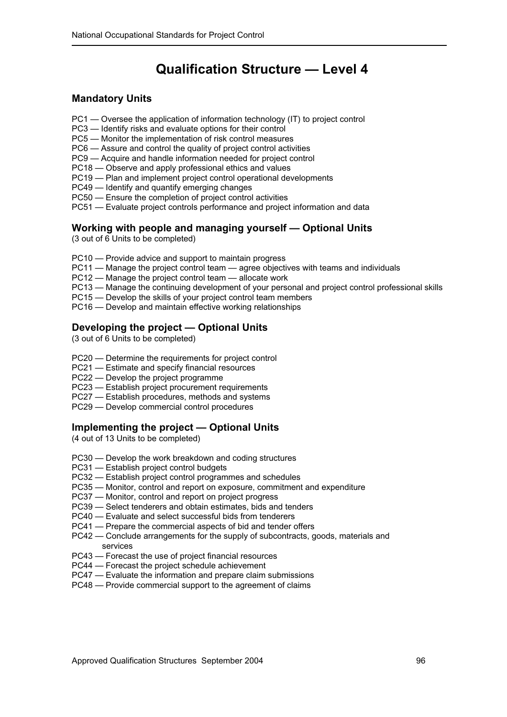# **Qualification Structure — Level 4**

# **Mandatory Units**

- PC1 Oversee the application of information technology (IT) to project control
- PC3 Identify risks and evaluate options for their control
- PC5 Monitor the implementation of risk control measures
- PC6 Assure and control the quality of project control activities
- PC9 Acquire and handle information needed for project control
- PC18 Observe and apply professional ethics and values
- PC19 Plan and implement project control operational developments
- PC49 Identify and quantify emerging changes
- PC50 Ensure the completion of project control activities
- PC51 Evaluate project controls performance and project information and data

# **Working with people and managing yourself — Optional Units**

(3 out of 6 Units to be completed)

- PC10 Provide advice and support to maintain progress
- PC11 Manage the project control team agree objectives with teams and individuals
- PC12 Manage the project control team allocate work
- PC13 Manage the continuing development of your personal and project control professional skills
- PC15 Develop the skills of your project control team members
- PC16 Develop and maintain effective working relationships

# **Developing the project — Optional Units**

(3 out of 6 Units to be completed)

- PC20 Determine the requirements for project control
- PC21 Estimate and specify financial resources
- PC22 Develop the project programme
- PC23 Establish project procurement requirements
- PC27 Establish procedures, methods and systems
- PC29 Develop commercial control procedures

# **Implementing the project — Optional Units**

(4 out of 13 Units to be completed)

- PC30 Develop the work breakdown and coding structures
- PC31 Establish project control budgets
- PC32 Establish project control programmes and schedules
- PC35 Monitor, control and report on exposure, commitment and expenditure
- PC37 Monitor, control and report on project progress
- PC39 Select tenderers and obtain estimates, bids and tenders
- PC40 Evaluate and select successful bids from tenderers
- PC41 Prepare the commercial aspects of bid and tender offers
- PC42 Conclude arrangements for the supply of subcontracts, goods, materials and services
- PC43 Forecast the use of project financial resources
- PC44 Forecast the project schedule achievement
- PC47 Evaluate the information and prepare claim submissions
- PC48 Provide commercial support to the agreement of claims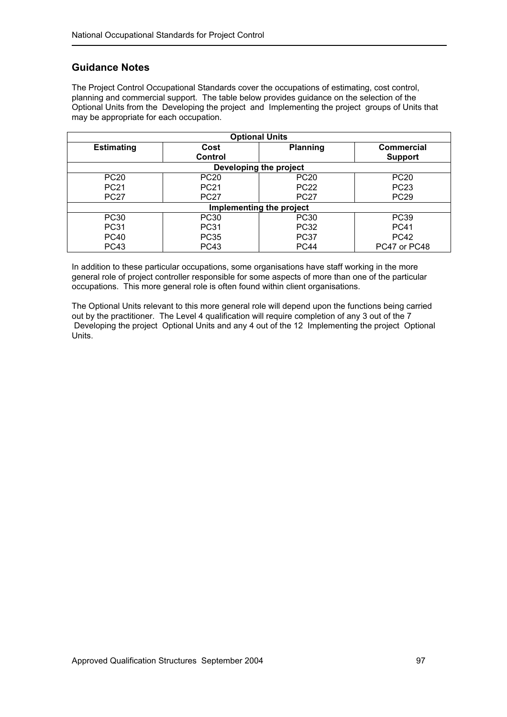# **Guidance Notes**

The Project Control Occupational Standards cover the occupations of estimating, cost control, planning and commercial support. The table below provides guidance on the selection of the Optional Units from the Developing the project and Implementing the project groups of Units that may be appropriate for each occupation.

| <b>Optional Units</b>    |             |                 |                   |  |
|--------------------------|-------------|-----------------|-------------------|--|
| <b>Estimating</b>        | Cost        | <b>Planning</b> | <b>Commercial</b> |  |
|                          | Control     |                 | <b>Support</b>    |  |
| Developing the project   |             |                 |                   |  |
| <b>PC20</b>              | <b>PC20</b> | <b>PC20</b>     | <b>PC20</b>       |  |
| <b>PC21</b>              | <b>PC21</b> | <b>PC22</b>     | <b>PC23</b>       |  |
| <b>PC27</b>              | <b>PC27</b> | <b>PC27</b>     | <b>PC29</b>       |  |
| Implementing the project |             |                 |                   |  |
| <b>PC30</b>              | PC30        | PC30            | <b>PC39</b>       |  |
| <b>PC31</b>              | <b>PC31</b> | <b>PC32</b>     | <b>PC41</b>       |  |
| <b>PC40</b>              | <b>PC35</b> | <b>PC37</b>     | <b>PC42</b>       |  |
| <b>PC43</b>              | <b>PC43</b> | <b>PC44</b>     | PC47 or PC48      |  |

In addition to these particular occupations, some organisations have staff working in the more general role of project controller responsible for some aspects of more than one of the particular occupations. This more general role is often found within client organisations.

The Optional Units relevant to this more general role will depend upon the functions being carried out by the practitioner. The Level 4 qualification will require completion of any 3 out of the 7 Developing the project Optional Units and any 4 out of the 12 Implementing the project Optional Units.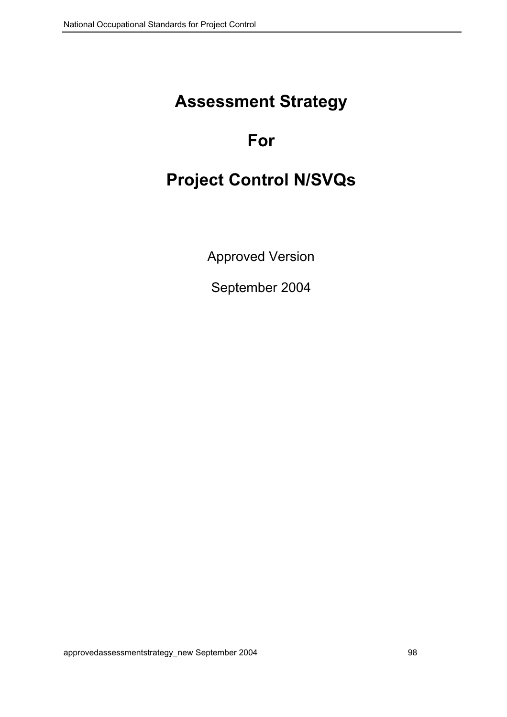# **Assessment Strategy**

# **For**

# **Project Control N/SVQs**

Approved Version

September 2004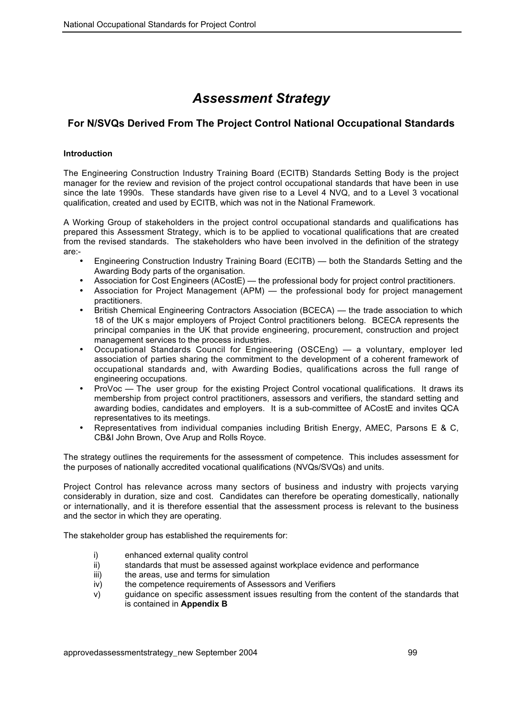# *Assessment Strategy*

# **For N/SVQs Derived From The Project Control National Occupational Standards**

# **Introduction**

The Engineering Construction Industry Training Board (ECITB) Standards Setting Body is the project manager for the review and revision of the project control occupational standards that have been in use since the late 1990s. These standards have given rise to a Level 4 NVQ, and to a Level 3 vocational qualification, created and used by ECITB, which was not in the National Framework.

A Working Group of stakeholders in the project control occupational standards and qualifications has prepared this Assessment Strategy, which is to be applied to vocational qualifications that are created from the revised standards. The stakeholders who have been involved in the definition of the strategy are:-

- Engineering Construction Industry Training Board (ECITB) both the Standards Setting and the Awarding Body parts of the organisation.
- Association for Cost Engineers (ACostE) the professional body for project control practitioners.
- Association for Project Management (APM) the professional body for project management practitioners.
- British Chemical Engineering Contractors Association (BCECA) the trade association to which 18 of the UK s major employers of Project Control practitioners belong. BCECA represents the principal companies in the UK that provide engineering, procurement, construction and project management services to the process industries.
- Occupational Standards Council for Engineering (OSCEng) a voluntary, employer led association of parties sharing the commitment to the development of a coherent framework of occupational standards and, with Awarding Bodies, qualifications across the full range of engineering occupations.
- ProVoc The user group for the existing Project Control vocational qualifications. It draws its membership from project control practitioners, assessors and verifiers, the standard setting and awarding bodies, candidates and employers. It is a sub-committee of ACostE and invites QCA representatives to its meetings.
- Representatives from individual companies including British Energy, AMEC, Parsons E & C, CB&I John Brown, Ove Arup and Rolls Royce.

The strategy outlines the requirements for the assessment of competence. This includes assessment for the purposes of nationally accredited vocational qualifications (NVQs/SVQs) and units.

Project Control has relevance across many sectors of business and industry with projects varying considerably in duration, size and cost. Candidates can therefore be operating domestically, nationally or internationally, and it is therefore essential that the assessment process is relevant to the business and the sector in which they are operating.

The stakeholder group has established the requirements for:

- i) enhanced external quality control
- ii) standards that must be assessed against workplace evidence and performance
- iii) the areas, use and terms for simulation
- iv) the competence requirements of Assessors and Verifiers
- v) guidance on specific assessment issues resulting from the content of the standards that is contained in **Appendix B**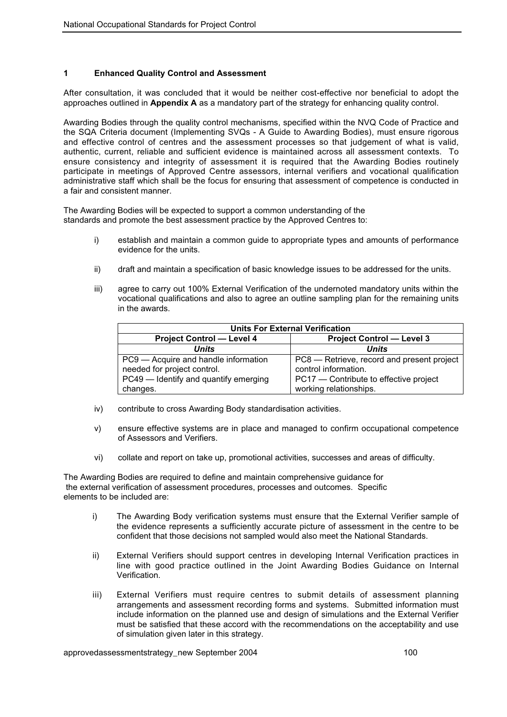### **1 Enhanced Quality Control and Assessment**

After consultation, it was concluded that it would be neither cost-effective nor beneficial to adopt the approaches outlined in **Appendix A** as a mandatory part of the strategy for enhancing quality control.

Awarding Bodies through the quality control mechanisms, specified within the NVQ Code of Practice and the SQA Criteria document (Implementing SVQs - A Guide to Awarding Bodies), must ensure rigorous and effective control of centres and the assessment processes so that judgement of what is valid, authentic, current, reliable and sufficient evidence is maintained across all assessment contexts. To ensure consistency and integrity of assessment it is required that the Awarding Bodies routinely participate in meetings of Approved Centre assessors, internal verifiers and vocational qualification administrative staff which shall be the focus for ensuring that assessment of competence is conducted in a fair and consistent manner.

The Awarding Bodies will be expected to support a common understanding of the standards and promote the best assessment practice by the Approved Centres to:

- i) establish and maintain a common guide to appropriate types and amounts of performance evidence for the units.
- ii) draft and maintain a specification of basic knowledge issues to be addressed for the units.
- iii) agree to carry out 100% External Verification of the undernoted mandatory units within the vocational qualifications and also to agree an outline sampling plan for the remaining units in the awards.

| <b>Units For External Verification</b> |                                            |  |  |
|----------------------------------------|--------------------------------------------|--|--|
| <b>Project Control - Level 4</b>       | <b>Project Control - Level 3</b>           |  |  |
| <b>Units</b>                           | <b>Units</b>                               |  |  |
| PC9 - Acquire and handle information   | PC8 – Retrieve, record and present project |  |  |
| needed for project control.            | control information.                       |  |  |
| PC49 – Identify and quantify emerging  | PC17 – Contribute to effective project     |  |  |
| changes.                               | working relationships.                     |  |  |

- iv) contribute to cross Awarding Body standardisation activities.
- v) ensure effective systems are in place and managed to confirm occupational competence of Assessors and Verifiers.
- vi) collate and report on take up, promotional activities, successes and areas of difficulty.

The Awarding Bodies are required to define and maintain comprehensive guidance for the external verification of assessment procedures, processes and outcomes. Specific elements to be included are:

- i) The Awarding Body verification systems must ensure that the External Verifier sample of the evidence represents a sufficiently accurate picture of assessment in the centre to be confident that those decisions not sampled would also meet the National Standards.
- ii) External Verifiers should support centres in developing Internal Verification practices in line with good practice outlined in the Joint Awarding Bodies Guidance on Internal Verification.
- iii) External Verifiers must require centres to submit details of assessment planning arrangements and assessment recording forms and systems. Submitted information must include information on the planned use and design of simulations and the External Verifier must be satisfied that these accord with the recommendations on the acceptability and use of simulation given later in this strategy.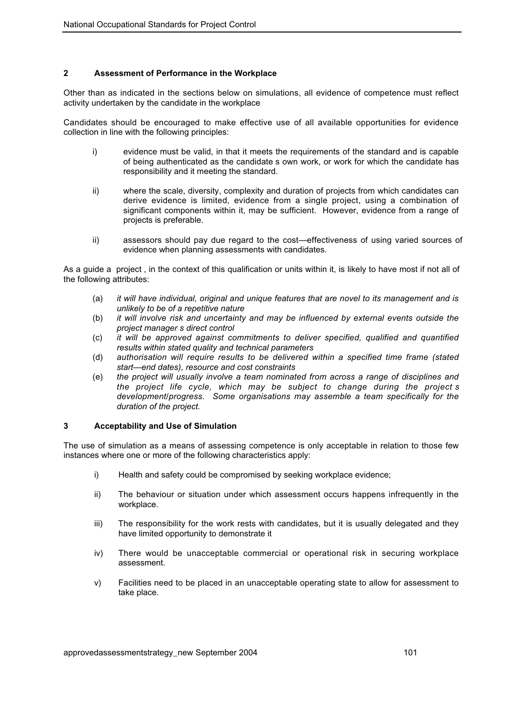### **2 Assessment of Performance in the Workplace**

Other than as indicated in the sections below on simulations, all evidence of competence must reflect activity undertaken by the candidate in the workplace

Candidates should be encouraged to make effective use of all available opportunities for evidence collection in line with the following principles:

- i) evidence must be valid, in that it meets the requirements of the standard and is capable of being authenticated as the candidate s own work, or work for which the candidate has responsibility and it meeting the standard.
- ii) where the scale, diversity, complexity and duration of projects from which candidates can derive evidence is limited, evidence from a single project, using a combination of significant components within it, may be sufficient. However, evidence from a range of projects is preferable.
- ii) assessors should pay due regard to the cost—effectiveness of using varied sources of evidence when planning assessments with candidates.

As a guide a project , in the context of this qualification or units within it, is likely to have most if not all of the following attributes:

- (a) *it will have individual, original and unique features that are novel to its management and is unlikely to be of a repetitive nature*
- (b) *it will involve risk and uncertainty and may be influenced by external events outside the project manager s direct control*
- (c) *it will be approved against commitments to deliver specified, qualified and quantified results within stated quality and technical parameters*
- (d) *authorisation will require results to be delivered within a specified time frame (stated start—end dates), resource and cost constraints*
- (e) *the project will usually involve a team nominated from across a range of disciplines and the project life cycle, which may be subject to change during the project s development/progress. Some organisations may assemble a team specifically for the duration of the project.*

#### **3 Acceptability and Use of Simulation**

The use of simulation as a means of assessing competence is only acceptable in relation to those few instances where one or more of the following characteristics apply:

- i) Health and safety could be compromised by seeking workplace evidence;
- ii) The behaviour or situation under which assessment occurs happens infrequently in the workplace.
- iii) The responsibility for the work rests with candidates, but it is usually delegated and they have limited opportunity to demonstrate it
- iv) There would be unacceptable commercial or operational risk in securing workplace assessment.
- v) Facilities need to be placed in an unacceptable operating state to allow for assessment to take place.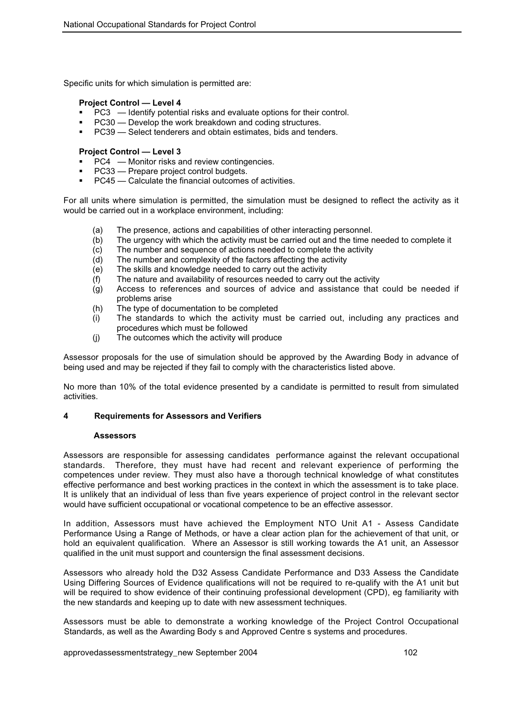Specific units for which simulation is permitted are:

### **Project Control — Level 4**

- PC3 Identify potential risks and evaluate options for their control.
- PC30 Develop the work breakdown and coding structures.
- PC39 Select tenderers and obtain estimates, bids and tenders.

#### **Project Control — Level 3**

- PC4 Monitor risks and review contingencies.
- PC33 Prepare project control budgets.
- PC45 Calculate the financial outcomes of activities.

For all units where simulation is permitted, the simulation must be designed to reflect the activity as it would be carried out in a workplace environment, including:

- 
- (a) The presence, actions and capabilities of other interacting personnel.<br>(b) The urgency with which the activity must be carried out and the time r The urgency with which the activity must be carried out and the time needed to complete it
- (c) The number and sequence of actions needed to complete the activity
- (d) The number and complexity of the factors affecting the activity
- (e) The skills and knowledge needed to carry out the activity
- (f) The nature and availability of resources needed to carry out the activity
- (g) Access to references and sources of advice and assistance that could be needed if problems arise
- (h) The type of documentation to be completed
- (i) The standards to which the activity must be carried out, including any practices and procedures which must be followed
- (j) The outcomes which the activity will produce

Assessor proposals for the use of simulation should be approved by the Awarding Body in advance of being used and may be rejected if they fail to comply with the characteristics listed above.

No more than 10% of the total evidence presented by a candidate is permitted to result from simulated activities.

#### **4 Requirements for Assessors and Verifiers**

#### **Assessors**

Assessors are responsible for assessing candidates performance against the relevant occupational standards. Therefore, they must have had recent and relevant experience of performing the competences under review. They must also have a thorough technical knowledge of what constitutes effective performance and best working practices in the context in which the assessment is to take place. It is unlikely that an individual of less than five years experience of project control in the relevant sector would have sufficient occupational or vocational competence to be an effective assessor.

In addition, Assessors must have achieved the Employment NTO Unit A1 - Assess Candidate Performance Using a Range of Methods, or have a clear action plan for the achievement of that unit, or hold an equivalent qualification. Where an Assessor is still working towards the A1 unit, an Assessor qualified in the unit must support and countersign the final assessment decisions.

Assessors who already hold the D32 Assess Candidate Performance and D33 Assess the Candidate Using Differing Sources of Evidence qualifications will not be required to re-qualify with the A1 unit but will be required to show evidence of their continuing professional development (CPD), eg familiarity with the new standards and keeping up to date with new assessment techniques.

Assessors must be able to demonstrate a working knowledge of the Project Control Occupational Standards, as well as the Awarding Body s and Approved Centre s systems and procedures.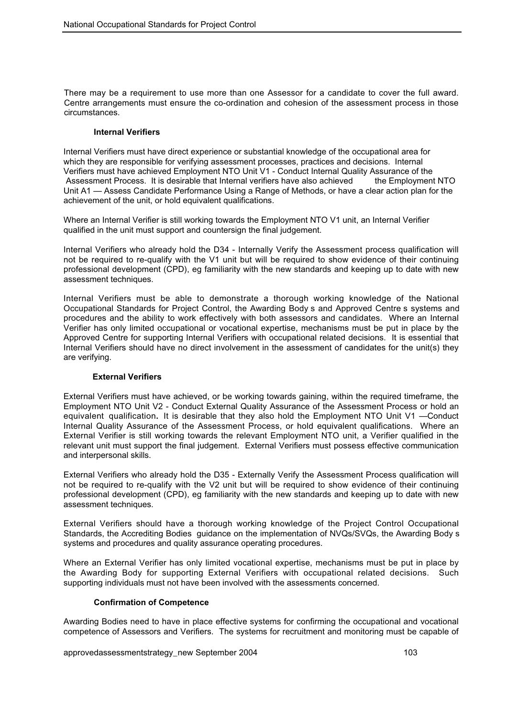There may be a requirement to use more than one Assessor for a candidate to cover the full award. Centre arrangements must ensure the co-ordination and cohesion of the assessment process in those circumstances.

#### **Internal Verifiers**

Internal Verifiers must have direct experience or substantial knowledge of the occupational area for which they are responsible for verifying assessment processes, practices and decisions. Internal Verifiers must have achieved Employment NTO Unit V1 - Conduct Internal Quality Assurance of the Assessment Process. It is desirable that Internal verifiers have also achieved the Employment NTO Unit A1 — Assess Candidate Performance Using a Range of Methods, or have a clear action plan for the achievement of the unit, or hold equivalent qualifications.

Where an Internal Verifier is still working towards the Employment NTO V1 unit, an Internal Verifier qualified in the unit must support and countersign the final judgement.

Internal Verifiers who already hold the D34 - Internally Verify the Assessment process qualification will not be required to re-qualify with the V1 unit but will be required to show evidence of their continuing professional development (CPD), eg familiarity with the new standards and keeping up to date with new assessment techniques.

Internal Verifiers must be able to demonstrate a thorough working knowledge of the National Occupational Standards for Project Control, the Awarding Body s and Approved Centre s systems and procedures and the ability to work effectively with both assessors and candidates. Where an Internal Verifier has only limited occupational or vocational expertise, mechanisms must be put in place by the Approved Centre for supporting Internal Verifiers with occupational related decisions. It is essential that Internal Verifiers should have no direct involvement in the assessment of candidates for the unit(s) they are verifying.

#### **External Verifiers**

External Verifiers must have achieved, or be working towards gaining, within the required timeframe, the Employment NTO Unit V2 - Conduct External Quality Assurance of the Assessment Process or hold an equivalent qualification**.** It is desirable that they also hold the Employment NTO Unit V1 — Conduct Internal Quality Assurance of the Assessment Process, or hold equivalent qualifications. Where an External Verifier is still working towards the relevant Employment NTO unit, a Verifier qualified in the relevant unit must support the final judgement. External Verifiers must possess effective communication and interpersonal skills.

External Verifiers who already hold the D35 - Externally Verify the Assessment Process qualification will not be required to re-qualify with the V2 unit but will be required to show evidence of their continuing professional development (CPD), eg familiarity with the new standards and keeping up to date with new assessment techniques.

External Verifiers should have a thorough working knowledge of the Project Control Occupational Standards, the Accrediting Bodies guidance on the implementation of NVQs/SVQs, the Awarding Body s systems and procedures and quality assurance operating procedures.

Where an External Verifier has only limited vocational expertise, mechanisms must be put in place by the Awarding Body for supporting External Verifiers with occupational related decisions. Such supporting individuals must not have been involved with the assessments concerned.

#### **Confirmation of Competence**

Awarding Bodies need to have in place effective systems for confirming the occupational and vocational competence of Assessors and Verifiers. The systems for recruitment and monitoring must be capable of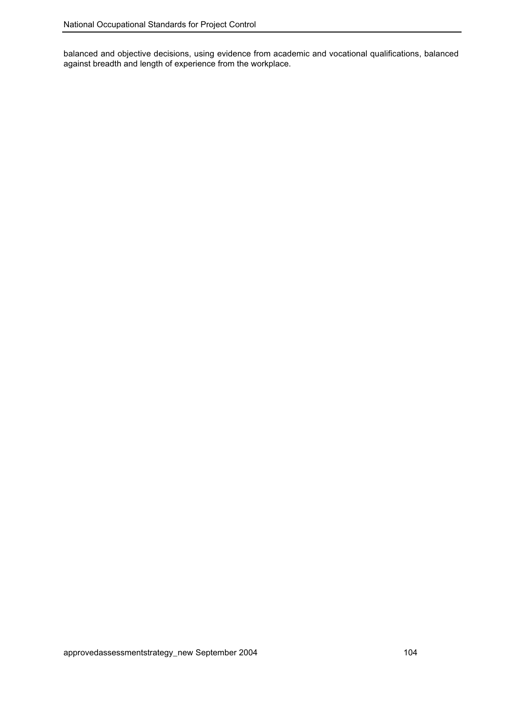balanced and objective decisions, using evidence from academic and vocational qualifications, balanced against breadth and length of experience from the workplace.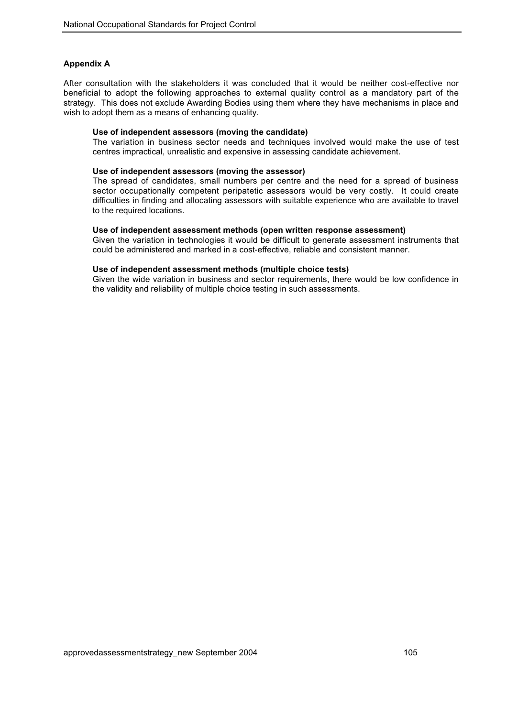### **Appendix A**

After consultation with the stakeholders it was concluded that it would be neither cost-effective nor beneficial to adopt the following approaches to external quality control as a mandatory part of the strategy. This does not exclude Awarding Bodies using them where they have mechanisms in place and wish to adopt them as a means of enhancing quality.

#### **Use of independent assessors (moving the candidate)**

The variation in business sector needs and techniques involved would make the use of test centres impractical, unrealistic and expensive in assessing candidate achievement.

#### **Use of independent assessors (moving the assessor)**

The spread of candidates, small numbers per centre and the need for a spread of business sector occupationally competent peripatetic assessors would be very costly. It could create difficulties in finding and allocating assessors with suitable experience who are available to travel to the required locations.

#### **Use of independent assessment methods (open written response assessment)**

Given the variation in technologies it would be difficult to generate assessment instruments that could be administered and marked in a cost-effective, reliable and consistent manner.

#### **Use of independent assessment methods (multiple choice tests)**

Given the wide variation in business and sector requirements, there would be low confidence in the validity and reliability of multiple choice testing in such assessments.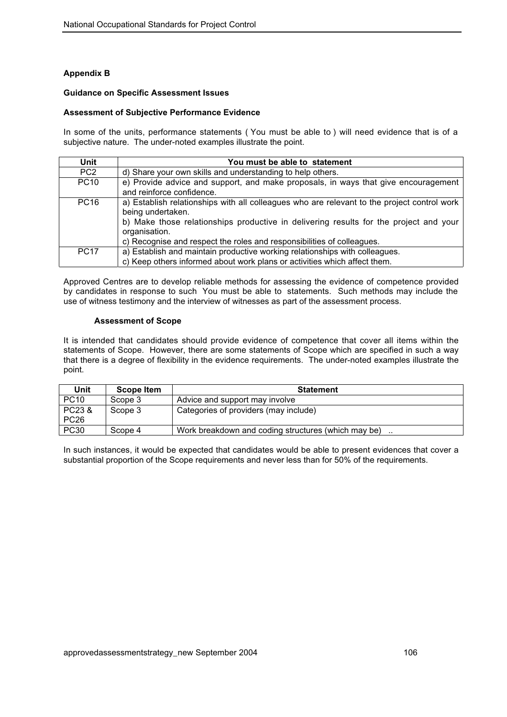# **Appendix B**

#### **Guidance on Specific Assessment Issues**

#### **Assessment of Subjective Performance Evidence**

In some of the units, performance statements ( You must be able to ) will need evidence that is of a subjective nature. The under-noted examples illustrate the point.

| Unit            | You must be able to statement                                                                                                                                                                                                                                                                        |
|-----------------|------------------------------------------------------------------------------------------------------------------------------------------------------------------------------------------------------------------------------------------------------------------------------------------------------|
| PC <sub>2</sub> | d) Share your own skills and understanding to help others.                                                                                                                                                                                                                                           |
| <b>PC10</b>     | e) Provide advice and support, and make proposals, in ways that give encouragement<br>and reinforce confidence.                                                                                                                                                                                      |
| <b>PC16</b>     | a) Establish relationships with all colleagues who are relevant to the project control work<br>being undertaken.<br>b) Make those relationships productive in delivering results for the project and your<br>organisation.<br>c) Recognise and respect the roles and responsibilities of colleagues. |
| <b>PC17</b>     | a) Establish and maintain productive working relationships with colleagues.<br>c) Keep others informed about work plans or activities which affect them.                                                                                                                                             |

Approved Centres are to develop reliable methods for assessing the evidence of competence provided by candidates in response to such You must be able to statements. Such methods may include the use of witness testimony and the interview of witnesses as part of the assessment process.

#### **Assessment of Scope**

It is intended that candidates should provide evidence of competence that cover all items within the statements of Scope. However, there are some statements of Scope which are specified in such a way that there is a degree of flexibility in the evidence requirements. The under-noted examples illustrate the point.

| Unit             | <b>Scope Item</b> | <b>Statement</b>                                    |
|------------------|-------------------|-----------------------------------------------------|
| <b>PC10</b>      | Scope 3           | Advice and support may involve                      |
| PC23 &           | Scope 3           | Categories of providers (may include)               |
| PC <sub>26</sub> |                   |                                                     |
| <b>PC30</b>      | Scope 4           | Work breakdown and coding structures (which may be) |

In such instances, it would be expected that candidates would be able to present evidences that cover a substantial proportion of the Scope requirements and never less than for 50% of the requirements.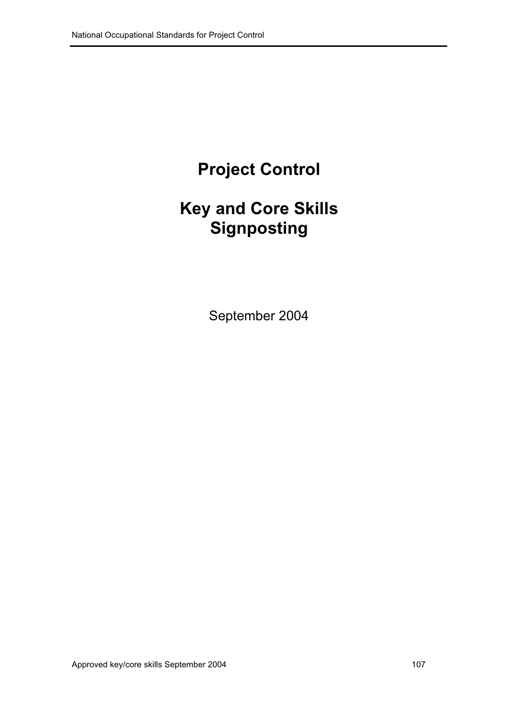## **Project Control**

## **Key and Core Skills Signposting**

September 2004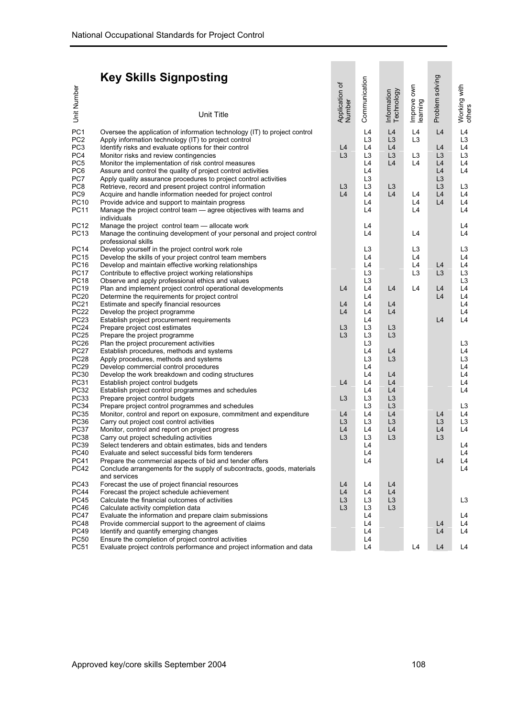## **Key Skills Signposting**

| <b>Key Skills Signposting</b>                                                                                                                                                                                                                                                                                                                                                                                                                                                                                                                                                                                                                                                                                                                                                                                                                                                                                                                                                                                                                                                                                                                                                                                                                                                                                                                                                                                 |                                                                                                                                                                                                                                                                                                                                                                                                                                                                                                                                                  |                                                                |                                                                                                                                                                                                                                                                                  |                                                                                                                                                                                  |                                                                                  |                                                                                                          |                                                                                                                                                                                                                |
|---------------------------------------------------------------------------------------------------------------------------------------------------------------------------------------------------------------------------------------------------------------------------------------------------------------------------------------------------------------------------------------------------------------------------------------------------------------------------------------------------------------------------------------------------------------------------------------------------------------------------------------------------------------------------------------------------------------------------------------------------------------------------------------------------------------------------------------------------------------------------------------------------------------------------------------------------------------------------------------------------------------------------------------------------------------------------------------------------------------------------------------------------------------------------------------------------------------------------------------------------------------------------------------------------------------------------------------------------------------------------------------------------------------|--------------------------------------------------------------------------------------------------------------------------------------------------------------------------------------------------------------------------------------------------------------------------------------------------------------------------------------------------------------------------------------------------------------------------------------------------------------------------------------------------------------------------------------------------|----------------------------------------------------------------|----------------------------------------------------------------------------------------------------------------------------------------------------------------------------------------------------------------------------------------------------------------------------------|----------------------------------------------------------------------------------------------------------------------------------------------------------------------------------|----------------------------------------------------------------------------------|----------------------------------------------------------------------------------------------------------|----------------------------------------------------------------------------------------------------------------------------------------------------------------------------------------------------------------|
|                                                                                                                                                                                                                                                                                                                                                                                                                                                                                                                                                                                                                                                                                                                                                                                                                                                                                                                                                                                                                                                                                                                                                                                                                                                                                                                                                                                                               |                                                                                                                                                                                                                                                                                                                                                                                                                                                                                                                                                  | Application of<br>Number                                       | Communication                                                                                                                                                                                                                                                                    |                                                                                                                                                                                  | Improve own                                                                      | Problem solving                                                                                          | Working with<br>others                                                                                                                                                                                         |
| Unit Number                                                                                                                                                                                                                                                                                                                                                                                                                                                                                                                                                                                                                                                                                                                                                                                                                                                                                                                                                                                                                                                                                                                                                                                                                                                                                                                                                                                                   | <b>Unit Title</b>                                                                                                                                                                                                                                                                                                                                                                                                                                                                                                                                |                                                                |                                                                                                                                                                                                                                                                                  | Information<br>Technology                                                                                                                                                        | learning                                                                         |                                                                                                          |                                                                                                                                                                                                                |
| PC <sub>1</sub><br>PC <sub>2</sub><br>Apply information technology (IT) to project control<br>PC <sub>3</sub><br>Identify risks and evaluate options for their control<br>PC4<br>Monitor risks and review contingencies<br>PC <sub>5</sub><br>Monitor the implementation of risk control measures<br>PC <sub>6</sub><br>PC7<br>PC8<br>PC <sub>9</sub><br><b>PC10</b><br>Provide advice and support to maintain progress<br><b>PC11</b><br>individuals<br><b>PC12</b><br>Manage the project control team - allocate work<br>PC13<br>professional skills<br><b>PC14</b><br>Develop yourself in the project control work role<br><b>PC15</b>                                                                                                                                                                                                                                                                                                                                                                                                                                                                                                                                                                                                                                                                                                                                                                     | Oversee the application of information technology (IT) to project control<br>Assure and control the quality of project control activities<br>Apply quality assurance procedures to project control activities<br>Retrieve, record and present project control information<br>Acquire and handle information needed for project control<br>Manage the project control team - agree objectives with teams and<br>Manage the continuing development of your personal and project control<br>Develop the skills of your project control team members | L4<br>L3<br>L3<br>L4                                           | L4<br>L <sub>3</sub><br>L4<br>L <sub>3</sub><br>L <sub>4</sub><br>L4<br>L <sub>3</sub><br>L <sub>3</sub><br>L4<br>L4<br>L4<br>L4<br>L4<br>L <sub>3</sub><br>L4                                                                                                                   | L4<br>L <sub>3</sub><br>L4<br>L <sub>3</sub><br>L4<br>L <sub>3</sub><br>L4                                                                                                       | L4<br>L <sub>3</sub><br>L <sub>3</sub><br>L4<br>L4<br>L4<br>L4<br>L4<br>L3<br>L4 | L4<br>L4<br>L <sub>3</sub><br>L4<br>L4<br>L <sub>3</sub><br>L <sub>3</sub><br>L4<br>L4                   | L4<br>L <sub>3</sub><br>L4<br>L <sub>3</sub><br>L4<br>L4<br>L <sub>3</sub><br>L4<br>L4<br>L4<br>L4<br>L4<br>L <sub>3</sub><br>L4                                                                               |
| <b>PC16</b><br>Develop and maintain effective working relationships<br><b>PC17</b><br>Contribute to effective project working relationships<br><b>PC18</b><br>Observe and apply professional ethics and values<br><b>PC19</b><br><b>PC20</b><br>Determine the requirements for project control<br><b>PC21</b><br>Estimate and specify financial resources<br><b>PC22</b><br>Develop the project programme<br>PC23<br>Establish project procurement requirements<br><b>PC24</b><br>Prepare project cost estimates<br><b>PC25</b><br>Prepare the project programme<br><b>PC26</b><br>Plan the project procurement activities<br><b>PC27</b><br>Establish procedures, methods and systems<br><b>PC28</b><br>Apply procedures, methods and systems<br><b>PC29</b><br>Develop commercial control procedures<br>PC30<br>Develop the work breakdown and coding structures<br><b>PC31</b><br>Establish project control budgets<br>PC32<br>Establish project control programmes and schedules<br><b>PC33</b><br>Prepare project control budgets<br><b>PC34</b><br>Prepare project control programmes and schedules<br><b>PC35</b><br>PC36<br>Carry out project cost control activities<br><b>PC37</b><br>Monitor, control and report on project progress<br><b>PC38</b><br>Carry out project scheduling activities<br>PC39<br><b>PC40</b><br>Evaluate and select successful bids form tenderers<br><b>PC41</b><br>PC42 | Plan and implement project control operational developments<br>Monitor, control and report on exposure, commitment and expenditure<br>Select tenderers and obtain estimates, bids and tenders<br>Prepare the commercial aspects of bid and tender offers<br>Conclude arrangements for the supply of subcontracts, goods, materials                                                                                                                                                                                                               | L4<br>L4<br>L4<br>L3<br>L3<br>L4<br>L3<br>L4<br>L3<br>L4<br>L3 | L4<br>L <sub>3</sub><br>L <sub>3</sub><br>L4<br>L4<br>L4<br>L4<br>L4<br>L <sub>3</sub><br>L <sub>3</sub><br>L <sub>3</sub><br>L4<br>L <sub>3</sub><br>L4<br>L4<br>L4<br>L4<br>L <sub>3</sub><br>L <sub>3</sub><br>L4<br>L <sub>3</sub><br>L4<br>L <sub>3</sub><br>L4<br>L4<br>L4 | L4<br>L4<br>L4<br>L <sub>3</sub><br>L <sub>3</sub><br>L4<br>L <sub>3</sub><br>L4<br>L4<br>L4<br>L <sub>3</sub><br>L <sub>3</sub><br>L4<br>L <sub>3</sub><br>L4<br>L <sub>3</sub> | L4<br>L <sub>3</sub><br>L <sub>4</sub>                                           | L <sub>4</sub><br>L <sub>3</sub><br>L4<br>L4<br>L4<br>L4<br>L <sub>3</sub><br>L4<br>L <sub>3</sub><br>L4 | L4<br>L <sub>3</sub><br>L <sub>3</sub><br>L4<br>L4<br>L4<br>L4<br>L4<br>L <sub>3</sub><br>L4<br>L <sub>3</sub><br>L4<br>L4<br>L4<br>L4<br>L <sub>3</sub><br>L4<br>L <sub>3</sub><br>L4<br>L4<br>L4<br>L4<br>L4 |
| and services<br>PC43<br>Forecast the use of project financial resources<br><b>PC44</b><br>Forecast the project schedule achievement<br><b>PC45</b><br>Calculate the financial outcomes of activities<br><b>PC46</b><br>Calculate activity completion data<br><b>PC47</b><br><b>PC48</b><br><b>PC49</b><br>Identify and quantify emerging changes<br><b>PC50</b><br>Ensure the completion of project control activities<br><b>PC51</b>                                                                                                                                                                                                                                                                                                                                                                                                                                                                                                                                                                                                                                                                                                                                                                                                                                                                                                                                                                         | Evaluate the information and prepare claim submissions<br>Provide commercial support to the agreement of claims<br>Evaluate project controls performance and project information and data                                                                                                                                                                                                                                                                                                                                                        | L4<br>L4<br>L3<br>L3                                           | L4<br>L4<br>L3<br>L <sub>3</sub><br>L4<br>L <sub>4</sub><br>L4<br>L4<br>L4                                                                                                                                                                                                       | L4<br>L4<br>L <sub>3</sub><br>L <sub>3</sub>                                                                                                                                     | L4                                                                               | L4<br>L4<br>L <sub>4</sub>                                                                               | L <sub>3</sub><br>L4<br>L4<br>L4<br>L4                                                                                                                                                                         |
| Approved key/core skills September 2004                                                                                                                                                                                                                                                                                                                                                                                                                                                                                                                                                                                                                                                                                                                                                                                                                                                                                                                                                                                                                                                                                                                                                                                                                                                                                                                                                                       |                                                                                                                                                                                                                                                                                                                                                                                                                                                                                                                                                  |                                                                |                                                                                                                                                                                                                                                                                  |                                                                                                                                                                                  | 108                                                                              |                                                                                                          |                                                                                                                                                                                                                |